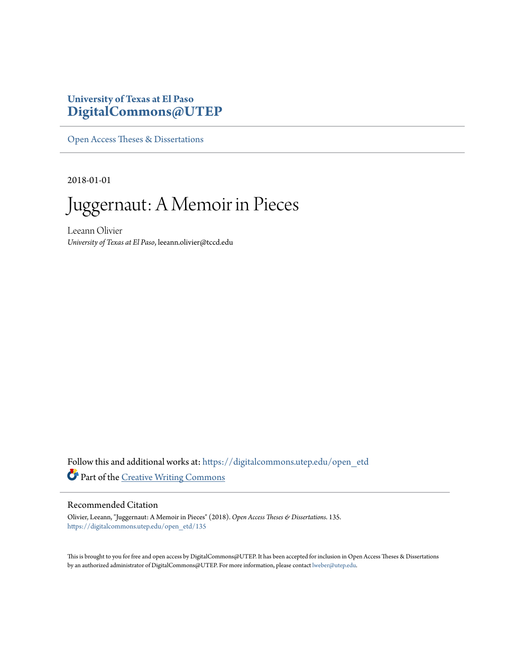# **University of Texas at El Paso [DigitalCommons@UTEP](https://digitalcommons.utep.edu/?utm_source=digitalcommons.utep.edu%2Fopen_etd%2F135&utm_medium=PDF&utm_campaign=PDFCoverPages)**

[Open Access Theses & Dissertations](https://digitalcommons.utep.edu/open_etd?utm_source=digitalcommons.utep.edu%2Fopen_etd%2F135&utm_medium=PDF&utm_campaign=PDFCoverPages)

2018-01-01

# Juggernaut: A Memoir in Pieces

Leeann Olivier *University of Texas at El Paso*, leeann.olivier@tccd.edu

Follow this and additional works at: [https://digitalcommons.utep.edu/open\\_etd](https://digitalcommons.utep.edu/open_etd?utm_source=digitalcommons.utep.edu%2Fopen_etd%2F135&utm_medium=PDF&utm_campaign=PDFCoverPages) Part of the [Creative Writing Commons](http://network.bepress.com/hgg/discipline/574?utm_source=digitalcommons.utep.edu%2Fopen_etd%2F135&utm_medium=PDF&utm_campaign=PDFCoverPages)

#### Recommended Citation

Olivier, Leeann, "Juggernaut: A Memoir in Pieces" (2018). *Open Access Theses & Dissertations*. 135. [https://digitalcommons.utep.edu/open\\_etd/135](https://digitalcommons.utep.edu/open_etd/135?utm_source=digitalcommons.utep.edu%2Fopen_etd%2F135&utm_medium=PDF&utm_campaign=PDFCoverPages)

This is brought to you for free and open access by DigitalCommons@UTEP. It has been accepted for inclusion in Open Access Theses & Dissertations by an authorized administrator of DigitalCommons@UTEP. For more information, please contact [lweber@utep.edu.](mailto:lweber@utep.edu)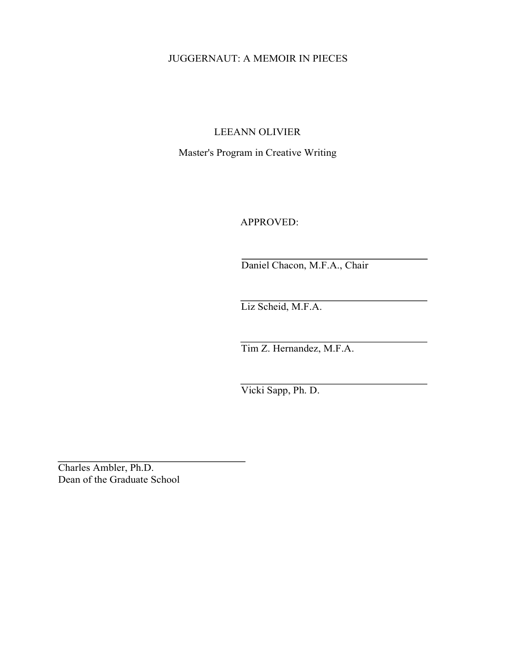## JUGGERNAUT: A MEMOIR IN PIECES

## LEEANN OLIVIER

Master's Program in Creative Writing

APPROVED:

Daniel Chacon, M.F.A., Chair

Liz Scheid, M.F.A.

Tim Z. Hernandez, M.F.A.

Vicki Sapp, Ph. D.

Charles Ambler, Ph.D. Dean of the Graduate School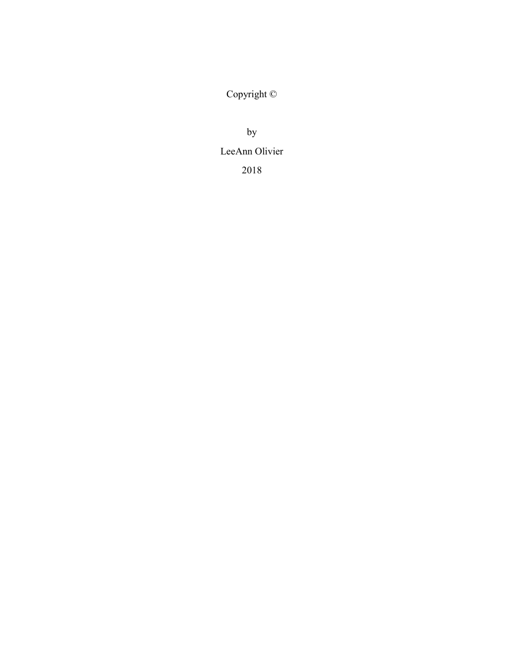Copyright ©

by LeeAnn Olivier 2018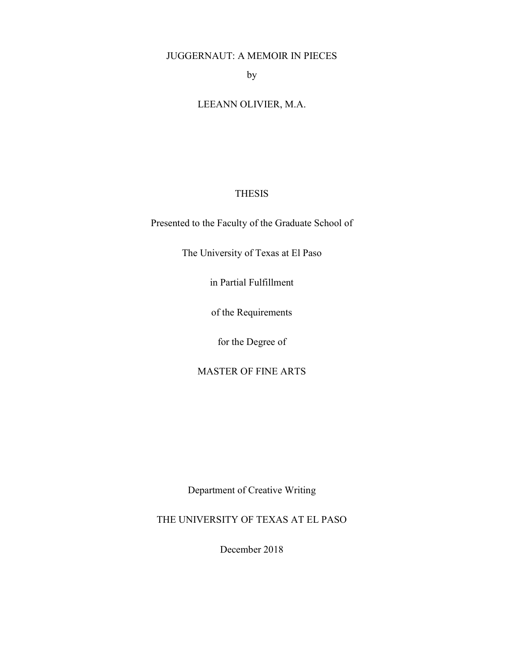JUGGERNAUT: A MEMOIR IN PIECES

by

## LEEANN OLIVIER, M.A.

## THESIS

Presented to the Faculty of the Graduate School of

The University of Texas at El Paso

in Partial Fulfillment

of the Requirements

for the Degree of

# MASTER OF FINE ARTS

Department of Creative Writing

THE UNIVERSITY OF TEXAS AT EL PASO

December 2018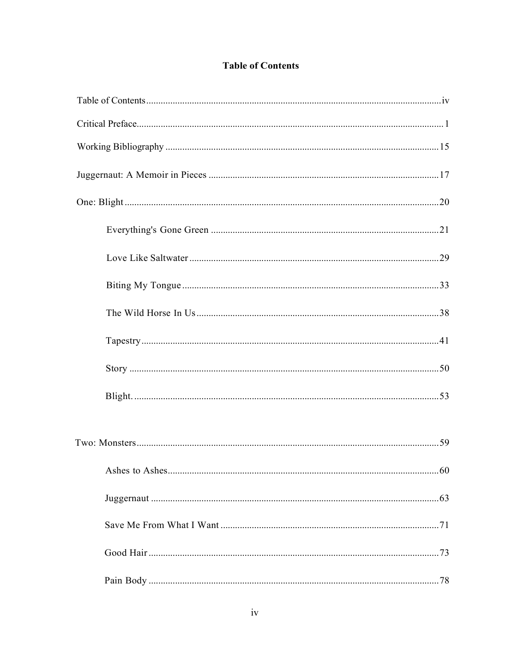# **Table of Contents**

| 60 |
|----|
|    |
|    |
|    |
|    |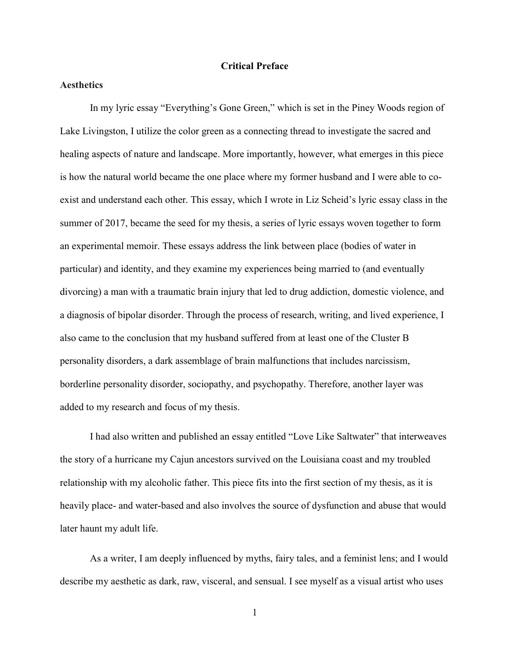## Critical Preface

## **Aesthetics**

In my lyric essay "Everything's Gone Green," which is set in the Piney Woods region of Lake Livingston, I utilize the color green as a connecting thread to investigate the sacred and healing aspects of nature and landscape. More importantly, however, what emerges in this piece is how the natural world became the one place where my former husband and I were able to coexist and understand each other. This essay, which I wrote in Liz Scheid's lyric essay class in the summer of 2017, became the seed for my thesis, a series of lyric essays woven together to form an experimental memoir. These essays address the link between place (bodies of water in particular) and identity, and they examine my experiences being married to (and eventually divorcing) a man with a traumatic brain injury that led to drug addiction, domestic violence, and a diagnosis of bipolar disorder. Through the process of research, writing, and lived experience, I also came to the conclusion that my husband suffered from at least one of the Cluster B personality disorders, a dark assemblage of brain malfunctions that includes narcissism, borderline personality disorder, sociopathy, and psychopathy. Therefore, another layer was added to my research and focus of my thesis.

I had also written and published an essay entitled "Love Like Saltwater" that interweaves the story of a hurricane my Cajun ancestors survived on the Louisiana coast and my troubled relationship with my alcoholic father. This piece fits into the first section of my thesis, as it is heavily place- and water-based and also involves the source of dysfunction and abuse that would later haunt my adult life.

As a writer, I am deeply influenced by myths, fairy tales, and a feminist lens; and I would describe my aesthetic as dark, raw, visceral, and sensual. I see myself as a visual artist who uses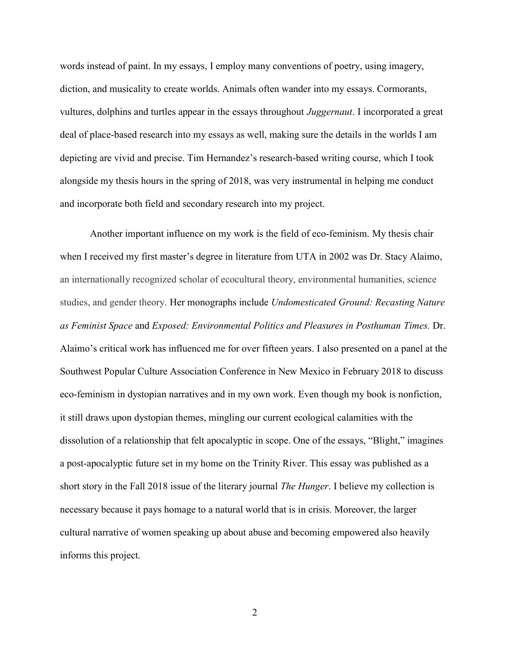words instead of paint. In my essays, I employ many conventions of poetry, using imagery, diction, and musicality to create worlds. Animals often wander into my essays. Cormorants, vultures, dolphins and turtles appear in the essays throughout Juggernaut. I incorporated a great deal of place-based research into my essays as well, making sure the details in the worlds I am depicting are vivid and precise. Tim Hernandez's research-based writing course, which I took alongside my thesis hours in the spring of 2018, was very instrumental in helping me conduct and incorporate both field and secondary research into my project.

Another important influence on my work is the field of eco-feminism. My thesis chair when I received my first master's degree in literature from UTA in 2002 was Dr. Stacy Alaimo, an internationally recognized scholar of ecocultural theory, environmental humanities, science studies, and gender theory. Her monographs include Undomesticated Ground: Recasting Nature as Feminist Space and Exposed: Environmental Politics and Pleasures in Posthuman Times. Dr. Alaimo's critical work has influenced me for over fifteen years. I also presented on a panel at the Southwest Popular Culture Association Conference in New Mexico in February 2018 to discuss eco-feminism in dystopian narratives and in my own work. Even though my book is nonfiction, it still draws upon dystopian themes, mingling our current ecological calamities with the dissolution of a relationship that felt apocalyptic in scope. One of the essays, "Blight," imagines a post-apocalyptic future set in my home on the Trinity River. This essay was published as a short story in the Fall 2018 issue of the literary journal The Hunger. I believe my collection is necessary because it pays homage to a natural world that is in crisis. Moreover, the larger cultural narrative of women speaking up about abuse and becoming empowered also heavily informs this project.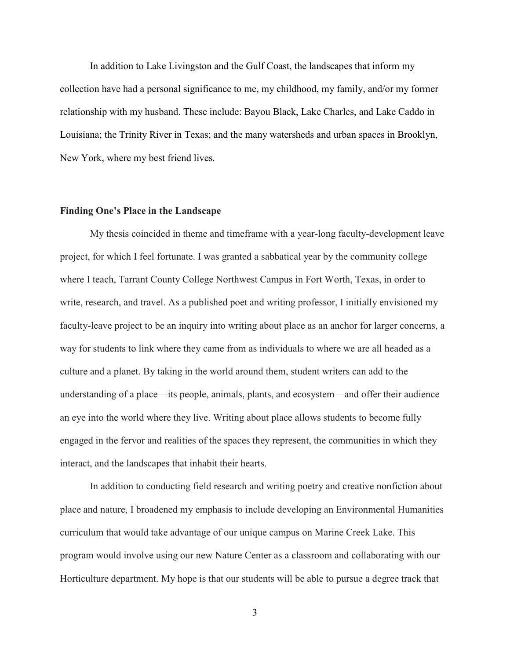In addition to Lake Livingston and the Gulf Coast, the landscapes that inform my collection have had a personal significance to me, my childhood, my family, and/or my former relationship with my husband. These include: Bayou Black, Lake Charles, and Lake Caddo in Louisiana; the Trinity River in Texas; and the many watersheds and urban spaces in Brooklyn, New York, where my best friend lives.

#### Finding One's Place in the Landscape

My thesis coincided in theme and timeframe with a year-long faculty-development leave project, for which I feel fortunate. I was granted a sabbatical year by the community college where I teach, Tarrant County College Northwest Campus in Fort Worth, Texas, in order to write, research, and travel. As a published poet and writing professor, I initially envisioned my faculty-leave project to be an inquiry into writing about place as an anchor for larger concerns, a way for students to link where they came from as individuals to where we are all headed as a culture and a planet. By taking in the world around them, student writers can add to the understanding of a place—its people, animals, plants, and ecosystem—and offer their audience an eye into the world where they live. Writing about place allows students to become fully engaged in the fervor and realities of the spaces they represent, the communities in which they interact, and the landscapes that inhabit their hearts.

In addition to conducting field research and writing poetry and creative nonfiction about place and nature, I broadened my emphasis to include developing an Environmental Humanities curriculum that would take advantage of our unique campus on Marine Creek Lake. This program would involve using our new Nature Center as a classroom and collaborating with our Horticulture department. My hope is that our students will be able to pursue a degree track that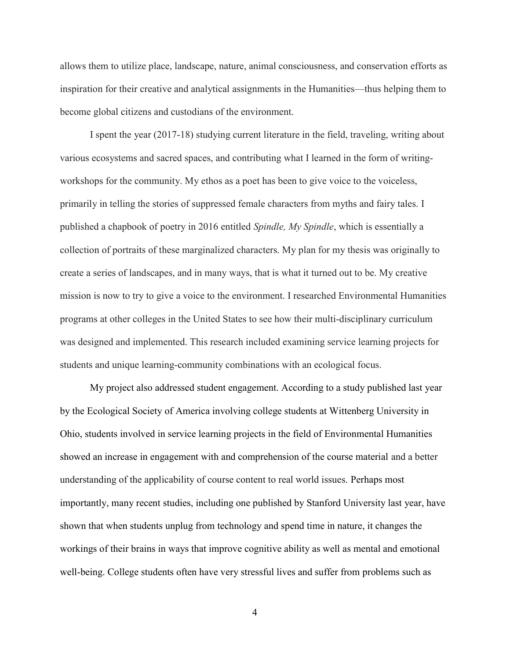allows them to utilize place, landscape, nature, animal consciousness, and conservation efforts as inspiration for their creative and analytical assignments in the Humanities—thus helping them to become global citizens and custodians of the environment.

I spent the year (2017-18) studying current literature in the field, traveling, writing about various ecosystems and sacred spaces, and contributing what I learned in the form of writingworkshops for the community. My ethos as a poet has been to give voice to the voiceless, primarily in telling the stories of suppressed female characters from myths and fairy tales. I published a chapbook of poetry in 2016 entitled Spindle, My Spindle, which is essentially a collection of portraits of these marginalized characters. My plan for my thesis was originally to create a series of landscapes, and in many ways, that is what it turned out to be. My creative mission is now to try to give a voice to the environment. I researched Environmental Humanities programs at other colleges in the United States to see how their multi-disciplinary curriculum was designed and implemented. This research included examining service learning projects for students and unique learning-community combinations with an ecological focus.

My project also addressed student engagement. According to a study published last year by the Ecological Society of America involving college students at Wittenberg University in Ohio, students involved in service learning projects in the field of Environmental Humanities showed an increase in engagement with and comprehension of the course material and a better understanding of the applicability of course content to real world issues. Perhaps most importantly, many recent studies, including one published by Stanford University last year, have shown that when students unplug from technology and spend time in nature, it changes the workings of their brains in ways that improve cognitive ability as well as mental and emotional well-being. College students often have very stressful lives and suffer from problems such as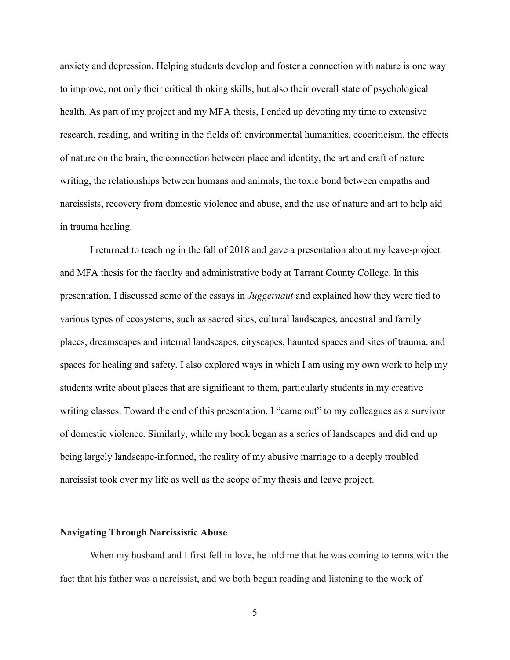anxiety and depression. Helping students develop and foster a connection with nature is one way to improve, not only their critical thinking skills, but also their overall state of psychological health. As part of my project and my MFA thesis, I ended up devoting my time to extensive research, reading, and writing in the fields of: environmental humanities, ecocriticism, the effects of nature on the brain, the connection between place and identity, the art and craft of nature writing, the relationships between humans and animals, the toxic bond between empaths and narcissists, recovery from domestic violence and abuse, and the use of nature and art to help aid in trauma healing.

I returned to teaching in the fall of 2018 and gave a presentation about my leave-project and MFA thesis for the faculty and administrative body at Tarrant County College. In this presentation, I discussed some of the essays in Juggernaut and explained how they were tied to various types of ecosystems, such as sacred sites, cultural landscapes, ancestral and family places, dreamscapes and internal landscapes, cityscapes, haunted spaces and sites of trauma, and spaces for healing and safety. I also explored ways in which I am using my own work to help my students write about places that are significant to them, particularly students in my creative writing classes. Toward the end of this presentation, I "came out" to my colleagues as a survivor of domestic violence. Similarly, while my book began as a series of landscapes and did end up being largely landscape-informed, the reality of my abusive marriage to a deeply troubled narcissist took over my life as well as the scope of my thesis and leave project.

## Navigating Through Narcissistic Abuse

When my husband and I first fell in love, he told me that he was coming to terms with the fact that his father was a narcissist, and we both began reading and listening to the work of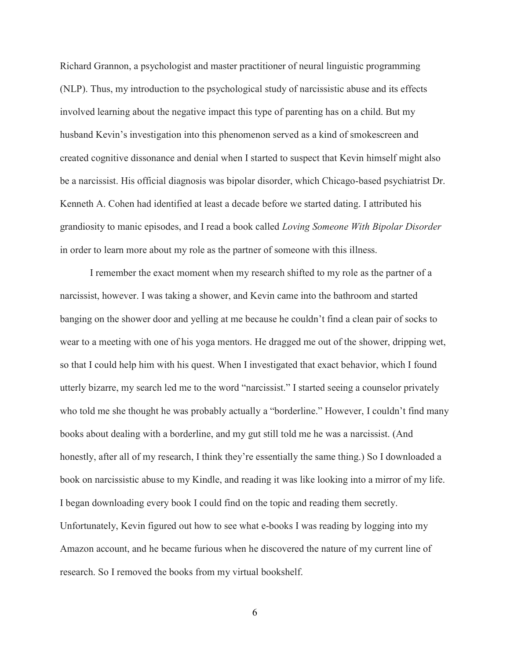Richard Grannon, a psychologist and master practitioner of neural linguistic programming (NLP). Thus, my introduction to the psychological study of narcissistic abuse and its effects involved learning about the negative impact this type of parenting has on a child. But my husband Kevin's investigation into this phenomenon served as a kind of smokescreen and created cognitive dissonance and denial when I started to suspect that Kevin himself might also be a narcissist. His official diagnosis was bipolar disorder, which Chicago-based psychiatrist Dr. Kenneth A. Cohen had identified at least a decade before we started dating. I attributed his grandiosity to manic episodes, and I read a book called Loving Someone With Bipolar Disorder in order to learn more about my role as the partner of someone with this illness.

I remember the exact moment when my research shifted to my role as the partner of a narcissist, however. I was taking a shower, and Kevin came into the bathroom and started banging on the shower door and yelling at me because he couldn't find a clean pair of socks to wear to a meeting with one of his yoga mentors. He dragged me out of the shower, dripping wet, so that I could help him with his quest. When I investigated that exact behavior, which I found utterly bizarre, my search led me to the word "narcissist." I started seeing a counselor privately who told me she thought he was probably actually a "borderline." However, I couldn't find many books about dealing with a borderline, and my gut still told me he was a narcissist. (And honestly, after all of my research, I think they're essentially the same thing.) So I downloaded a book on narcissistic abuse to my Kindle, and reading it was like looking into a mirror of my life. I began downloading every book I could find on the topic and reading them secretly. Unfortunately, Kevin figured out how to see what e-books I was reading by logging into my Amazon account, and he became furious when he discovered the nature of my current line of research. So I removed the books from my virtual bookshelf.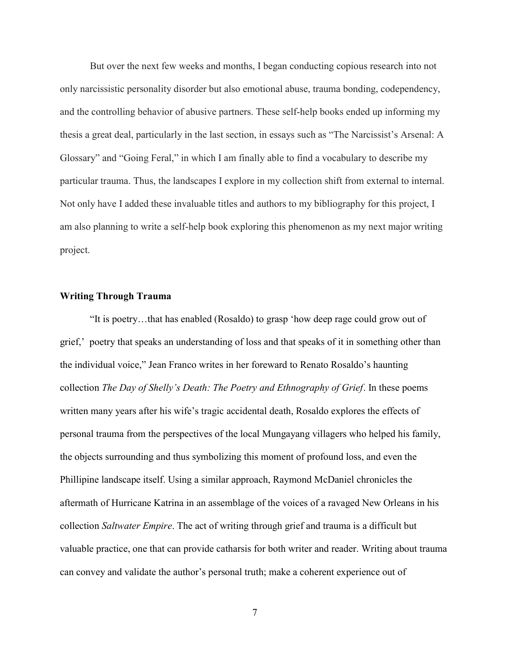But over the next few weeks and months, I began conducting copious research into not only narcissistic personality disorder but also emotional abuse, trauma bonding, codependency, and the controlling behavior of abusive partners. These self-help books ended up informing my thesis a great deal, particularly in the last section, in essays such as "The Narcissist's Arsenal: A Glossary" and "Going Feral," in which I am finally able to find a vocabulary to describe my particular trauma. Thus, the landscapes I explore in my collection shift from external to internal. Not only have I added these invaluable titles and authors to my bibliography for this project, I am also planning to write a self-help book exploring this phenomenon as my next major writing project.

#### Writing Through Trauma

"It is poetry…that has enabled (Rosaldo) to grasp 'how deep rage could grow out of grief,' poetry that speaks an understanding of loss and that speaks of it in something other than the individual voice," Jean Franco writes in her foreward to Renato Rosaldo's haunting collection The Day of Shelly's Death: The Poetry and Ethnography of Grief. In these poems written many years after his wife's tragic accidental death, Rosaldo explores the effects of personal trauma from the perspectives of the local Mungayang villagers who helped his family, the objects surrounding and thus symbolizing this moment of profound loss, and even the Phillipine landscape itself. Using a similar approach, Raymond McDaniel chronicles the aftermath of Hurricane Katrina in an assemblage of the voices of a ravaged New Orleans in his collection Saltwater Empire. The act of writing through grief and trauma is a difficult but valuable practice, one that can provide catharsis for both writer and reader. Writing about trauma can convey and validate the author's personal truth; make a coherent experience out of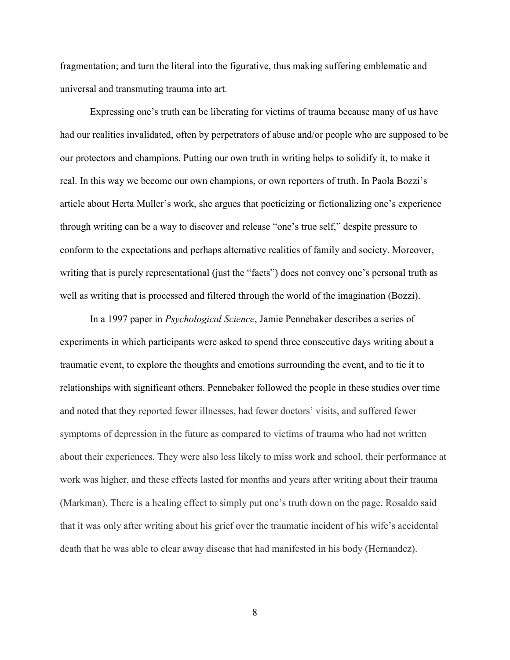fragmentation; and turn the literal into the figurative, thus making suffering emblematic and universal and transmuting trauma into art.

Expressing one's truth can be liberating for victims of trauma because many of us have had our realities invalidated, often by perpetrators of abuse and/or people who are supposed to be our protectors and champions. Putting our own truth in writing helps to solidify it, to make it real. In this way we become our own champions, or own reporters of truth. In Paola Bozzi's article about Herta Muller's work, she argues that poeticizing or fictionalizing one's experience through writing can be a way to discover and release "one's true self," despite pressure to conform to the expectations and perhaps alternative realities of family and society. Moreover, writing that is purely representational (just the "facts") does not convey one's personal truth as well as writing that is processed and filtered through the world of the imagination (Bozzi).

In a 1997 paper in Psychological Science, Jamie Pennebaker describes a series of experiments in which participants were asked to spend three consecutive days writing about a traumatic event, to explore the thoughts and emotions surrounding the event, and to tie it to relationships with significant others. Pennebaker followed the people in these studies over time and noted that they reported fewer illnesses, had fewer doctors' visits, and suffered fewer symptoms of depression in the future as compared to victims of trauma who had not written about their experiences. They were also less likely to miss work and school, their performance at work was higher, and these effects lasted for months and years after writing about their trauma (Markman). There is a healing effect to simply put one's truth down on the page. Rosaldo said that it was only after writing about his grief over the traumatic incident of his wife's accidental death that he was able to clear away disease that had manifested in his body (Hernandez).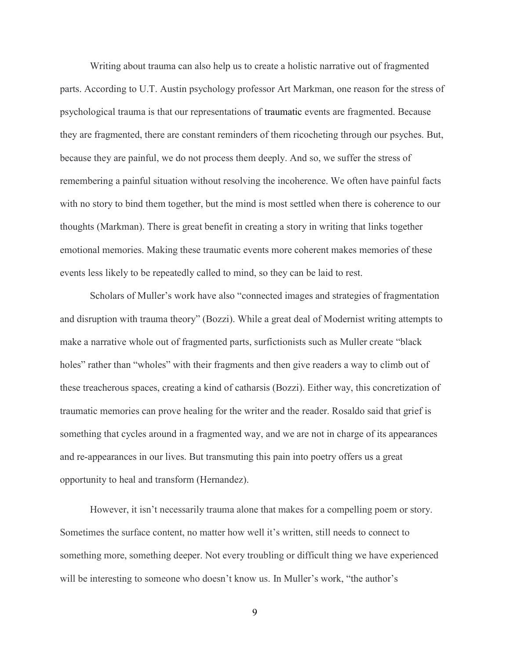Writing about trauma can also help us to create a holistic narrative out of fragmented parts. According to U.T. Austin psychology professor Art Markman, one reason for the stress of psychological trauma is that our representations of traumatic events are fragmented. Because they are fragmented, there are constant reminders of them ricocheting through our psyches. But, because they are painful, we do not process them deeply. And so, we suffer the stress of remembering a painful situation without resolving the incoherence. We often have painful facts with no story to bind them together, but the mind is most settled when there is coherence to our thoughts (Markman). There is great benefit in creating a story in writing that links together emotional memories. Making these traumatic events more coherent makes memories of these events less likely to be repeatedly called to mind, so they can be laid to rest.

Scholars of Muller's work have also "connected images and strategies of fragmentation and disruption with trauma theory" (Bozzi). While a great deal of Modernist writing attempts to make a narrative whole out of fragmented parts, surfictionists such as Muller create "black holes" rather than "wholes" with their fragments and then give readers a way to climb out of these treacherous spaces, creating a kind of catharsis (Bozzi). Either way, this concretization of traumatic memories can prove healing for the writer and the reader. Rosaldo said that grief is something that cycles around in a fragmented way, and we are not in charge of its appearances and re-appearances in our lives. But transmuting this pain into poetry offers us a great opportunity to heal and transform (Hernandez).

However, it isn't necessarily trauma alone that makes for a compelling poem or story. Sometimes the surface content, no matter how well it's written, still needs to connect to something more, something deeper. Not every troubling or difficult thing we have experienced will be interesting to someone who doesn't know us. In Muller's work, "the author's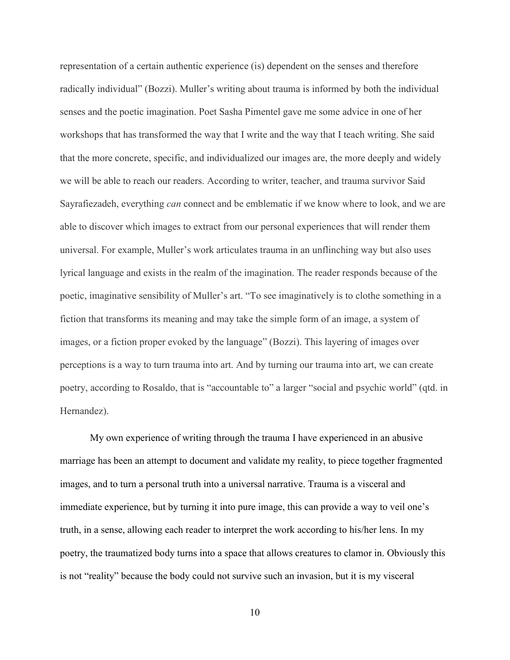representation of a certain authentic experience (is) dependent on the senses and therefore radically individual" (Bozzi). Muller's writing about trauma is informed by both the individual senses and the poetic imagination. Poet Sasha Pimentel gave me some advice in one of her workshops that has transformed the way that I write and the way that I teach writing. She said that the more concrete, specific, and individualized our images are, the more deeply and widely we will be able to reach our readers. According to writer, teacher, and trauma survivor Said Sayrafiezadeh, everything *can* connect and be emblematic if we know where to look, and we are able to discover which images to extract from our personal experiences that will render them universal. For example, Muller's work articulates trauma in an unflinching way but also uses lyrical language and exists in the realm of the imagination. The reader responds because of the poetic, imaginative sensibility of Muller's art. "To see imaginatively is to clothe something in a fiction that transforms its meaning and may take the simple form of an image, a system of images, or a fiction proper evoked by the language" (Bozzi). This layering of images over perceptions is a way to turn trauma into art. And by turning our trauma into art, we can create poetry, according to Rosaldo, that is "accountable to" a larger "social and psychic world" (qtd. in Hernandez).

My own experience of writing through the trauma I have experienced in an abusive marriage has been an attempt to document and validate my reality, to piece together fragmented images, and to turn a personal truth into a universal narrative. Trauma is a visceral and immediate experience, but by turning it into pure image, this can provide a way to veil one's truth, in a sense, allowing each reader to interpret the work according to his/her lens. In my poetry, the traumatized body turns into a space that allows creatures to clamor in. Obviously this is not "reality" because the body could not survive such an invasion, but it is my visceral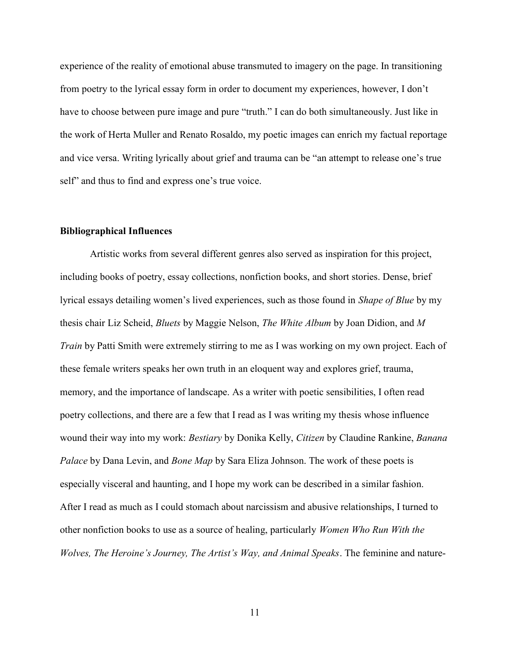experience of the reality of emotional abuse transmuted to imagery on the page. In transitioning from poetry to the lyrical essay form in order to document my experiences, however, I don't have to choose between pure image and pure "truth." I can do both simultaneously. Just like in the work of Herta Muller and Renato Rosaldo, my poetic images can enrich my factual reportage and vice versa. Writing lyrically about grief and trauma can be "an attempt to release one's true self" and thus to find and express one's true voice.

## Bibliographical Influences

Artistic works from several different genres also served as inspiration for this project, including books of poetry, essay collections, nonfiction books, and short stories. Dense, brief lyrical essays detailing women's lived experiences, such as those found in Shape of Blue by my thesis chair Liz Scheid, Bluets by Maggie Nelson, The White Album by Joan Didion, and M Train by Patti Smith were extremely stirring to me as I was working on my own project. Each of these female writers speaks her own truth in an eloquent way and explores grief, trauma, memory, and the importance of landscape. As a writer with poetic sensibilities, I often read poetry collections, and there are a few that I read as I was writing my thesis whose influence wound their way into my work: *Bestiary* by Donika Kelly, *Citizen* by Claudine Rankine, *Banana* Palace by Dana Levin, and *Bone Map* by Sara Eliza Johnson. The work of these poets is especially visceral and haunting, and I hope my work can be described in a similar fashion. After I read as much as I could stomach about narcissism and abusive relationships, I turned to other nonfiction books to use as a source of healing, particularly Women Who Run With the Wolves, The Heroine's Journey, The Artist's Way, and Animal Speaks. The feminine and nature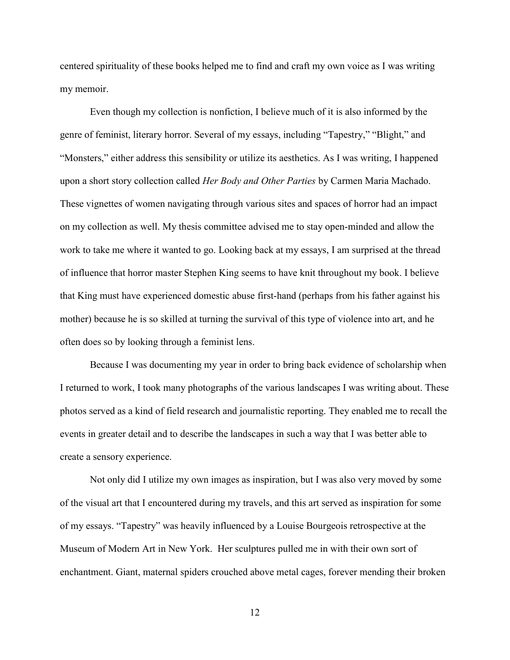centered spirituality of these books helped me to find and craft my own voice as I was writing my memoir.

Even though my collection is nonfiction, I believe much of it is also informed by the genre of feminist, literary horror. Several of my essays, including "Tapestry," "Blight," and "Monsters," either address this sensibility or utilize its aesthetics. As I was writing, I happened upon a short story collection called Her Body and Other Parties by Carmen Maria Machado. These vignettes of women navigating through various sites and spaces of horror had an impact on my collection as well. My thesis committee advised me to stay open-minded and allow the work to take me where it wanted to go. Looking back at my essays, I am surprised at the thread of influence that horror master Stephen King seems to have knit throughout my book. I believe that King must have experienced domestic abuse first-hand (perhaps from his father against his mother) because he is so skilled at turning the survival of this type of violence into art, and he often does so by looking through a feminist lens.

Because I was documenting my year in order to bring back evidence of scholarship when I returned to work, I took many photographs of the various landscapes I was writing about. These photos served as a kind of field research and journalistic reporting. They enabled me to recall the events in greater detail and to describe the landscapes in such a way that I was better able to create a sensory experience.

Not only did I utilize my own images as inspiration, but I was also very moved by some of the visual art that I encountered during my travels, and this art served as inspiration for some of my essays. "Tapestry" was heavily influenced by a Louise Bourgeois retrospective at the Museum of Modern Art in New York. Her sculptures pulled me in with their own sort of enchantment. Giant, maternal spiders crouched above metal cages, forever mending their broken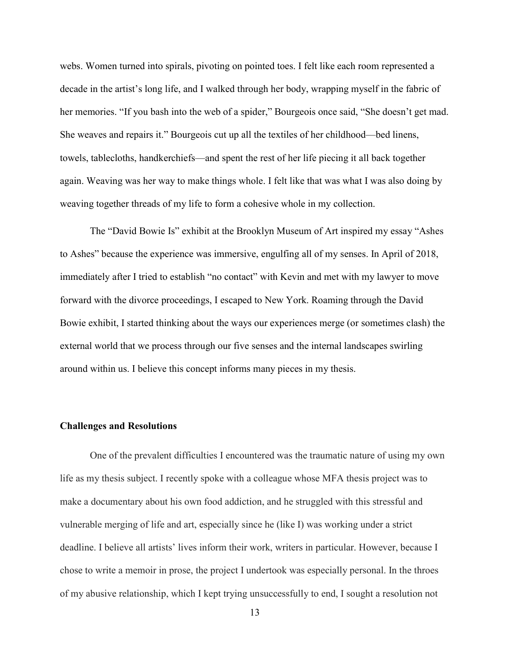webs. Women turned into spirals, pivoting on pointed toes. I felt like each room represented a decade in the artist's long life, and I walked through her body, wrapping myself in the fabric of her memories. "If you bash into the web of a spider," Bourgeois once said, "She doesn't get mad. She weaves and repairs it." Bourgeois cut up all the textiles of her childhood—bed linens, towels, tablecloths, handkerchiefs—and spent the rest of her life piecing it all back together again. Weaving was her way to make things whole. I felt like that was what I was also doing by weaving together threads of my life to form a cohesive whole in my collection.

The "David Bowie Is" exhibit at the Brooklyn Museum of Art inspired my essay "Ashes to Ashes" because the experience was immersive, engulfing all of my senses. In April of 2018, immediately after I tried to establish "no contact" with Kevin and met with my lawyer to move forward with the divorce proceedings, I escaped to New York. Roaming through the David Bowie exhibit, I started thinking about the ways our experiences merge (or sometimes clash) the external world that we process through our five senses and the internal landscapes swirling around within us. I believe this concept informs many pieces in my thesis.

#### Challenges and Resolutions

One of the prevalent difficulties I encountered was the traumatic nature of using my own life as my thesis subject. I recently spoke with a colleague whose MFA thesis project was to make a documentary about his own food addiction, and he struggled with this stressful and vulnerable merging of life and art, especially since he (like I) was working under a strict deadline. I believe all artists' lives inform their work, writers in particular. However, because I chose to write a memoir in prose, the project I undertook was especially personal. In the throes of my abusive relationship, which I kept trying unsuccessfully to end, I sought a resolution not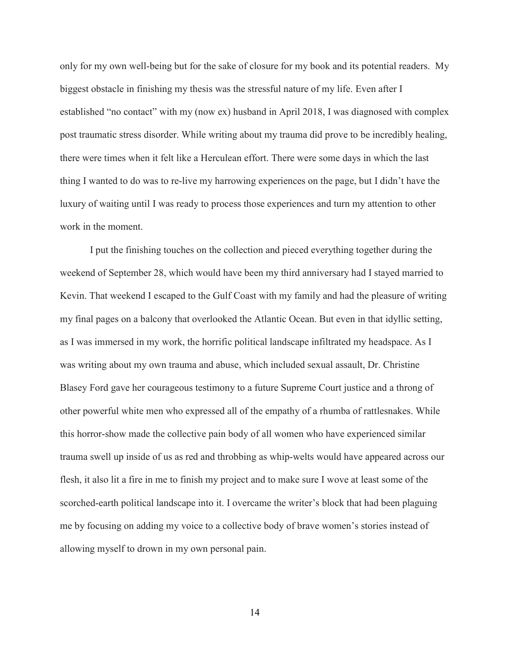only for my own well-being but for the sake of closure for my book and its potential readers. My biggest obstacle in finishing my thesis was the stressful nature of my life. Even after I established "no contact" with my (now ex) husband in April 2018, I was diagnosed with complex post traumatic stress disorder. While writing about my trauma did prove to be incredibly healing, there were times when it felt like a Herculean effort. There were some days in which the last thing I wanted to do was to re-live my harrowing experiences on the page, but I didn't have the luxury of waiting until I was ready to process those experiences and turn my attention to other work in the moment.

I put the finishing touches on the collection and pieced everything together during the weekend of September 28, which would have been my third anniversary had I stayed married to Kevin. That weekend I escaped to the Gulf Coast with my family and had the pleasure of writing my final pages on a balcony that overlooked the Atlantic Ocean. But even in that idyllic setting, as I was immersed in my work, the horrific political landscape infiltrated my headspace. As I was writing about my own trauma and abuse, which included sexual assault, Dr. Christine Blasey Ford gave her courageous testimony to a future Supreme Court justice and a throng of other powerful white men who expressed all of the empathy of a rhumba of rattlesnakes. While this horror-show made the collective pain body of all women who have experienced similar trauma swell up inside of us as red and throbbing as whip-welts would have appeared across our flesh, it also lit a fire in me to finish my project and to make sure I wove at least some of the scorched-earth political landscape into it. I overcame the writer's block that had been plaguing me by focusing on adding my voice to a collective body of brave women's stories instead of allowing myself to drown in my own personal pain.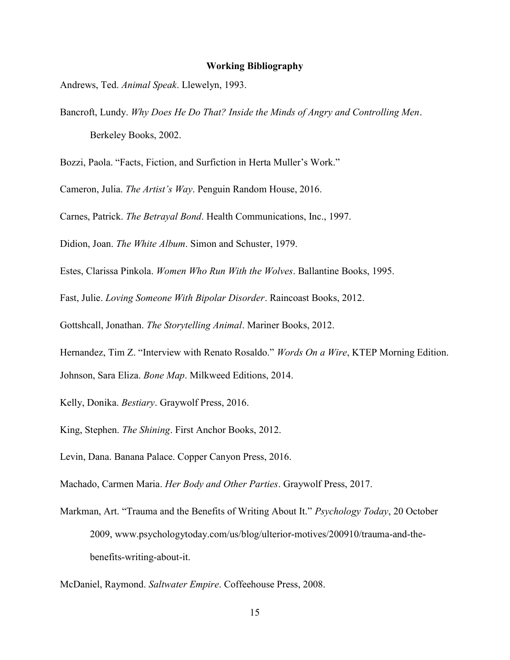#### Working Bibliography

Andrews, Ted. Animal Speak. Llewelyn, 1993.

Bancroft, Lundy. Why Does He Do That? Inside the Minds of Angry and Controlling Men. Berkeley Books, 2002.

Bozzi, Paola. "Facts, Fiction, and Surfiction in Herta Muller's Work."

Cameron, Julia. The Artist's Way. Penguin Random House, 2016.

Carnes, Patrick. The Betrayal Bond. Health Communications, Inc., 1997.

Didion, Joan. The White Album. Simon and Schuster, 1979.

Estes, Clarissa Pinkola. Women Who Run With the Wolves. Ballantine Books, 1995.

Fast, Julie. Loving Someone With Bipolar Disorder. Raincoast Books, 2012.

Gottshcall, Jonathan. The Storytelling Animal. Mariner Books, 2012.

Hernandez, Tim Z. "Interview with Renato Rosaldo." Words On a Wire, KTEP Morning Edition.

Johnson, Sara Eliza. Bone Map. Milkweed Editions, 2014.

Kelly, Donika. Bestiary. Graywolf Press, 2016.

King, Stephen. The Shining. First Anchor Books, 2012.

Levin, Dana. Banana Palace. Copper Canyon Press, 2016.

Machado, Carmen Maria. Her Body and Other Parties. Graywolf Press, 2017.

Markman, Art. "Trauma and the Benefits of Writing About It." Psychology Today, 20 October 2009, www.psychologytoday.com/us/blog/ulterior-motives/200910/trauma-and-thebenefits-writing-about-it.

McDaniel, Raymond. Saltwater Empire. Coffeehouse Press, 2008.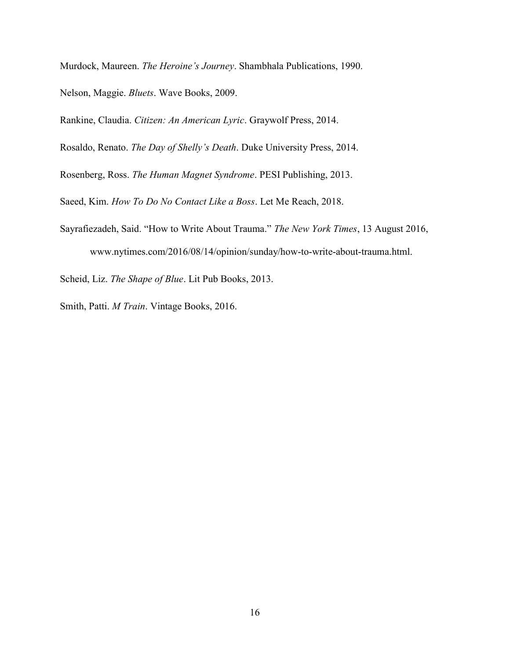Murdock, Maureen. The Heroine's Journey. Shambhala Publications, 1990.

Nelson, Maggie. Bluets. Wave Books, 2009.

Rankine, Claudia. Citizen: An American Lyric. Graywolf Press, 2014.

Rosaldo, Renato. The Day of Shelly's Death. Duke University Press, 2014.

Rosenberg, Ross. The Human Magnet Syndrome. PESI Publishing, 2013.

Saeed, Kim. How To Do No Contact Like a Boss. Let Me Reach, 2018.

Sayrafiezadeh, Said. "How to Write About Trauma." The New York Times, 13 August 2016, www.nytimes.com/2016/08/14/opinion/sunday/how-to-write-about-trauma.html.

Scheid, Liz. The Shape of Blue. Lit Pub Books, 2013.

Smith, Patti. M Train. Vintage Books, 2016.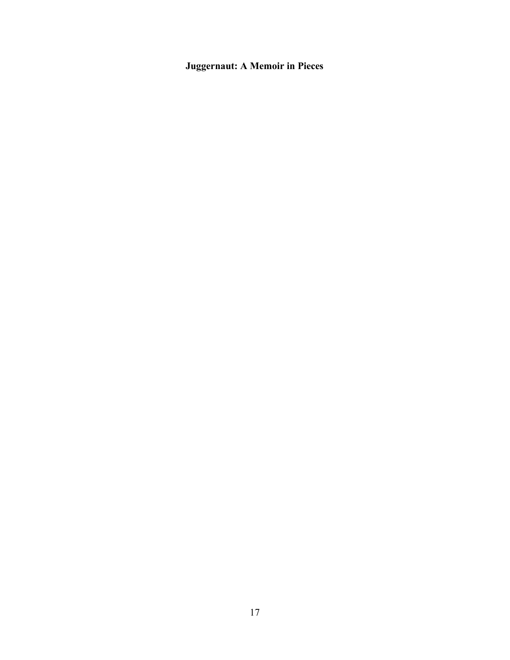Juggernaut: A Memoir in Pieces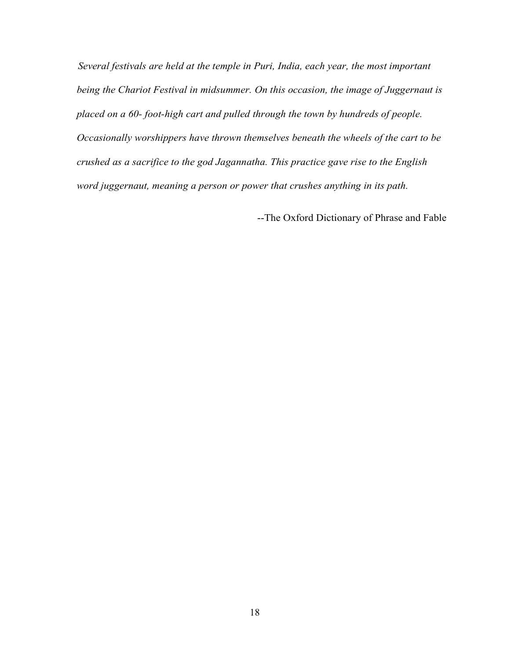Several festivals are held at the temple in Puri, India, each year, the most important being the Chariot Festival in midsummer. On this occasion, the image of Juggernaut is placed on a 60- foot-high cart and pulled through the town by hundreds of people. Occasionally worshippers have thrown themselves beneath the wheels of the cart to be crushed as a sacrifice to the god Jagannatha. This practice gave rise to the English word juggernaut, meaning a person or power that crushes anything in its path.

--The Oxford Dictionary of Phrase and Fable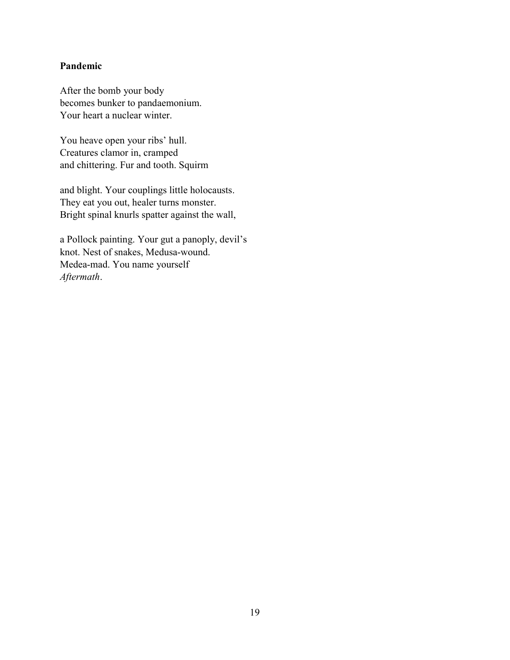# Pandemic

After the bomb your body becomes bunker to pandaemonium. Your heart a nuclear winter.

You heave open your ribs' hull. Creatures clamor in, cramped and chittering. Fur and tooth. Squirm

and blight. Your couplings little holocausts. They eat you out, healer turns monster. Bright spinal knurls spatter against the wall,

a Pollock painting. Your gut a panoply, devil's knot. Nest of snakes, Medusa-wound. Medea-mad. You name yourself Aftermath.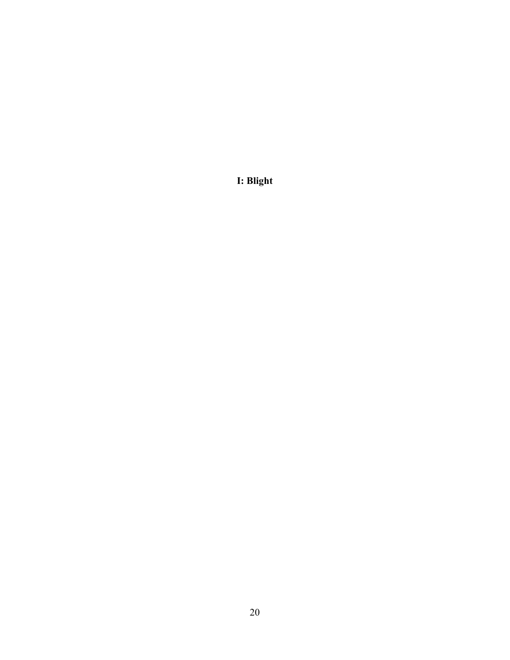I: Blight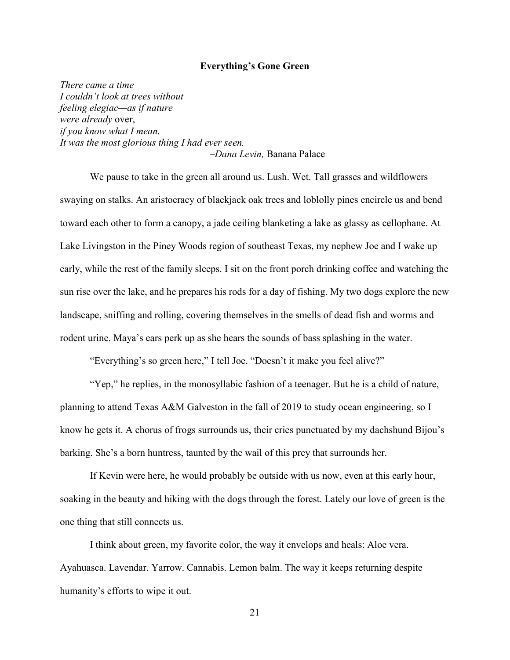### Everything's Gone Green

There came a time I couldn't look at trees without feeling elegiac—as if nature were already over, if you know what I mean. It was the most glorious thing I had ever seen.

–Dana Levin, Banana Palace

We pause to take in the green all around us. Lush. Wet. Tall grasses and wildflowers swaying on stalks. An aristocracy of blackjack oak trees and loblolly pines encircle us and bend toward each other to form a canopy, a jade ceiling blanketing a lake as glassy as cellophane. At Lake Livingston in the Piney Woods region of southeast Texas, my nephew Joe and I wake up early, while the rest of the family sleeps. I sit on the front porch drinking coffee and watching the sun rise over the lake, and he prepares his rods for a day of fishing. My two dogs explore the new landscape, sniffing and rolling, covering themselves in the smells of dead fish and worms and rodent urine. Maya's ears perk up as she hears the sounds of bass splashing in the water.

"Everything's so green here," I tell Joe. "Doesn't it make you feel alive?"

"Yep," he replies, in the monosyllabic fashion of a teenager. But he is a child of nature, planning to attend Texas A&M Galveston in the fall of 2019 to study ocean engineering, so I know he gets it. A chorus of frogs surrounds us, their cries punctuated by my dachshund Bijou's barking. She's a born huntress, taunted by the wail of this prey that surrounds her.

If Kevin were here, he would probably be outside with us now, even at this early hour, soaking in the beauty and hiking with the dogs through the forest. Lately our love of green is the one thing that still connects us.

I think about green, my favorite color, the way it envelops and heals: Aloe vera. Ayahuasca. Lavendar. Yarrow. Cannabis. Lemon balm. The way it keeps returning despite humanity's efforts to wipe it out.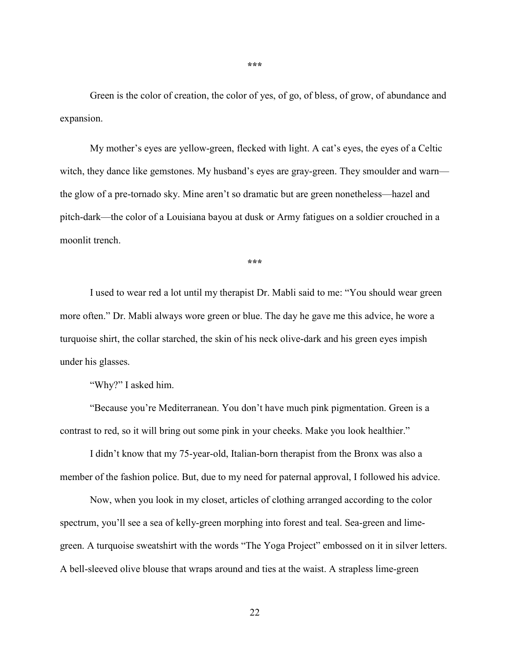Green is the color of creation, the color of yes, of go, of bless, of grow, of abundance and expansion.

My mother's eyes are yellow-green, flecked with light. A cat's eyes, the eyes of a Celtic witch, they dance like gemstones. My husband's eyes are gray-green. They smoulder and warn the glow of a pre-tornado sky. Mine aren't so dramatic but are green nonetheless—hazel and pitch-dark—the color of a Louisiana bayou at dusk or Army fatigues on a soldier crouched in a moonlit trench.

\*\*\*

I used to wear red a lot until my therapist Dr. Mabli said to me: "You should wear green more often." Dr. Mabli always wore green or blue. The day he gave me this advice, he wore a turquoise shirt, the collar starched, the skin of his neck olive-dark and his green eyes impish under his glasses.

"Why?" I asked him.

"Because you're Mediterranean. You don't have much pink pigmentation. Green is a contrast to red, so it will bring out some pink in your cheeks. Make you look healthier."

I didn't know that my 75-year-old, Italian-born therapist from the Bronx was also a member of the fashion police. But, due to my need for paternal approval, I followed his advice.

Now, when you look in my closet, articles of clothing arranged according to the color spectrum, you'll see a sea of kelly-green morphing into forest and teal. Sea-green and limegreen. A turquoise sweatshirt with the words "The Yoga Project" embossed on it in silver letters. A bell-sleeved olive blouse that wraps around and ties at the waist. A strapless lime-green

\*\*\*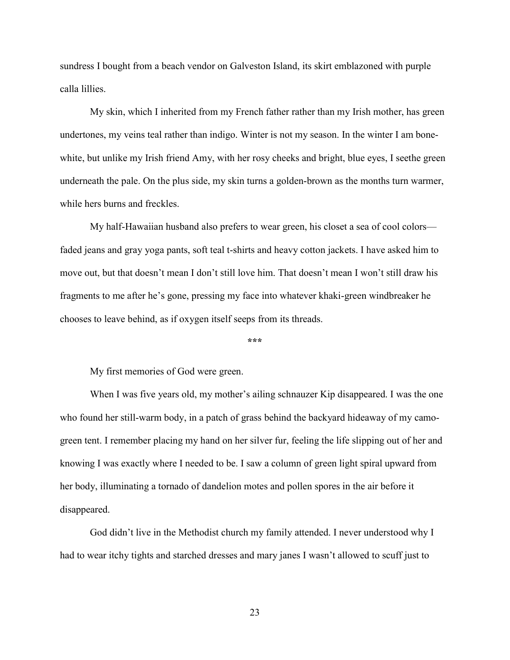sundress I bought from a beach vendor on Galveston Island, its skirt emblazoned with purple calla lillies.

My skin, which I inherited from my French father rather than my Irish mother, has green undertones, my veins teal rather than indigo. Winter is not my season. In the winter I am bonewhite, but unlike my Irish friend Amy, with her rosy cheeks and bright, blue eyes, I seethe green underneath the pale. On the plus side, my skin turns a golden-brown as the months turn warmer, while hers burns and freckles.

My half-Hawaiian husband also prefers to wear green, his closet a sea of cool colors faded jeans and gray yoga pants, soft teal t-shirts and heavy cotton jackets. I have asked him to move out, but that doesn't mean I don't still love him. That doesn't mean I won't still draw his fragments to me after he's gone, pressing my face into whatever khaki-green windbreaker he chooses to leave behind, as if oxygen itself seeps from its threads.

#### \*\*\*

My first memories of God were green.

When I was five years old, my mother's ailing schnauzer Kip disappeared. I was the one who found her still-warm body, in a patch of grass behind the backyard hideaway of my camogreen tent. I remember placing my hand on her silver fur, feeling the life slipping out of her and knowing I was exactly where I needed to be. I saw a column of green light spiral upward from her body, illuminating a tornado of dandelion motes and pollen spores in the air before it disappeared.

God didn't live in the Methodist church my family attended. I never understood why I had to wear itchy tights and starched dresses and mary janes I wasn't allowed to scuff just to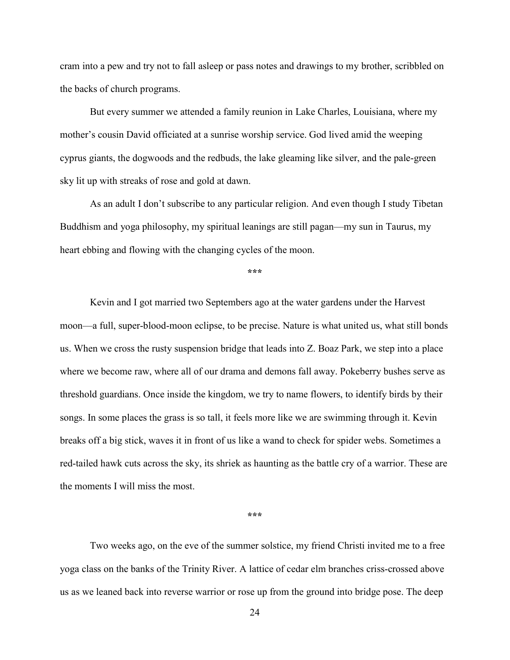cram into a pew and try not to fall asleep or pass notes and drawings to my brother, scribbled on the backs of church programs.

But every summer we attended a family reunion in Lake Charles, Louisiana, where my mother's cousin David officiated at a sunrise worship service. God lived amid the weeping cyprus giants, the dogwoods and the redbuds, the lake gleaming like silver, and the pale-green sky lit up with streaks of rose and gold at dawn.

As an adult I don't subscribe to any particular religion. And even though I study Tibetan Buddhism and yoga philosophy, my spiritual leanings are still pagan—my sun in Taurus, my heart ebbing and flowing with the changing cycles of the moon.

\*\*\*

Kevin and I got married two Septembers ago at the water gardens under the Harvest moon—a full, super-blood-moon eclipse, to be precise. Nature is what united us, what still bonds us. When we cross the rusty suspension bridge that leads into Z. Boaz Park, we step into a place where we become raw, where all of our drama and demons fall away. Pokeberry bushes serve as threshold guardians. Once inside the kingdom, we try to name flowers, to identify birds by their songs. In some places the grass is so tall, it feels more like we are swimming through it. Kevin breaks off a big stick, waves it in front of us like a wand to check for spider webs. Sometimes a red-tailed hawk cuts across the sky, its shriek as haunting as the battle cry of a warrior. These are the moments I will miss the most.

#### \*\*\*

Two weeks ago, on the eve of the summer solstice, my friend Christi invited me to a free yoga class on the banks of the Trinity River. A lattice of cedar elm branches criss-crossed above us as we leaned back into reverse warrior or rose up from the ground into bridge pose. The deep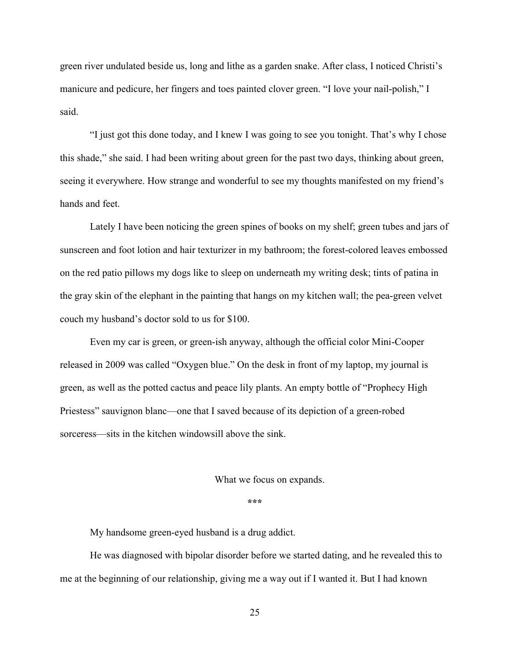green river undulated beside us, long and lithe as a garden snake. After class, I noticed Christi's manicure and pedicure, her fingers and toes painted clover green. "I love your nail-polish," I said.

"I just got this done today, and I knew I was going to see you tonight. That's why I chose this shade," she said. I had been writing about green for the past two days, thinking about green, seeing it everywhere. How strange and wonderful to see my thoughts manifested on my friend's hands and feet.

Lately I have been noticing the green spines of books on my shelf; green tubes and jars of sunscreen and foot lotion and hair texturizer in my bathroom; the forest-colored leaves embossed on the red patio pillows my dogs like to sleep on underneath my writing desk; tints of patina in the gray skin of the elephant in the painting that hangs on my kitchen wall; the pea-green velvet couch my husband's doctor sold to us for \$100.

Even my car is green, or green-ish anyway, although the official color Mini-Cooper released in 2009 was called "Oxygen blue." On the desk in front of my laptop, my journal is green, as well as the potted cactus and peace lily plants. An empty bottle of "Prophecy High Priestess" sauvignon blanc—one that I saved because of its depiction of a green-robed sorceress—sits in the kitchen windowsill above the sink.

#### What we focus on expands.

#### \*\*\*

My handsome green-eyed husband is a drug addict.

He was diagnosed with bipolar disorder before we started dating, and he revealed this to me at the beginning of our relationship, giving me a way out if I wanted it. But I had known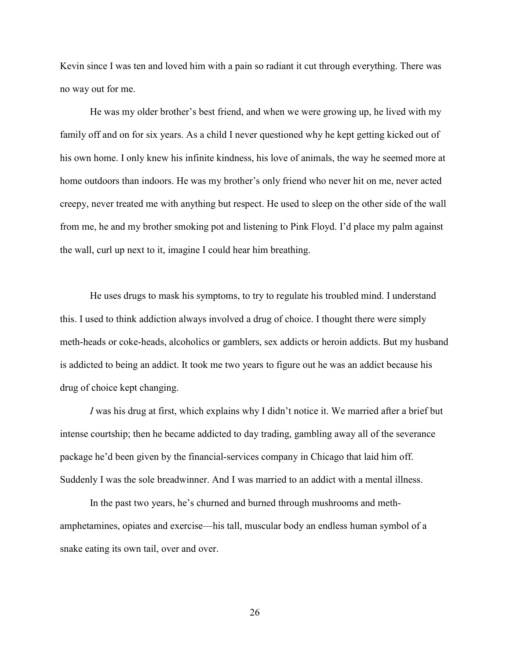Kevin since I was ten and loved him with a pain so radiant it cut through everything. There was no way out for me.

He was my older brother's best friend, and when we were growing up, he lived with my family off and on for six years. As a child I never questioned why he kept getting kicked out of his own home. I only knew his infinite kindness, his love of animals, the way he seemed more at home outdoors than indoors. He was my brother's only friend who never hit on me, never acted creepy, never treated me with anything but respect. He used to sleep on the other side of the wall from me, he and my brother smoking pot and listening to Pink Floyd. I'd place my palm against the wall, curl up next to it, imagine I could hear him breathing.

He uses drugs to mask his symptoms, to try to regulate his troubled mind. I understand this. I used to think addiction always involved a drug of choice. I thought there were simply meth-heads or coke-heads, alcoholics or gamblers, sex addicts or heroin addicts. But my husband is addicted to being an addict. It took me two years to figure out he was an addict because his drug of choice kept changing.

I was his drug at first, which explains why I didn't notice it. We married after a brief but intense courtship; then he became addicted to day trading, gambling away all of the severance package he'd been given by the financial-services company in Chicago that laid him off. Suddenly I was the sole breadwinner. And I was married to an addict with a mental illness.

In the past two years, he's churned and burned through mushrooms and methamphetamines, opiates and exercise—his tall, muscular body an endless human symbol of a snake eating its own tail, over and over.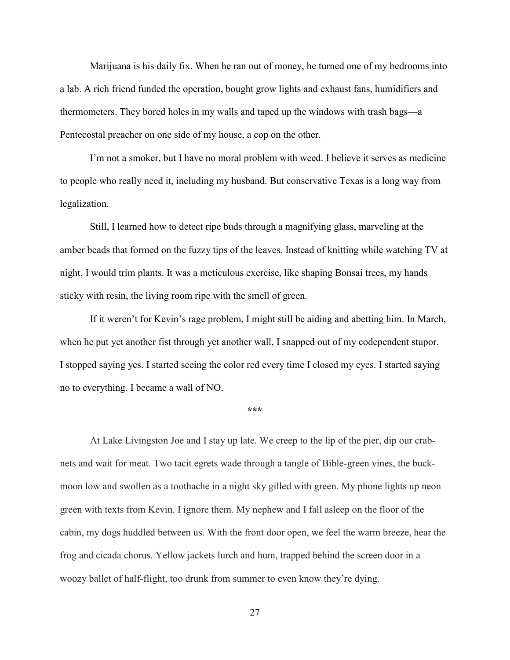Marijuana is his daily fix. When he ran out of money, he turned one of my bedrooms into a lab. A rich friend funded the operation, bought grow lights and exhaust fans, humidifiers and thermometers. They bored holes in my walls and taped up the windows with trash bags—a Pentecostal preacher on one side of my house, a cop on the other.

I'm not a smoker, but I have no moral problem with weed. I believe it serves as medicine to people who really need it, including my husband. But conservative Texas is a long way from legalization.

Still, I learned how to detect ripe buds through a magnifying glass, marveling at the amber beads that formed on the fuzzy tips of the leaves. Instead of knitting while watching TV at night, I would trim plants. It was a meticulous exercise, like shaping Bonsai trees, my hands sticky with resin, the living room ripe with the smell of green.

If it weren't for Kevin's rage problem, I might still be aiding and abetting him. In March, when he put yet another fist through yet another wall, I snapped out of my codependent stupor. I stopped saying yes. I started seeing the color red every time I closed my eyes. I started saying no to everything. I became a wall of NO.

\*\*\*

At Lake Livingston Joe and I stay up late. We creep to the lip of the pier, dip our crabnets and wait for meat. Two tacit egrets wade through a tangle of Bible-green vines, the buckmoon low and swollen as a toothache in a night sky gilled with green. My phone lights up neon green with texts from Kevin. I ignore them. My nephew and I fall asleep on the floor of the cabin, my dogs huddled between us. With the front door open, we feel the warm breeze, hear the frog and cicada chorus. Yellow jackets lurch and hum, trapped behind the screen door in a woozy ballet of half-flight, too drunk from summer to even know they're dying.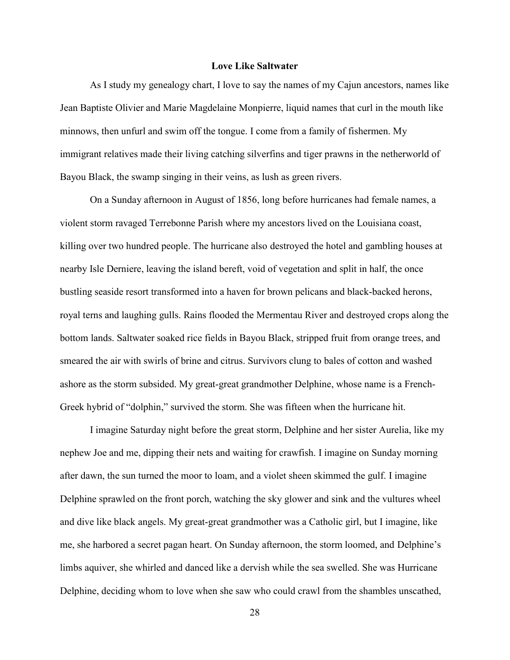#### Love Like Saltwater

As I study my genealogy chart, I love to say the names of my Cajun ancestors, names like Jean Baptiste Olivier and Marie Magdelaine Monpierre, liquid names that curl in the mouth like minnows, then unfurl and swim off the tongue. I come from a family of fishermen. My immigrant relatives made their living catching silverfins and tiger prawns in the netherworld of Bayou Black, the swamp singing in their veins, as lush as green rivers.

On a Sunday afternoon in August of 1856, long before hurricanes had female names, a violent storm ravaged Terrebonne Parish where my ancestors lived on the Louisiana coast, killing over two hundred people. The hurricane also destroyed the hotel and gambling houses at nearby Isle Derniere, leaving the island bereft, void of vegetation and split in half, the once bustling seaside resort transformed into a haven for brown pelicans and black-backed herons, royal terns and laughing gulls. Rains flooded the Mermentau River and destroyed crops along the bottom lands. Saltwater soaked rice fields in Bayou Black, stripped fruit from orange trees, and smeared the air with swirls of brine and citrus. Survivors clung to bales of cotton and washed ashore as the storm subsided. My great-great grandmother Delphine, whose name is a French-Greek hybrid of "dolphin," survived the storm. She was fifteen when the hurricane hit.

I imagine Saturday night before the great storm, Delphine and her sister Aurelia, like my nephew Joe and me, dipping their nets and waiting for crawfish. I imagine on Sunday morning after dawn, the sun turned the moor to loam, and a violet sheen skimmed the gulf. I imagine Delphine sprawled on the front porch, watching the sky glower and sink and the vultures wheel and dive like black angels. My great-great grandmother was a Catholic girl, but I imagine, like me, she harbored a secret pagan heart. On Sunday afternoon, the storm loomed, and Delphine's limbs aquiver, she whirled and danced like a dervish while the sea swelled. She was Hurricane Delphine, deciding whom to love when she saw who could crawl from the shambles unscathed,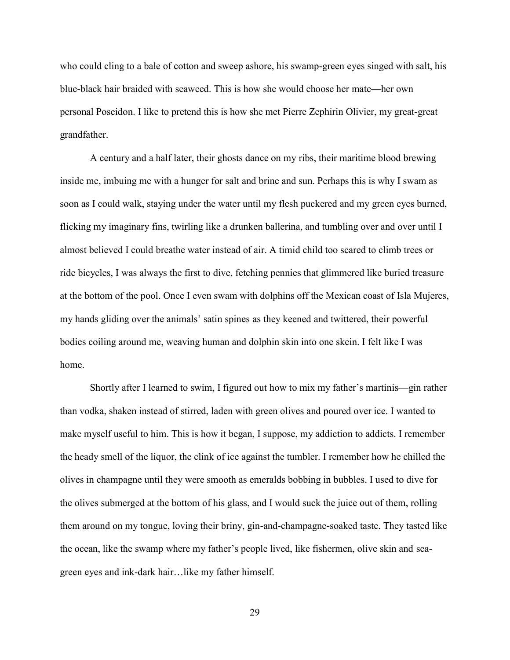who could cling to a bale of cotton and sweep ashore, his swamp-green eyes singed with salt, his blue-black hair braided with seaweed. This is how she would choose her mate—her own personal Poseidon. I like to pretend this is how she met Pierre Zephirin Olivier, my great-great grandfather.

A century and a half later, their ghosts dance on my ribs, their maritime blood brewing inside me, imbuing me with a hunger for salt and brine and sun. Perhaps this is why I swam as soon as I could walk, staying under the water until my flesh puckered and my green eyes burned, flicking my imaginary fins, twirling like a drunken ballerina, and tumbling over and over until I almost believed I could breathe water instead of air. A timid child too scared to climb trees or ride bicycles, I was always the first to dive, fetching pennies that glimmered like buried treasure at the bottom of the pool. Once I even swam with dolphins off the Mexican coast of Isla Mujeres, my hands gliding over the animals' satin spines as they keened and twittered, their powerful bodies coiling around me, weaving human and dolphin skin into one skein. I felt like I was home.

Shortly after I learned to swim, I figured out how to mix my father's martinis—gin rather than vodka, shaken instead of stirred, laden with green olives and poured over ice. I wanted to make myself useful to him. This is how it began, I suppose, my addiction to addicts. I remember the heady smell of the liquor, the clink of ice against the tumbler. I remember how he chilled the olives in champagne until they were smooth as emeralds bobbing in bubbles. I used to dive for the olives submerged at the bottom of his glass, and I would suck the juice out of them, rolling them around on my tongue, loving their briny, gin-and-champagne-soaked taste. They tasted like the ocean, like the swamp where my father's people lived, like fishermen, olive skin and seagreen eyes and ink-dark hair…like my father himself.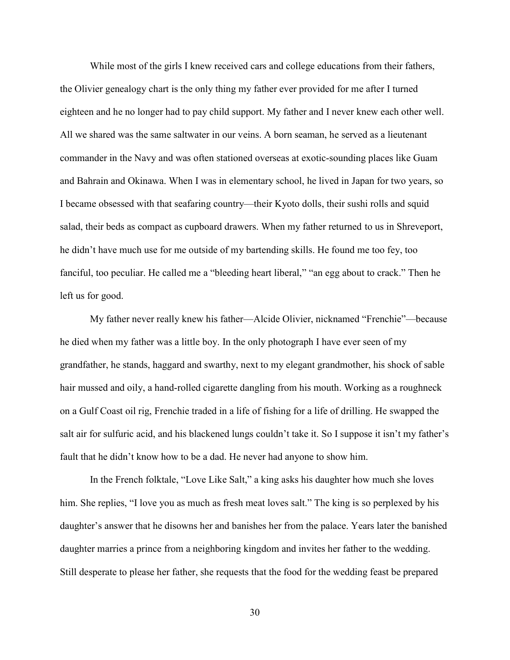While most of the girls I knew received cars and college educations from their fathers, the Olivier genealogy chart is the only thing my father ever provided for me after I turned eighteen and he no longer had to pay child support. My father and I never knew each other well. All we shared was the same saltwater in our veins. A born seaman, he served as a lieutenant commander in the Navy and was often stationed overseas at exotic-sounding places like Guam and Bahrain and Okinawa. When I was in elementary school, he lived in Japan for two years, so I became obsessed with that seafaring country—their Kyoto dolls, their sushi rolls and squid salad, their beds as compact as cupboard drawers. When my father returned to us in Shreveport, he didn't have much use for me outside of my bartending skills. He found me too fey, too fanciful, too peculiar. He called me a "bleeding heart liberal," "an egg about to crack." Then he left us for good.

My father never really knew his father—Alcide Olivier, nicknamed "Frenchie"—because he died when my father was a little boy. In the only photograph I have ever seen of my grandfather, he stands, haggard and swarthy, next to my elegant grandmother, his shock of sable hair mussed and oily, a hand-rolled cigarette dangling from his mouth. Working as a roughneck on a Gulf Coast oil rig, Frenchie traded in a life of fishing for a life of drilling. He swapped the salt air for sulfuric acid, and his blackened lungs couldn't take it. So I suppose it isn't my father's fault that he didn't know how to be a dad. He never had anyone to show him.

In the French folktale, "Love Like Salt," a king asks his daughter how much she loves him. She replies, "I love you as much as fresh meat loves salt." The king is so perplexed by his daughter's answer that he disowns her and banishes her from the palace. Years later the banished daughter marries a prince from a neighboring kingdom and invites her father to the wedding. Still desperate to please her father, she requests that the food for the wedding feast be prepared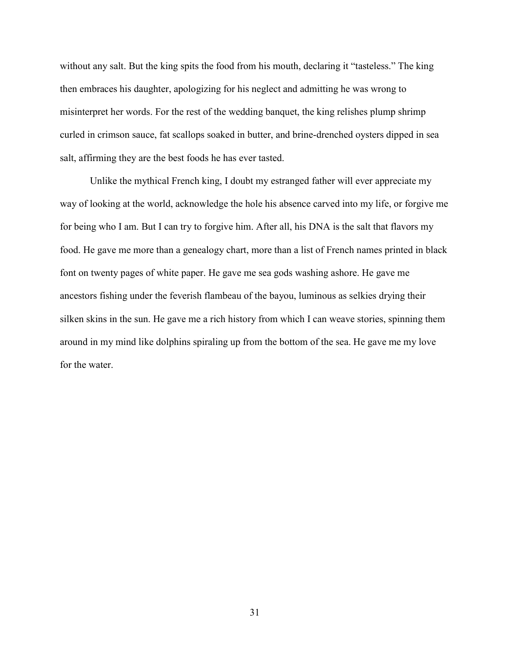without any salt. But the king spits the food from his mouth, declaring it "tasteless." The king then embraces his daughter, apologizing for his neglect and admitting he was wrong to misinterpret her words. For the rest of the wedding banquet, the king relishes plump shrimp curled in crimson sauce, fat scallops soaked in butter, and brine-drenched oysters dipped in sea salt, affirming they are the best foods he has ever tasted.

Unlike the mythical French king, I doubt my estranged father will ever appreciate my way of looking at the world, acknowledge the hole his absence carved into my life, or forgive me for being who I am. But I can try to forgive him. After all, his DNA is the salt that flavors my food. He gave me more than a genealogy chart, more than a list of French names printed in black font on twenty pages of white paper. He gave me sea gods washing ashore. He gave me ancestors fishing under the feverish flambeau of the bayou, luminous as selkies drying their silken skins in the sun. He gave me a rich history from which I can weave stories, spinning them around in my mind like dolphins spiraling up from the bottom of the sea. He gave me my love for the water.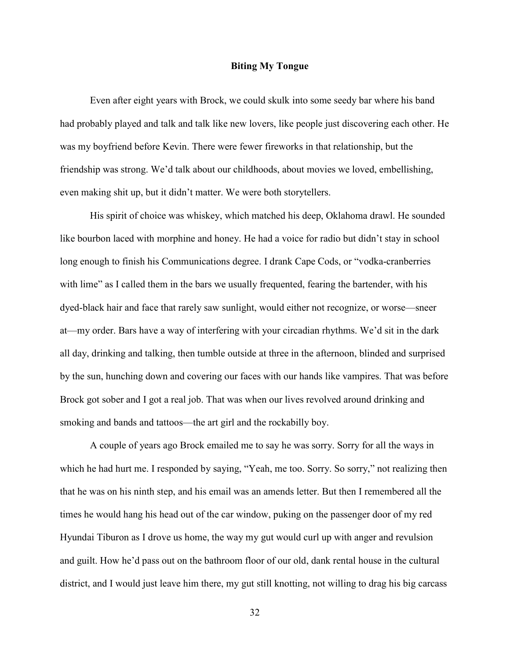# Biting My Tongue

Even after eight years with Brock, we could skulk into some seedy bar where his band had probably played and talk and talk like new lovers, like people just discovering each other. He was my boyfriend before Kevin. There were fewer fireworks in that relationship, but the friendship was strong. We'd talk about our childhoods, about movies we loved, embellishing, even making shit up, but it didn't matter. We were both storytellers.

His spirit of choice was whiskey, which matched his deep, Oklahoma drawl. He sounded like bourbon laced with morphine and honey. He had a voice for radio but didn't stay in school long enough to finish his Communications degree. I drank Cape Cods, or "vodka-cranberries with lime" as I called them in the bars we usually frequented, fearing the bartender, with his dyed-black hair and face that rarely saw sunlight, would either not recognize, or worse—sneer at—my order. Bars have a way of interfering with your circadian rhythms. We'd sit in the dark all day, drinking and talking, then tumble outside at three in the afternoon, blinded and surprised by the sun, hunching down and covering our faces with our hands like vampires. That was before Brock got sober and I got a real job. That was when our lives revolved around drinking and smoking and bands and tattoos—the art girl and the rockabilly boy.

A couple of years ago Brock emailed me to say he was sorry. Sorry for all the ways in which he had hurt me. I responded by saying, "Yeah, me too. Sorry. So sorry," not realizing then that he was on his ninth step, and his email was an amends letter. But then I remembered all the times he would hang his head out of the car window, puking on the passenger door of my red Hyundai Tiburon as I drove us home, the way my gut would curl up with anger and revulsion and guilt. How he'd pass out on the bathroom floor of our old, dank rental house in the cultural district, and I would just leave him there, my gut still knotting, not willing to drag his big carcass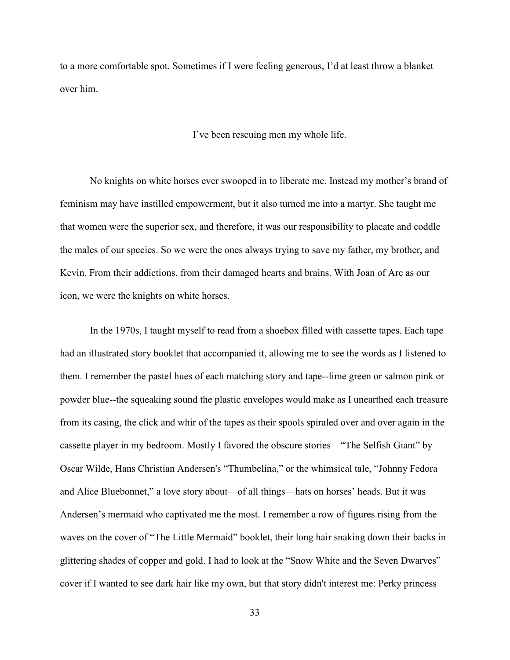to a more comfortable spot. Sometimes if I were feeling generous, I'd at least throw a blanket over him.

I've been rescuing men my whole life.

No knights on white horses ever swooped in to liberate me. Instead my mother's brand of feminism may have instilled empowerment, but it also turned me into a martyr. She taught me that women were the superior sex, and therefore, it was our responsibility to placate and coddle the males of our species. So we were the ones always trying to save my father, my brother, and Kevin. From their addictions, from their damaged hearts and brains. With Joan of Arc as our icon, we were the knights on white horses.

In the 1970s, I taught myself to read from a shoebox filled with cassette tapes. Each tape had an illustrated story booklet that accompanied it, allowing me to see the words as I listened to them. I remember the pastel hues of each matching story and tape--lime green or salmon pink or powder blue--the squeaking sound the plastic envelopes would make as I unearthed each treasure from its casing, the click and whir of the tapes as their spools spiraled over and over again in the cassette player in my bedroom. Mostly I favored the obscure stories—"The Selfish Giant" by Oscar Wilde, Hans Christian Andersen's "Thumbelina," or the whimsical tale, "Johnny Fedora and Alice Bluebonnet," a love story about—of all things—hats on horses' heads. But it was Andersen's mermaid who captivated me the most. I remember a row of figures rising from the waves on the cover of "The Little Mermaid" booklet, their long hair snaking down their backs in glittering shades of copper and gold. I had to look at the "Snow White and the Seven Dwarves" cover if I wanted to see dark hair like my own, but that story didn't interest me: Perky princess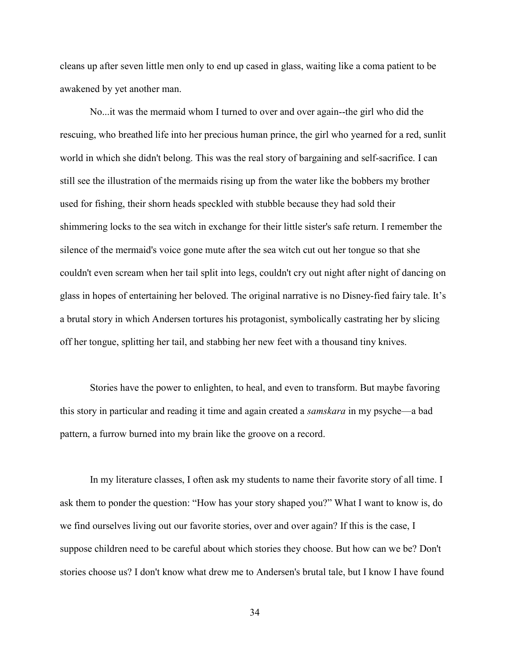cleans up after seven little men only to end up cased in glass, waiting like a coma patient to be awakened by yet another man.

No...it was the mermaid whom I turned to over and over again--the girl who did the rescuing, who breathed life into her precious human prince, the girl who yearned for a red, sunlit world in which she didn't belong. This was the real story of bargaining and self-sacrifice. I can still see the illustration of the mermaids rising up from the water like the bobbers my brother used for fishing, their shorn heads speckled with stubble because they had sold their shimmering locks to the sea witch in exchange for their little sister's safe return. I remember the silence of the mermaid's voice gone mute after the sea witch cut out her tongue so that she couldn't even scream when her tail split into legs, couldn't cry out night after night of dancing on glass in hopes of entertaining her beloved. The original narrative is no Disney-fied fairy tale. It's a brutal story in which Andersen tortures his protagonist, symbolically castrating her by slicing off her tongue, splitting her tail, and stabbing her new feet with a thousand tiny knives.

Stories have the power to enlighten, to heal, and even to transform. But maybe favoring this story in particular and reading it time and again created a samskara in my psyche—a bad pattern, a furrow burned into my brain like the groove on a record.

In my literature classes, I often ask my students to name their favorite story of all time. I ask them to ponder the question: "How has your story shaped you?" What I want to know is, do we find ourselves living out our favorite stories, over and over again? If this is the case, I suppose children need to be careful about which stories they choose. But how can we be? Don't stories choose us? I don't know what drew me to Andersen's brutal tale, but I know I have found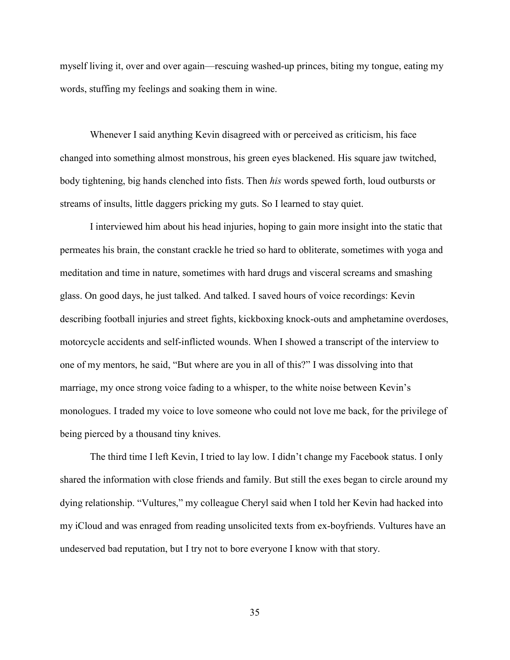myself living it, over and over again—rescuing washed-up princes, biting my tongue, eating my words, stuffing my feelings and soaking them in wine.

Whenever I said anything Kevin disagreed with or perceived as criticism, his face changed into something almost monstrous, his green eyes blackened. His square jaw twitched, body tightening, big hands clenched into fists. Then his words spewed forth, loud outbursts or streams of insults, little daggers pricking my guts. So I learned to stay quiet.

I interviewed him about his head injuries, hoping to gain more insight into the static that permeates his brain, the constant crackle he tried so hard to obliterate, sometimes with yoga and meditation and time in nature, sometimes with hard drugs and visceral screams and smashing glass. On good days, he just talked. And talked. I saved hours of voice recordings: Kevin describing football injuries and street fights, kickboxing knock-outs and amphetamine overdoses, motorcycle accidents and self-inflicted wounds. When I showed a transcript of the interview to one of my mentors, he said, "But where are you in all of this?" I was dissolving into that marriage, my once strong voice fading to a whisper, to the white noise between Kevin's monologues. I traded my voice to love someone who could not love me back, for the privilege of being pierced by a thousand tiny knives.

The third time I left Kevin, I tried to lay low. I didn't change my Facebook status. I only shared the information with close friends and family. But still the exes began to circle around my dying relationship. "Vultures," my colleague Cheryl said when I told her Kevin had hacked into my iCloud and was enraged from reading unsolicited texts from ex-boyfriends. Vultures have an undeserved bad reputation, but I try not to bore everyone I know with that story.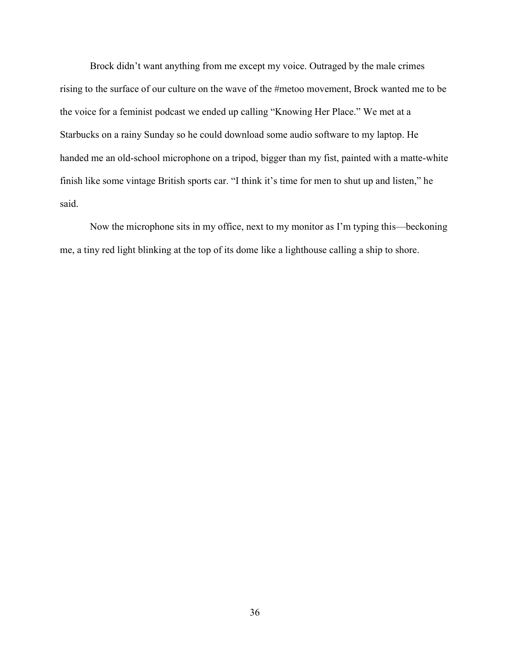Brock didn't want anything from me except my voice. Outraged by the male crimes rising to the surface of our culture on the wave of the #metoo movement, Brock wanted me to be the voice for a feminist podcast we ended up calling "Knowing Her Place." We met at a Starbucks on a rainy Sunday so he could download some audio software to my laptop. He handed me an old-school microphone on a tripod, bigger than my fist, painted with a matte-white finish like some vintage British sports car. "I think it's time for men to shut up and listen," he said.

Now the microphone sits in my office, next to my monitor as I'm typing this—beckoning me, a tiny red light blinking at the top of its dome like a lighthouse calling a ship to shore.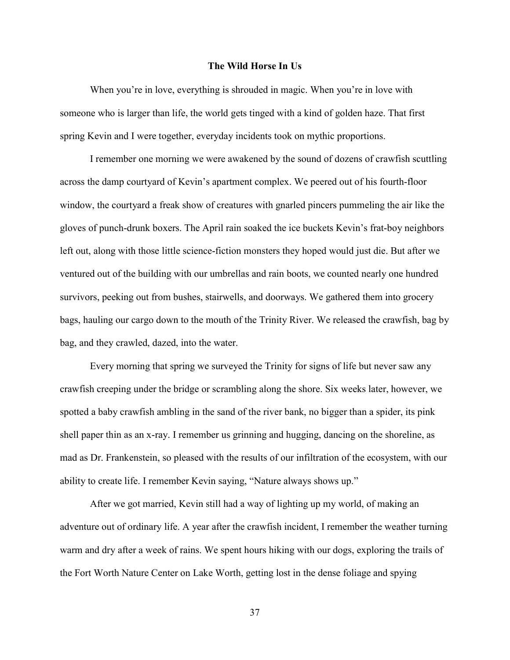#### The Wild Horse In Us

When you're in love, everything is shrouded in magic. When you're in love with someone who is larger than life, the world gets tinged with a kind of golden haze. That first spring Kevin and I were together, everyday incidents took on mythic proportions.

I remember one morning we were awakened by the sound of dozens of crawfish scuttling across the damp courtyard of Kevin's apartment complex. We peered out of his fourth-floor window, the courtyard a freak show of creatures with gnarled pincers pummeling the air like the gloves of punch-drunk boxers. The April rain soaked the ice buckets Kevin's frat-boy neighbors left out, along with those little science-fiction monsters they hoped would just die. But after we ventured out of the building with our umbrellas and rain boots, we counted nearly one hundred survivors, peeking out from bushes, stairwells, and doorways. We gathered them into grocery bags, hauling our cargo down to the mouth of the Trinity River. We released the crawfish, bag by bag, and they crawled, dazed, into the water.

Every morning that spring we surveyed the Trinity for signs of life but never saw any crawfish creeping under the bridge or scrambling along the shore. Six weeks later, however, we spotted a baby crawfish ambling in the sand of the river bank, no bigger than a spider, its pink shell paper thin as an x-ray. I remember us grinning and hugging, dancing on the shoreline, as mad as Dr. Frankenstein, so pleased with the results of our infiltration of the ecosystem, with our ability to create life. I remember Kevin saying, "Nature always shows up."

After we got married, Kevin still had a way of lighting up my world, of making an adventure out of ordinary life. A year after the crawfish incident, I remember the weather turning warm and dry after a week of rains. We spent hours hiking with our dogs, exploring the trails of the Fort Worth Nature Center on Lake Worth, getting lost in the dense foliage and spying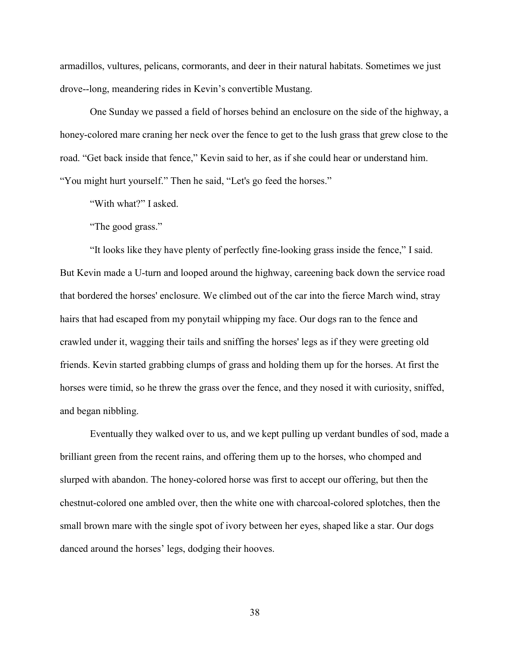armadillos, vultures, pelicans, cormorants, and deer in their natural habitats. Sometimes we just drove--long, meandering rides in Kevin's convertible Mustang.

One Sunday we passed a field of horses behind an enclosure on the side of the highway, a honey-colored mare craning her neck over the fence to get to the lush grass that grew close to the road. "Get back inside that fence," Kevin said to her, as if she could hear or understand him. "You might hurt yourself." Then he said, "Let's go feed the horses."

"With what?" I asked.

"The good grass."

"It looks like they have plenty of perfectly fine-looking grass inside the fence," I said. But Kevin made a U-turn and looped around the highway, careening back down the service road that bordered the horses' enclosure. We climbed out of the car into the fierce March wind, stray hairs that had escaped from my ponytail whipping my face. Our dogs ran to the fence and crawled under it, wagging their tails and sniffing the horses' legs as if they were greeting old friends. Kevin started grabbing clumps of grass and holding them up for the horses. At first the horses were timid, so he threw the grass over the fence, and they nosed it with curiosity, sniffed, and began nibbling.

Eventually they walked over to us, and we kept pulling up verdant bundles of sod, made a brilliant green from the recent rains, and offering them up to the horses, who chomped and slurped with abandon. The honey-colored horse was first to accept our offering, but then the chestnut-colored one ambled over, then the white one with charcoal-colored splotches, then the small brown mare with the single spot of ivory between her eyes, shaped like a star. Our dogs danced around the horses' legs, dodging their hooves.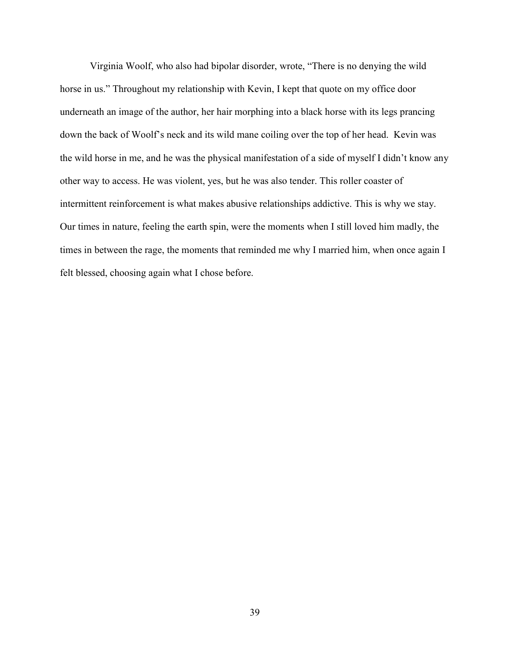Virginia Woolf, who also had bipolar disorder, wrote, "There is no denying the wild horse in us." Throughout my relationship with Kevin, I kept that quote on my office door underneath an image of the author, her hair morphing into a black horse with its legs prancing down the back of Woolf's neck and its wild mane coiling over the top of her head. Kevin was the wild horse in me, and he was the physical manifestation of a side of myself I didn't know any other way to access. He was violent, yes, but he was also tender. This roller coaster of intermittent reinforcement is what makes abusive relationships addictive. This is why we stay. Our times in nature, feeling the earth spin, were the moments when I still loved him madly, the times in between the rage, the moments that reminded me why I married him, when once again I felt blessed, choosing again what I chose before.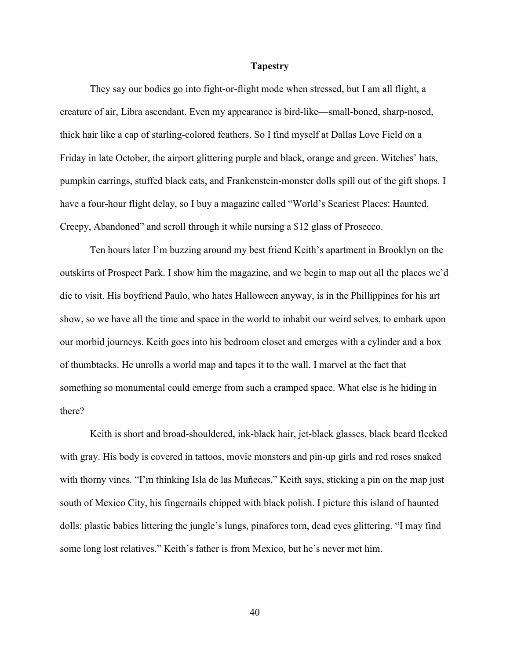## Tapestry

They say our bodies go into fight-or-flight mode when stressed, but I am all flight, a creature of air, Libra ascendant. Even my appearance is bird-like—small-boned, sharp-nosed, thick hair like a cap of starling-colored feathers. So I find myself at Dallas Love Field on a Friday in late October, the airport glittering purple and black, orange and green. Witches' hats, pumpkin earrings, stuffed black cats, and Frankenstein-monster dolls spill out of the gift shops. I have a four-hour flight delay, so I buy a magazine called "World's Scariest Places: Haunted, Creepy, Abandoned" and scroll through it while nursing a \$12 glass of Prosecco.

Ten hours later I'm buzzing around my best friend Keith's apartment in Brooklyn on the outskirts of Prospect Park. I show him the magazine, and we begin to map out all the places we'd die to visit. His boyfriend Paulo, who hates Halloween anyway, is in the Phillippines for his art show, so we have all the time and space in the world to inhabit our weird selves, to embark upon our morbid journeys. Keith goes into his bedroom closet and emerges with a cylinder and a box of thumbtacks. He unrolls a world map and tapes it to the wall. I marvel at the fact that something so monumental could emerge from such a cramped space. What else is he hiding in there?

Keith is short and broad-shouldered, ink-black hair, jet-black glasses, black beard flecked with gray. His body is covered in tattoos, movie monsters and pin-up girls and red roses snaked with thorny vines. "I'm thinking Isla de las Muñecas," Keith says, sticking a pin on the map just south of Mexico City, his fingernails chipped with black polish. I picture this island of haunted dolls: plastic babies littering the jungle's lungs, pinafores torn, dead eyes glittering. "I may find some long lost relatives." Keith's father is from Mexico, but he's never met him.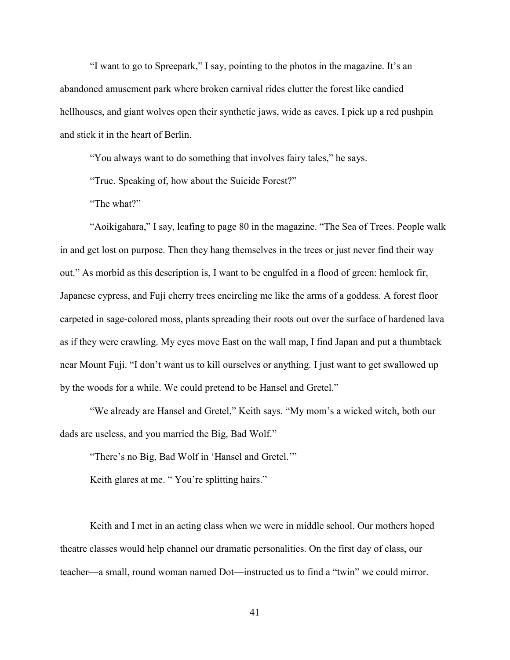"I want to go to Spreepark," I say, pointing to the photos in the magazine. It's an abandoned amusement park where broken carnival rides clutter the forest like candied hellhouses, and giant wolves open their synthetic jaws, wide as caves. I pick up a red pushpin and stick it in the heart of Berlin.

"You always want to do something that involves fairy tales," he says.

"True. Speaking of, how about the Suicide Forest?"

"The what?"

 "Aoikigahara," I say, leafing to page 80 in the magazine. "The Sea of Trees. People walk in and get lost on purpose. Then they hang themselves in the trees or just never find their way out." As morbid as this description is, I want to be engulfed in a flood of green: hemlock fir, Japanese cypress, and Fuji cherry trees encircling me like the arms of a goddess. A forest floor carpeted in sage-colored moss, plants spreading their roots out over the surface of hardened lava as if they were crawling. My eyes move East on the wall map, I find Japan and put a thumbtack near Mount Fuji. "I don't want us to kill ourselves or anything. I just want to get swallowed up by the woods for a while. We could pretend to be Hansel and Gretel."

"We already are Hansel and Gretel," Keith says. "My mom's a wicked witch, both our dads are useless, and you married the Big, Bad Wolf."

"There's no Big, Bad Wolf in 'Hansel and Gretel.'"

Keith glares at me. " You're splitting hairs."

Keith and I met in an acting class when we were in middle school. Our mothers hoped theatre classes would help channel our dramatic personalities. On the first day of class, our teacher—a small, round woman named Dot—instructed us to find a "twin" we could mirror.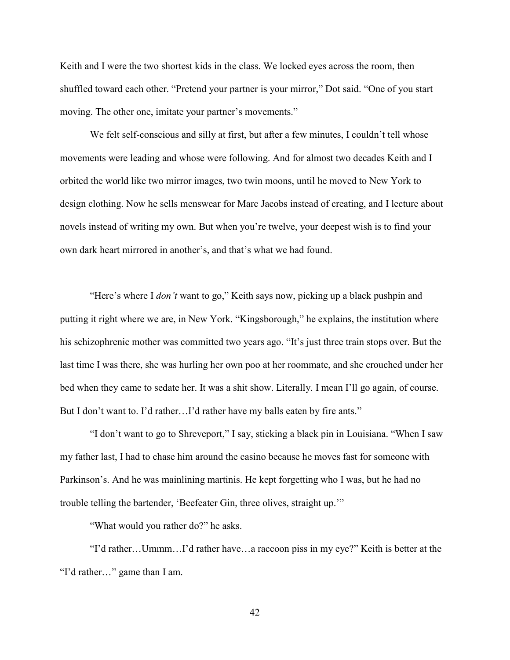Keith and I were the two shortest kids in the class. We locked eyes across the room, then shuffled toward each other. "Pretend your partner is your mirror," Dot said. "One of you start moving. The other one, imitate your partner's movements."

We felt self-conscious and silly at first, but after a few minutes, I couldn't tell whose movements were leading and whose were following. And for almost two decades Keith and I orbited the world like two mirror images, two twin moons, until he moved to New York to design clothing. Now he sells menswear for Marc Jacobs instead of creating, and I lecture about novels instead of writing my own. But when you're twelve, your deepest wish is to find your own dark heart mirrored in another's, and that's what we had found.

"Here's where I don't want to go," Keith says now, picking up a black pushpin and putting it right where we are, in New York. "Kingsborough," he explains, the institution where his schizophrenic mother was committed two years ago. "It's just three train stops over. But the last time I was there, she was hurling her own poo at her roommate, and she crouched under her bed when they came to sedate her. It was a shit show. Literally. I mean I'll go again, of course. But I don't want to. I'd rather...I'd rather have my balls eaten by fire ants."

"I don't want to go to Shreveport," I say, sticking a black pin in Louisiana. "When I saw my father last, I had to chase him around the casino because he moves fast for someone with Parkinson's. And he was mainlining martinis. He kept forgetting who I was, but he had no trouble telling the bartender, 'Beefeater Gin, three olives, straight up.'"

"What would you rather do?" he asks.

"I'd rather…Ummm…I'd rather have…a raccoon piss in my eye?" Keith is better at the "I'd rather…" game than I am.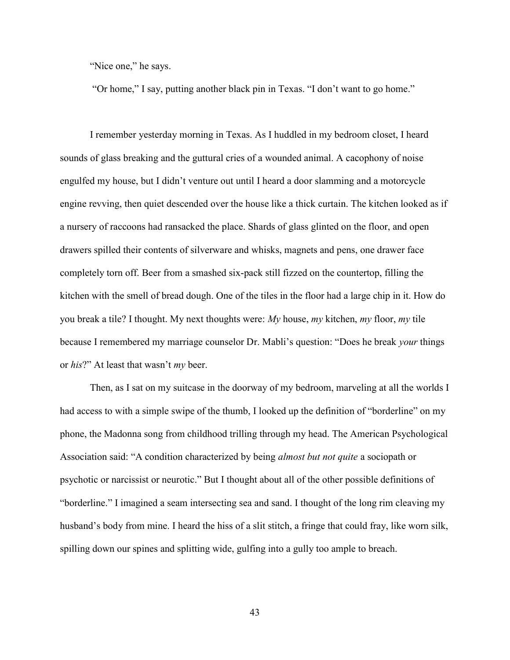"Nice one," he says.

"Or home," I say, putting another black pin in Texas. "I don't want to go home."

I remember yesterday morning in Texas. As I huddled in my bedroom closet, I heard sounds of glass breaking and the guttural cries of a wounded animal. A cacophony of noise engulfed my house, but I didn't venture out until I heard a door slamming and a motorcycle engine revving, then quiet descended over the house like a thick curtain. The kitchen looked as if a nursery of raccoons had ransacked the place. Shards of glass glinted on the floor, and open drawers spilled their contents of silverware and whisks, magnets and pens, one drawer face completely torn off. Beer from a smashed six-pack still fizzed on the countertop, filling the kitchen with the smell of bread dough. One of the tiles in the floor had a large chip in it. How do you break a tile? I thought. My next thoughts were: My house, my kitchen, my floor, my tile because I remembered my marriage counselor Dr. Mabli's question: "Does he break your things or his?" At least that wasn't my beer.

Then, as I sat on my suitcase in the doorway of my bedroom, marveling at all the worlds I had access to with a simple swipe of the thumb, I looked up the definition of "borderline" on my phone, the Madonna song from childhood trilling through my head. The American Psychological Association said: "A condition characterized by being almost but not quite a sociopath or psychotic or narcissist or neurotic." But I thought about all of the other possible definitions of "borderline." I imagined a seam intersecting sea and sand. I thought of the long rim cleaving my husband's body from mine. I heard the hiss of a slit stitch, a fringe that could fray, like worn silk, spilling down our spines and splitting wide, gulfing into a gully too ample to breach.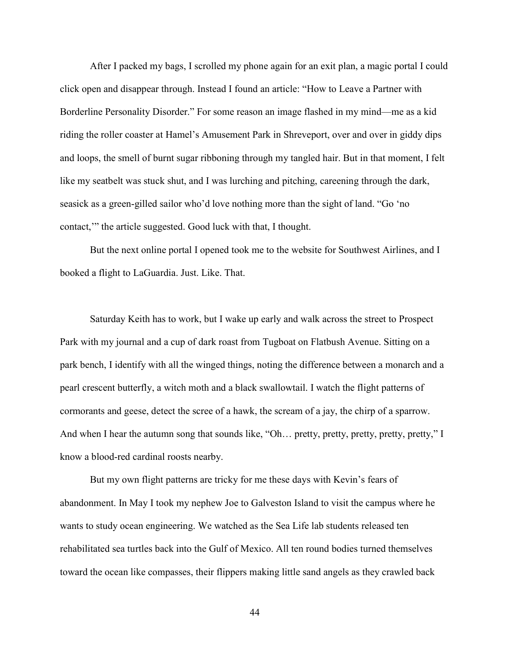After I packed my bags, I scrolled my phone again for an exit plan, a magic portal I could click open and disappear through. Instead I found an article: "How to Leave a Partner with Borderline Personality Disorder." For some reason an image flashed in my mind—me as a kid riding the roller coaster at Hamel's Amusement Park in Shreveport, over and over in giddy dips and loops, the smell of burnt sugar ribboning through my tangled hair. But in that moment, I felt like my seatbelt was stuck shut, and I was lurching and pitching, careening through the dark, seasick as a green-gilled sailor who'd love nothing more than the sight of land. "Go 'no contact,'" the article suggested. Good luck with that, I thought.

But the next online portal I opened took me to the website for Southwest Airlines, and I booked a flight to LaGuardia. Just. Like. That.

Saturday Keith has to work, but I wake up early and walk across the street to Prospect Park with my journal and a cup of dark roast from Tugboat on Flatbush Avenue. Sitting on a park bench, I identify with all the winged things, noting the difference between a monarch and a pearl crescent butterfly, a witch moth and a black swallowtail. I watch the flight patterns of cormorants and geese, detect the scree of a hawk, the scream of a jay, the chirp of a sparrow. And when I hear the autumn song that sounds like, "Oh... pretty, pretty, pretty, pretty, pretty," I know a blood-red cardinal roosts nearby.

 But my own flight patterns are tricky for me these days with Kevin's fears of abandonment. In May I took my nephew Joe to Galveston Island to visit the campus where he wants to study ocean engineering. We watched as the Sea Life lab students released ten rehabilitated sea turtles back into the Gulf of Mexico. All ten round bodies turned themselves toward the ocean like compasses, their flippers making little sand angels as they crawled back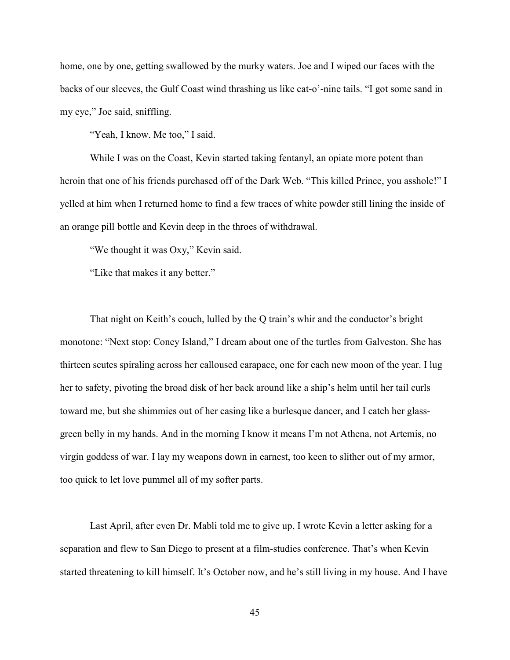home, one by one, getting swallowed by the murky waters. Joe and I wiped our faces with the backs of our sleeves, the Gulf Coast wind thrashing us like cat-o'-nine tails. "I got some sand in my eye," Joe said, sniffling.

"Yeah, I know. Me too," I said.

While I was on the Coast, Kevin started taking fentanyl, an opiate more potent than heroin that one of his friends purchased off of the Dark Web. "This killed Prince, you asshole!" I yelled at him when I returned home to find a few traces of white powder still lining the inside of an orange pill bottle and Kevin deep in the throes of withdrawal.

"We thought it was Oxy," Kevin said.

"Like that makes it any better."

That night on Keith's couch, lulled by the Q train's whir and the conductor's bright monotone: "Next stop: Coney Island," I dream about one of the turtles from Galveston. She has thirteen scutes spiraling across her calloused carapace, one for each new moon of the year. I lug her to safety, pivoting the broad disk of her back around like a ship's helm until her tail curls toward me, but she shimmies out of her casing like a burlesque dancer, and I catch her glassgreen belly in my hands. And in the morning I know it means I'm not Athena, not Artemis, no virgin goddess of war. I lay my weapons down in earnest, too keen to slither out of my armor, too quick to let love pummel all of my softer parts.

Last April, after even Dr. Mabli told me to give up, I wrote Kevin a letter asking for a separation and flew to San Diego to present at a film-studies conference. That's when Kevin started threatening to kill himself. It's October now, and he's still living in my house. And I have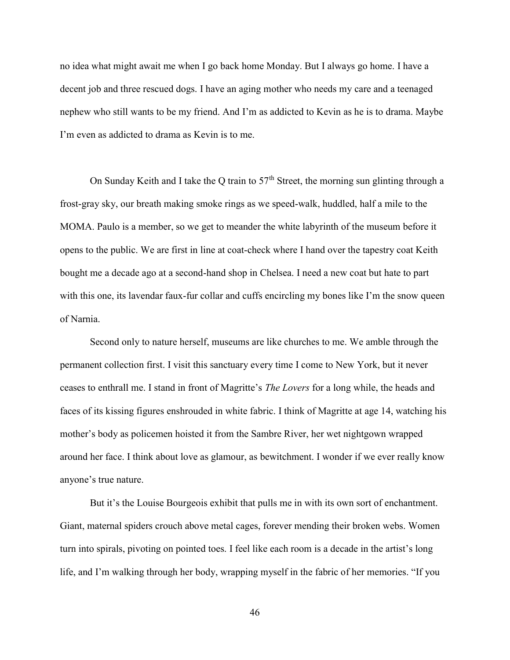no idea what might await me when I go back home Monday. But I always go home. I have a decent job and three rescued dogs. I have an aging mother who needs my care and a teenaged nephew who still wants to be my friend. And I'm as addicted to Kevin as he is to drama. Maybe I'm even as addicted to drama as Kevin is to me.

On Sunday Keith and I take the Q train to  $57<sup>th</sup>$  Street, the morning sun glinting through a frost-gray sky, our breath making smoke rings as we speed-walk, huddled, half a mile to the MOMA. Paulo is a member, so we get to meander the white labyrinth of the museum before it opens to the public. We are first in line at coat-check where I hand over the tapestry coat Keith bought me a decade ago at a second-hand shop in Chelsea. I need a new coat but hate to part with this one, its lavendar faux-fur collar and cuffs encircling my bones like I'm the snow queen of Narnia.

Second only to nature herself, museums are like churches to me. We amble through the permanent collection first. I visit this sanctuary every time I come to New York, but it never ceases to enthrall me. I stand in front of Magritte's The Lovers for a long while, the heads and faces of its kissing figures enshrouded in white fabric. I think of Magritte at age 14, watching his mother's body as policemen hoisted it from the Sambre River, her wet nightgown wrapped around her face. I think about love as glamour, as bewitchment. I wonder if we ever really know anyone's true nature.

But it's the Louise Bourgeois exhibit that pulls me in with its own sort of enchantment. Giant, maternal spiders crouch above metal cages, forever mending their broken webs. Women turn into spirals, pivoting on pointed toes. I feel like each room is a decade in the artist's long life, and I'm walking through her body, wrapping myself in the fabric of her memories. "If you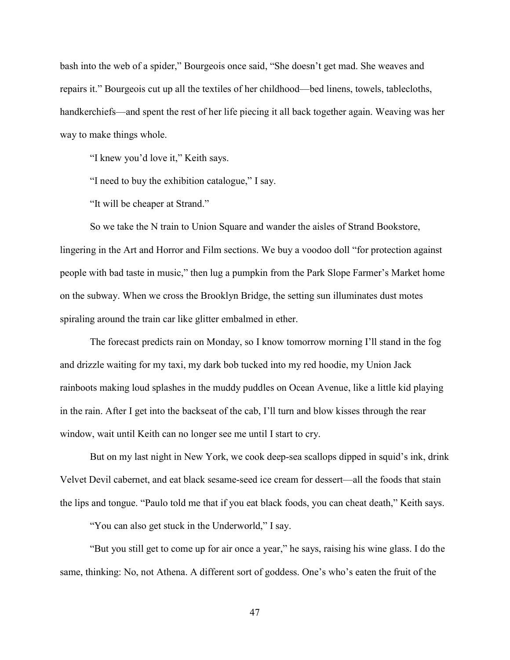bash into the web of a spider," Bourgeois once said, "She doesn't get mad. She weaves and repairs it." Bourgeois cut up all the textiles of her childhood—bed linens, towels, tablecloths, handkerchiefs—and spent the rest of her life piecing it all back together again. Weaving was her way to make things whole.

"I knew you'd love it," Keith says.

"I need to buy the exhibition catalogue," I say.

"It will be cheaper at Strand."

So we take the N train to Union Square and wander the aisles of Strand Bookstore, lingering in the Art and Horror and Film sections. We buy a voodoo doll "for protection against people with bad taste in music," then lug a pumpkin from the Park Slope Farmer's Market home on the subway. When we cross the Brooklyn Bridge, the setting sun illuminates dust motes spiraling around the train car like glitter embalmed in ether.

The forecast predicts rain on Monday, so I know tomorrow morning I'll stand in the fog and drizzle waiting for my taxi, my dark bob tucked into my red hoodie, my Union Jack rainboots making loud splashes in the muddy puddles on Ocean Avenue, like a little kid playing in the rain. After I get into the backseat of the cab, I'll turn and blow kisses through the rear window, wait until Keith can no longer see me until I start to cry.

But on my last night in New York, we cook deep-sea scallops dipped in squid's ink, drink Velvet Devil cabernet, and eat black sesame-seed ice cream for dessert—all the foods that stain the lips and tongue. "Paulo told me that if you eat black foods, you can cheat death," Keith says.

"You can also get stuck in the Underworld," I say.

"But you still get to come up for air once a year," he says, raising his wine glass. I do the same, thinking: No, not Athena. A different sort of goddess. One's who's eaten the fruit of the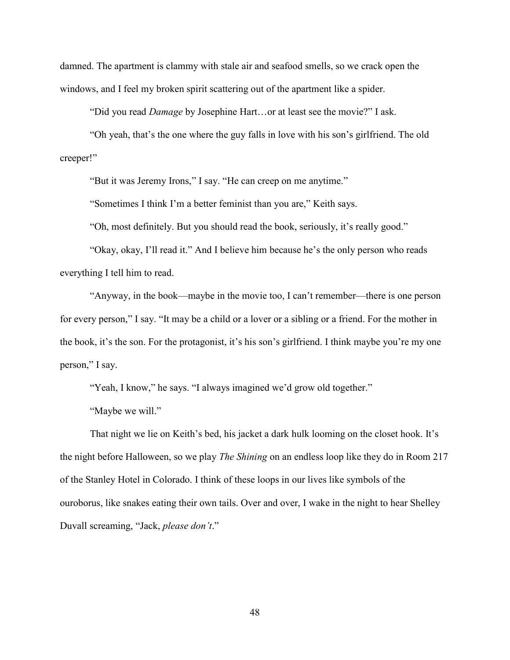damned. The apartment is clammy with stale air and seafood smells, so we crack open the windows, and I feel my broken spirit scattering out of the apartment like a spider.

"Did you read *Damage* by Josephine Hart...or at least see the movie?" I ask.

"Oh yeah, that's the one where the guy falls in love with his son's girlfriend. The old creeper!"

"But it was Jeremy Irons," I say. "He can creep on me anytime."

"Sometimes I think I'm a better feminist than you are," Keith says.

"Oh, most definitely. But you should read the book, seriously, it's really good."

"Okay, okay, I'll read it." And I believe him because he's the only person who reads everything I tell him to read.

"Anyway, in the book—maybe in the movie too, I can't remember—there is one person for every person," I say. "It may be a child or a lover or a sibling or a friend. For the mother in the book, it's the son. For the protagonist, it's his son's girlfriend. I think maybe you're my one person," I say.

"Yeah, I know," he says. "I always imagined we'd grow old together."

"Maybe we will."

That night we lie on Keith's bed, his jacket a dark hulk looming on the closet hook. It's the night before Halloween, so we play The Shining on an endless loop like they do in Room 217 of the Stanley Hotel in Colorado. I think of these loops in our lives like symbols of the ouroborus, like snakes eating their own tails. Over and over, I wake in the night to hear Shelley Duvall screaming, "Jack, please don't."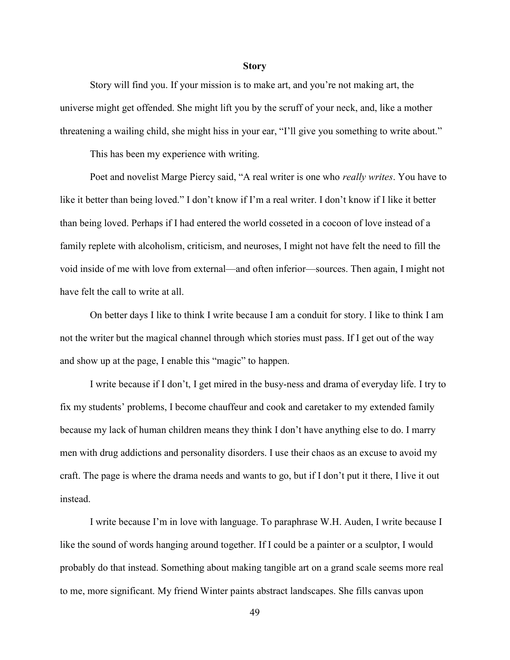#### **Story**

Story will find you. If your mission is to make art, and you're not making art, the universe might get offended. She might lift you by the scruff of your neck, and, like a mother threatening a wailing child, she might hiss in your ear, "I'll give you something to write about."

This has been my experience with writing.

Poet and novelist Marge Piercy said, "A real writer is one who *really writes*. You have to like it better than being loved." I don't know if I'm a real writer. I don't know if I like it better than being loved. Perhaps if I had entered the world cosseted in a cocoon of love instead of a family replete with alcoholism, criticism, and neuroses, I might not have felt the need to fill the void inside of me with love from external—and often inferior—sources. Then again, I might not have felt the call to write at all.

On better days I like to think I write because I am a conduit for story. I like to think I am not the writer but the magical channel through which stories must pass. If I get out of the way and show up at the page, I enable this "magic" to happen.

I write because if I don't, I get mired in the busy-ness and drama of everyday life. I try to fix my students' problems, I become chauffeur and cook and caretaker to my extended family because my lack of human children means they think I don't have anything else to do. I marry men with drug addictions and personality disorders. I use their chaos as an excuse to avoid my craft. The page is where the drama needs and wants to go, but if I don't put it there, I live it out instead.

I write because I'm in love with language. To paraphrase W.H. Auden, I write because I like the sound of words hanging around together. If I could be a painter or a sculptor, I would probably do that instead. Something about making tangible art on a grand scale seems more real to me, more significant. My friend Winter paints abstract landscapes. She fills canvas upon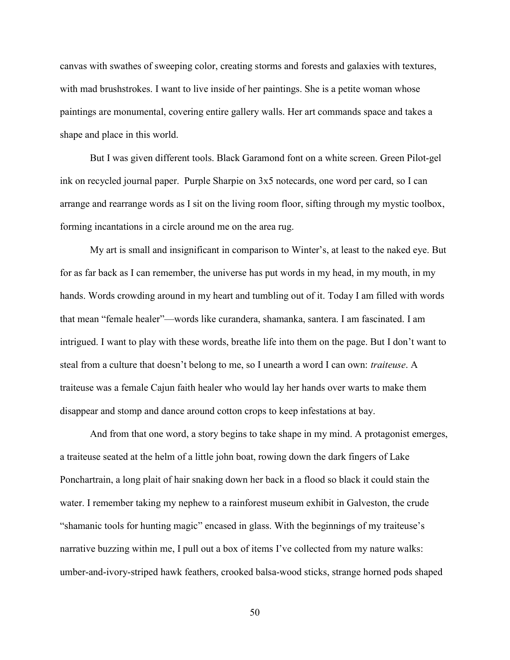canvas with swathes of sweeping color, creating storms and forests and galaxies with textures, with mad brushstrokes. I want to live inside of her paintings. She is a petite woman whose paintings are monumental, covering entire gallery walls. Her art commands space and takes a shape and place in this world.

But I was given different tools. Black Garamond font on a white screen. Green Pilot-gel ink on recycled journal paper. Purple Sharpie on 3x5 notecards, one word per card, so I can arrange and rearrange words as I sit on the living room floor, sifting through my mystic toolbox, forming incantations in a circle around me on the area rug.

My art is small and insignificant in comparison to Winter's, at least to the naked eye. But for as far back as I can remember, the universe has put words in my head, in my mouth, in my hands. Words crowding around in my heart and tumbling out of it. Today I am filled with words that mean "female healer"—words like curandera, shamanka, santera. I am fascinated. I am intrigued. I want to play with these words, breathe life into them on the page. But I don't want to steal from a culture that doesn't belong to me, so I unearth a word I can own: *traiteuse*. A traiteuse was a female Cajun faith healer who would lay her hands over warts to make them disappear and stomp and dance around cotton crops to keep infestations at bay.

And from that one word, a story begins to take shape in my mind. A protagonist emerges, a traiteuse seated at the helm of a little john boat, rowing down the dark fingers of Lake Ponchartrain, a long plait of hair snaking down her back in a flood so black it could stain the water. I remember taking my nephew to a rainforest museum exhibit in Galveston, the crude "shamanic tools for hunting magic" encased in glass. With the beginnings of my traiteuse's narrative buzzing within me, I pull out a box of items I've collected from my nature walks: umber-and-ivory-striped hawk feathers, crooked balsa-wood sticks, strange horned pods shaped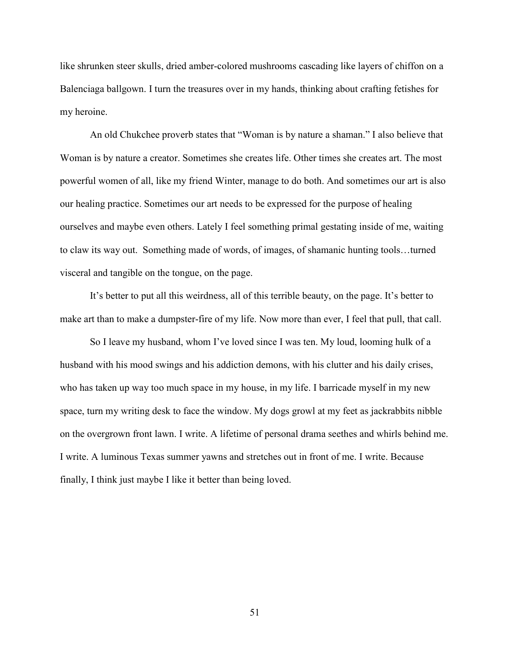like shrunken steer skulls, dried amber-colored mushrooms cascading like layers of chiffon on a Balenciaga ballgown. I turn the treasures over in my hands, thinking about crafting fetishes for my heroine.

An old Chukchee proverb states that "Woman is by nature a shaman." I also believe that Woman is by nature a creator. Sometimes she creates life. Other times she creates art. The most powerful women of all, like my friend Winter, manage to do both. And sometimes our art is also our healing practice. Sometimes our art needs to be expressed for the purpose of healing ourselves and maybe even others. Lately I feel something primal gestating inside of me, waiting to claw its way out. Something made of words, of images, of shamanic hunting tools…turned visceral and tangible on the tongue, on the page.

It's better to put all this weirdness, all of this terrible beauty, on the page. It's better to make art than to make a dumpster-fire of my life. Now more than ever, I feel that pull, that call.

So I leave my husband, whom I've loved since I was ten. My loud, looming hulk of a husband with his mood swings and his addiction demons, with his clutter and his daily crises, who has taken up way too much space in my house, in my life. I barricade myself in my new space, turn my writing desk to face the window. My dogs growl at my feet as jackrabbits nibble on the overgrown front lawn. I write. A lifetime of personal drama seethes and whirls behind me. I write. A luminous Texas summer yawns and stretches out in front of me. I write. Because finally, I think just maybe I like it better than being loved.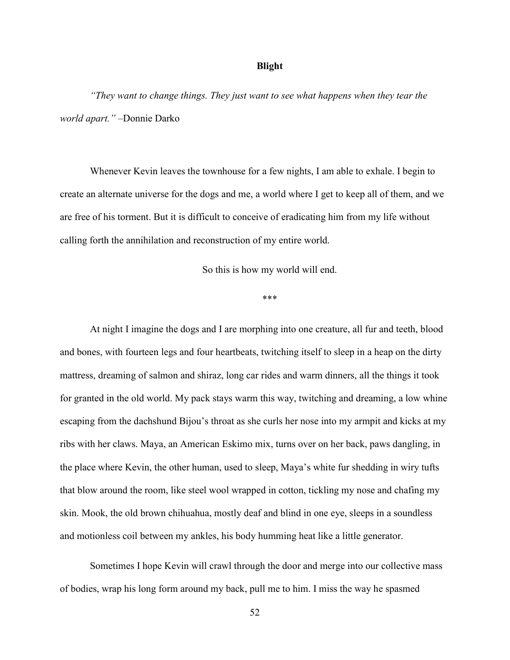#### Blight

"They want to change things. They just want to see what happens when they tear the world apart." –Donnie Darko

Whenever Kevin leaves the townhouse for a few nights, I am able to exhale. I begin to create an alternate universe for the dogs and me, a world where I get to keep all of them, and we are free of his torment. But it is difficult to conceive of eradicating him from my life without calling forth the annihilation and reconstruction of my entire world.

So this is how my world will end.

\*\*\*

At night I imagine the dogs and I are morphing into one creature, all fur and teeth, blood and bones, with fourteen legs and four heartbeats, twitching itself to sleep in a heap on the dirty mattress, dreaming of salmon and shiraz, long car rides and warm dinners, all the things it took for granted in the old world. My pack stays warm this way, twitching and dreaming, a low whine escaping from the dachshund Bijou's throat as she curls her nose into my armpit and kicks at my ribs with her claws. Maya, an American Eskimo mix, turns over on her back, paws dangling, in the place where Kevin, the other human, used to sleep, Maya's white fur shedding in wiry tufts that blow around the room, like steel wool wrapped in cotton, tickling my nose and chafing my skin. Mook, the old brown chihuahua, mostly deaf and blind in one eye, sleeps in a soundless and motionless coil between my ankles, his body humming heat like a little generator.

Sometimes I hope Kevin will crawl through the door and merge into our collective mass of bodies, wrap his long form around my back, pull me to him. I miss the way he spasmed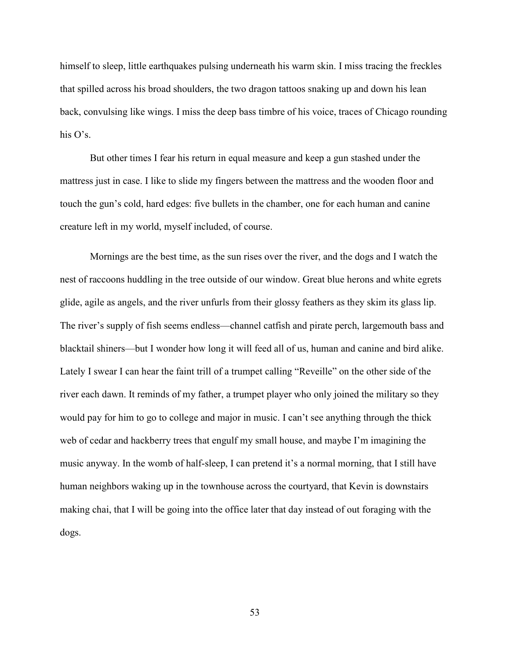himself to sleep, little earthquakes pulsing underneath his warm skin. I miss tracing the freckles that spilled across his broad shoulders, the two dragon tattoos snaking up and down his lean back, convulsing like wings. I miss the deep bass timbre of his voice, traces of Chicago rounding his O's.

But other times I fear his return in equal measure and keep a gun stashed under the mattress just in case. I like to slide my fingers between the mattress and the wooden floor and touch the gun's cold, hard edges: five bullets in the chamber, one for each human and canine creature left in my world, myself included, of course.

Mornings are the best time, as the sun rises over the river, and the dogs and I watch the nest of raccoons huddling in the tree outside of our window. Great blue herons and white egrets glide, agile as angels, and the river unfurls from their glossy feathers as they skim its glass lip. The river's supply of fish seems endless—channel catfish and pirate perch, largemouth bass and blacktail shiners—but I wonder how long it will feed all of us, human and canine and bird alike. Lately I swear I can hear the faint trill of a trumpet calling "Reveille" on the other side of the river each dawn. It reminds of my father, a trumpet player who only joined the military so they would pay for him to go to college and major in music. I can't see anything through the thick web of cedar and hackberry trees that engulf my small house, and maybe I'm imagining the music anyway. In the womb of half-sleep, I can pretend it's a normal morning, that I still have human neighbors waking up in the townhouse across the courtyard, that Kevin is downstairs making chai, that I will be going into the office later that day instead of out foraging with the dogs.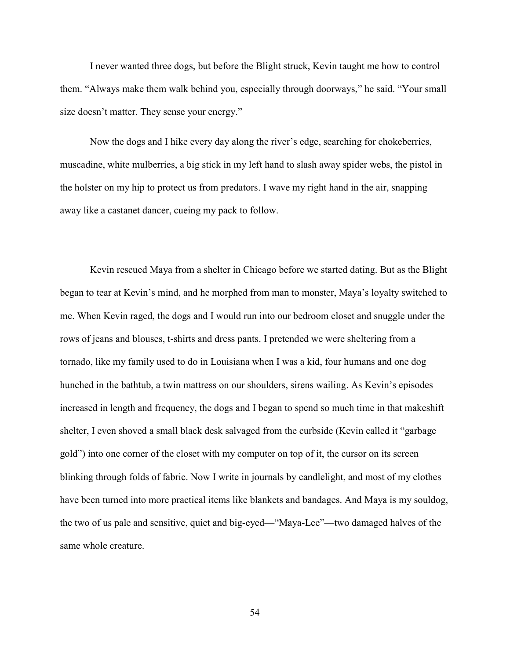I never wanted three dogs, but before the Blight struck, Kevin taught me how to control them. "Always make them walk behind you, especially through doorways," he said. "Your small size doesn't matter. They sense your energy."

Now the dogs and I hike every day along the river's edge, searching for chokeberries, muscadine, white mulberries, a big stick in my left hand to slash away spider webs, the pistol in the holster on my hip to protect us from predators. I wave my right hand in the air, snapping away like a castanet dancer, cueing my pack to follow.

Kevin rescued Maya from a shelter in Chicago before we started dating. But as the Blight began to tear at Kevin's mind, and he morphed from man to monster, Maya's loyalty switched to me. When Kevin raged, the dogs and I would run into our bedroom closet and snuggle under the rows of jeans and blouses, t-shirts and dress pants. I pretended we were sheltering from a tornado, like my family used to do in Louisiana when I was a kid, four humans and one dog hunched in the bathtub, a twin mattress on our shoulders, sirens wailing. As Kevin's episodes increased in length and frequency, the dogs and I began to spend so much time in that makeshift shelter, I even shoved a small black desk salvaged from the curbside (Kevin called it "garbage gold") into one corner of the closet with my computer on top of it, the cursor on its screen blinking through folds of fabric. Now I write in journals by candlelight, and most of my clothes have been turned into more practical items like blankets and bandages. And Maya is my souldog, the two of us pale and sensitive, quiet and big-eyed—"Maya-Lee"—two damaged halves of the same whole creature.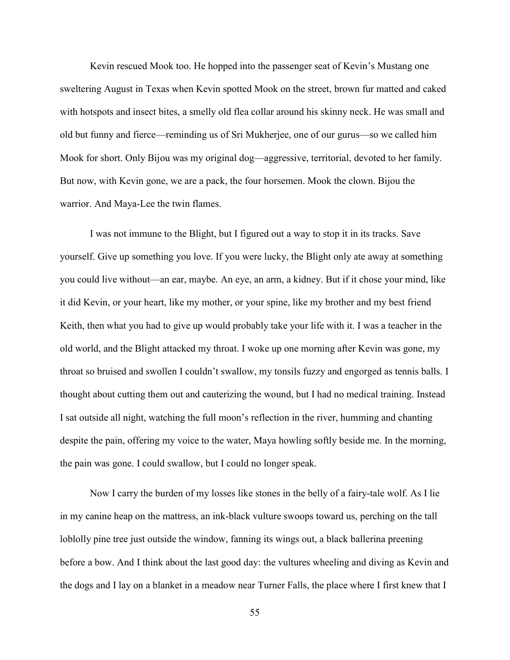Kevin rescued Mook too. He hopped into the passenger seat of Kevin's Mustang one sweltering August in Texas when Kevin spotted Mook on the street, brown fur matted and caked with hotspots and insect bites, a smelly old flea collar around his skinny neck. He was small and old but funny and fierce—reminding us of Sri Mukherjee, one of our gurus—so we called him Mook for short. Only Bijou was my original dog—aggressive, territorial, devoted to her family. But now, with Kevin gone, we are a pack, the four horsemen. Mook the clown. Bijou the warrior. And Maya-Lee the twin flames.

I was not immune to the Blight, but I figured out a way to stop it in its tracks. Save yourself. Give up something you love. If you were lucky, the Blight only ate away at something you could live without—an ear, maybe. An eye, an arm, a kidney. But if it chose your mind, like it did Kevin, or your heart, like my mother, or your spine, like my brother and my best friend Keith, then what you had to give up would probably take your life with it. I was a teacher in the old world, and the Blight attacked my throat. I woke up one morning after Kevin was gone, my throat so bruised and swollen I couldn't swallow, my tonsils fuzzy and engorged as tennis balls. I thought about cutting them out and cauterizing the wound, but I had no medical training. Instead I sat outside all night, watching the full moon's reflection in the river, humming and chanting despite the pain, offering my voice to the water, Maya howling softly beside me. In the morning, the pain was gone. I could swallow, but I could no longer speak.

Now I carry the burden of my losses like stones in the belly of a fairy-tale wolf. As I lie in my canine heap on the mattress, an ink-black vulture swoops toward us, perching on the tall loblolly pine tree just outside the window, fanning its wings out, a black ballerina preening before a bow. And I think about the last good day: the vultures wheeling and diving as Kevin and the dogs and I lay on a blanket in a meadow near Turner Falls, the place where I first knew that I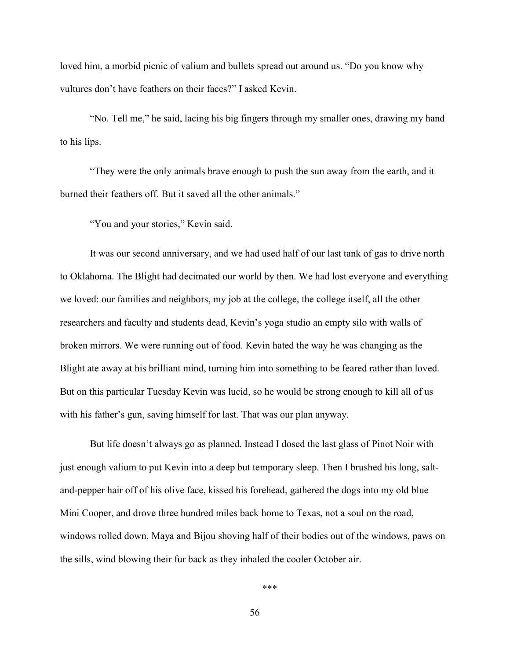loved him, a morbid picnic of valium and bullets spread out around us. "Do you know why vultures don't have feathers on their faces?" I asked Kevin.

"No. Tell me," he said, lacing his big fingers through my smaller ones, drawing my hand to his lips.

"They were the only animals brave enough to push the sun away from the earth, and it burned their feathers off. But it saved all the other animals."

"You and your stories," Kevin said.

It was our second anniversary, and we had used half of our last tank of gas to drive north to Oklahoma. The Blight had decimated our world by then. We had lost everyone and everything we loved: our families and neighbors, my job at the college, the college itself, all the other researchers and faculty and students dead, Kevin's yoga studio an empty silo with walls of broken mirrors. We were running out of food. Kevin hated the way he was changing as the Blight ate away at his brilliant mind, turning him into something to be feared rather than loved. But on this particular Tuesday Kevin was lucid, so he would be strong enough to kill all of us with his father's gun, saving himself for last. That was our plan anyway.

But life doesn't always go as planned. Instead I dosed the last glass of Pinot Noir with just enough valium to put Kevin into a deep but temporary sleep. Then I brushed his long, saltand-pepper hair off of his olive face, kissed his forehead, gathered the dogs into my old blue Mini Cooper, and drove three hundred miles back home to Texas, not a soul on the road, windows rolled down, Maya and Bijou shoving half of their bodies out of the windows, paws on the sills, wind blowing their fur back as they inhaled the cooler October air.

\*\*\*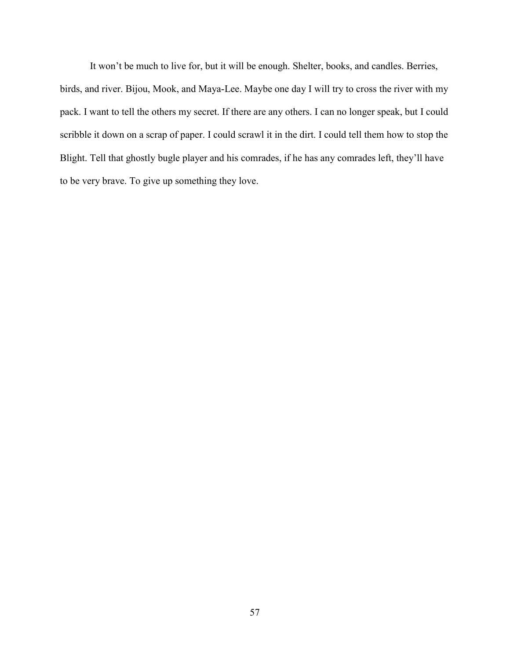It won't be much to live for, but it will be enough. Shelter, books, and candles. Berries, birds, and river. Bijou, Mook, and Maya-Lee. Maybe one day I will try to cross the river with my pack. I want to tell the others my secret. If there are any others. I can no longer speak, but I could scribble it down on a scrap of paper. I could scrawl it in the dirt. I could tell them how to stop the Blight. Tell that ghostly bugle player and his comrades, if he has any comrades left, they'll have to be very brave. To give up something they love.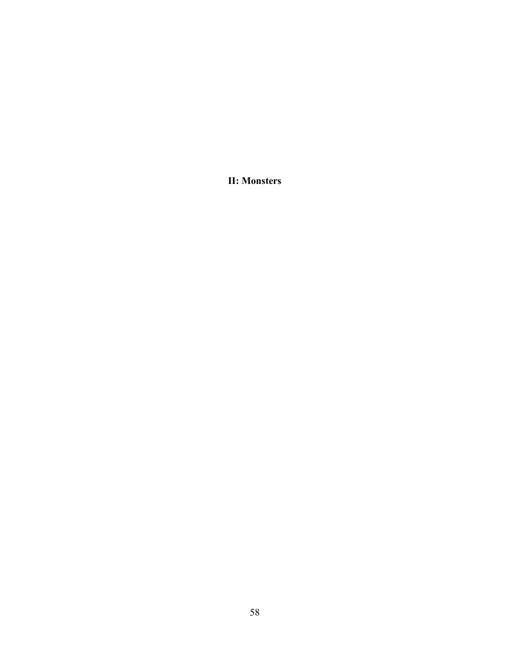II: Monsters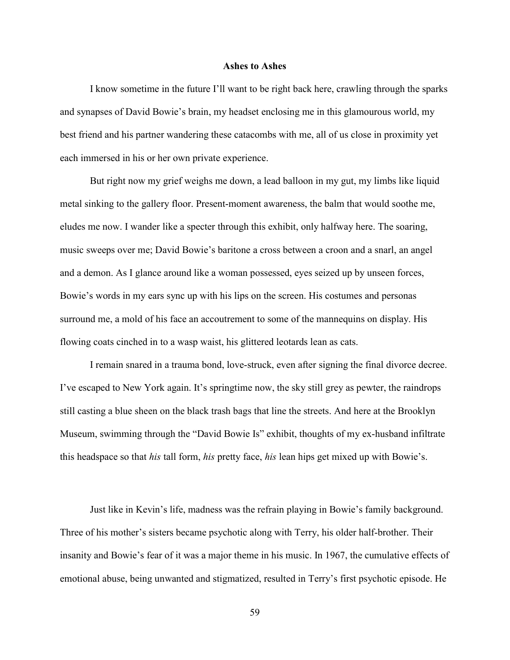## Ashes to Ashes

I know sometime in the future I'll want to be right back here, crawling through the sparks and synapses of David Bowie's brain, my headset enclosing me in this glamourous world, my best friend and his partner wandering these catacombs with me, all of us close in proximity yet each immersed in his or her own private experience.

But right now my grief weighs me down, a lead balloon in my gut, my limbs like liquid metal sinking to the gallery floor. Present-moment awareness, the balm that would soothe me, eludes me now. I wander like a specter through this exhibit, only halfway here. The soaring, music sweeps over me; David Bowie's baritone a cross between a croon and a snarl, an angel and a demon. As I glance around like a woman possessed, eyes seized up by unseen forces, Bowie's words in my ears sync up with his lips on the screen. His costumes and personas surround me, a mold of his face an accoutrement to some of the mannequins on display. His flowing coats cinched in to a wasp waist, his glittered leotards lean as cats.

I remain snared in a trauma bond, love-struck, even after signing the final divorce decree. I've escaped to New York again. It's springtime now, the sky still grey as pewter, the raindrops still casting a blue sheen on the black trash bags that line the streets. And here at the Brooklyn Museum, swimming through the "David Bowie Is" exhibit, thoughts of my ex-husband infiltrate this headspace so that his tall form, his pretty face, his lean hips get mixed up with Bowie's.

Just like in Kevin's life, madness was the refrain playing in Bowie's family background. Three of his mother's sisters became psychotic along with Terry, his older half-brother. Their insanity and Bowie's fear of it was a major theme in his music. In 1967, the cumulative effects of emotional abuse, being unwanted and stigmatized, resulted in Terry's first psychotic episode. He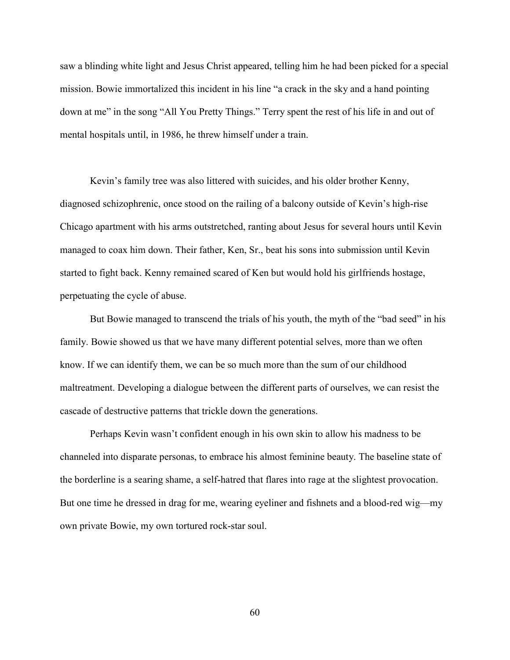saw a blinding white light and Jesus Christ appeared, telling him he had been picked for a special mission. Bowie immortalized this incident in his line "a crack in the sky and a hand pointing down at me" in the song "All You Pretty Things." Terry spent the rest of his life in and out of mental hospitals until, in 1986, he threw himself under a train.

Kevin's family tree was also littered with suicides, and his older brother Kenny, diagnosed schizophrenic, once stood on the railing of a balcony outside of Kevin's high-rise Chicago apartment with his arms outstretched, ranting about Jesus for several hours until Kevin managed to coax him down. Their father, Ken, Sr., beat his sons into submission until Kevin started to fight back. Kenny remained scared of Ken but would hold his girlfriends hostage, perpetuating the cycle of abuse.

But Bowie managed to transcend the trials of his youth, the myth of the "bad seed" in his family. Bowie showed us that we have many different potential selves, more than we often know. If we can identify them, we can be so much more than the sum of our childhood maltreatment. Developing a dialogue between the different parts of ourselves, we can resist the cascade of destructive patterns that trickle down the generations.

Perhaps Kevin wasn't confident enough in his own skin to allow his madness to be channeled into disparate personas, to embrace his almost feminine beauty. The baseline state of the borderline is a searing shame, a self-hatred that flares into rage at the slightest provocation. But one time he dressed in drag for me, wearing eyeliner and fishnets and a blood-red wig—my own private Bowie, my own tortured rock-star soul.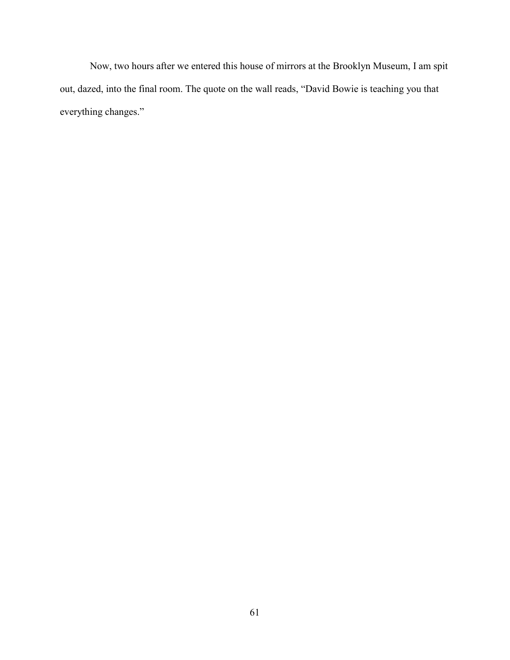Now, two hours after we entered this house of mirrors at the Brooklyn Museum, I am spit out, dazed, into the final room. The quote on the wall reads, "David Bowie is teaching you that everything changes."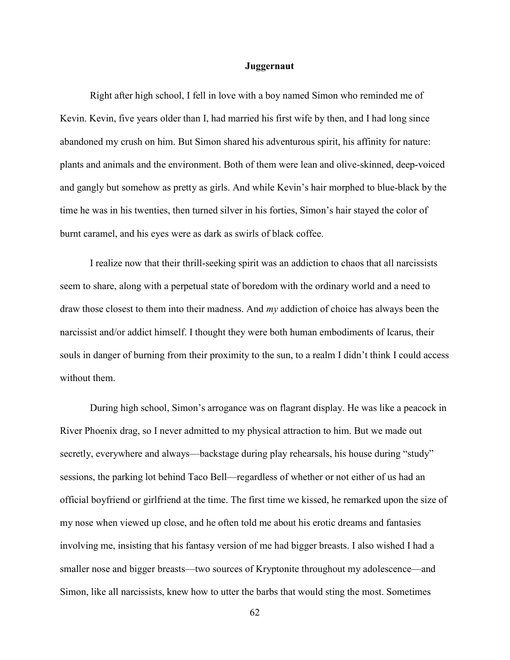## Juggernaut

Right after high school, I fell in love with a boy named Simon who reminded me of Kevin. Kevin, five years older than I, had married his first wife by then, and I had long since abandoned my crush on him. But Simon shared his adventurous spirit, his affinity for nature: plants and animals and the environment. Both of them were lean and olive-skinned, deep-voiced and gangly but somehow as pretty as girls. And while Kevin's hair morphed to blue-black by the time he was in his twenties, then turned silver in his forties, Simon's hair stayed the color of burnt caramel, and his eyes were as dark as swirls of black coffee.

I realize now that their thrill-seeking spirit was an addiction to chaos that all narcissists seem to share, along with a perpetual state of boredom with the ordinary world and a need to draw those closest to them into their madness. And  $my$  addiction of choice has always been the narcissist and/or addict himself. I thought they were both human embodiments of Icarus, their souls in danger of burning from their proximity to the sun, to a realm I didn't think I could access without them.

During high school, Simon's arrogance was on flagrant display. He was like a peacock in River Phoenix drag, so I never admitted to my physical attraction to him. But we made out secretly, everywhere and always—backstage during play rehearsals, his house during "study" sessions, the parking lot behind Taco Bell—regardless of whether or not either of us had an official boyfriend or girlfriend at the time. The first time we kissed, he remarked upon the size of my nose when viewed up close, and he often told me about his erotic dreams and fantasies involving me, insisting that his fantasy version of me had bigger breasts. I also wished I had a smaller nose and bigger breasts—two sources of Kryptonite throughout my adolescence—and Simon, like all narcissists, knew how to utter the barbs that would sting the most. Sometimes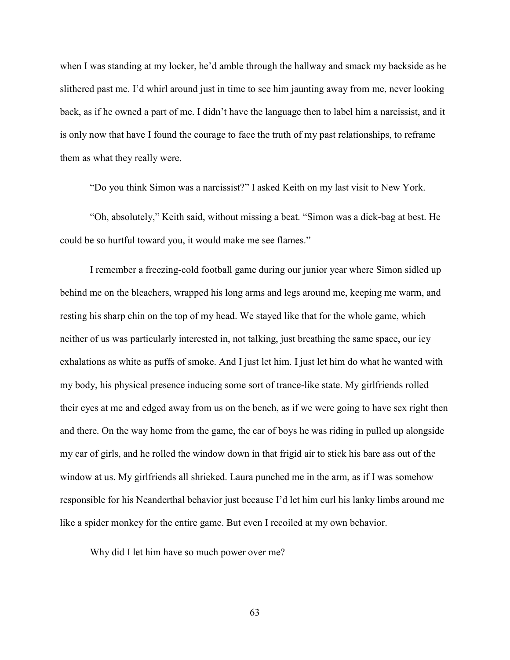when I was standing at my locker, he'd amble through the hallway and smack my backside as he slithered past me. I'd whirl around just in time to see him jaunting away from me, never looking back, as if he owned a part of me. I didn't have the language then to label him a narcissist, and it is only now that have I found the courage to face the truth of my past relationships, to reframe them as what they really were.

"Do you think Simon was a narcissist?" I asked Keith on my last visit to New York.

"Oh, absolutely," Keith said, without missing a beat. "Simon was a dick-bag at best. He could be so hurtful toward you, it would make me see flames."

I remember a freezing-cold football game during our junior year where Simon sidled up behind me on the bleachers, wrapped his long arms and legs around me, keeping me warm, and resting his sharp chin on the top of my head. We stayed like that for the whole game, which neither of us was particularly interested in, not talking, just breathing the same space, our icy exhalations as white as puffs of smoke. And I just let him. I just let him do what he wanted with my body, his physical presence inducing some sort of trance-like state. My girlfriends rolled their eyes at me and edged away from us on the bench, as if we were going to have sex right then and there. On the way home from the game, the car of boys he was riding in pulled up alongside my car of girls, and he rolled the window down in that frigid air to stick his bare ass out of the window at us. My girlfriends all shrieked. Laura punched me in the arm, as if I was somehow responsible for his Neanderthal behavior just because I'd let him curl his lanky limbs around me like a spider monkey for the entire game. But even I recoiled at my own behavior.

Why did I let him have so much power over me?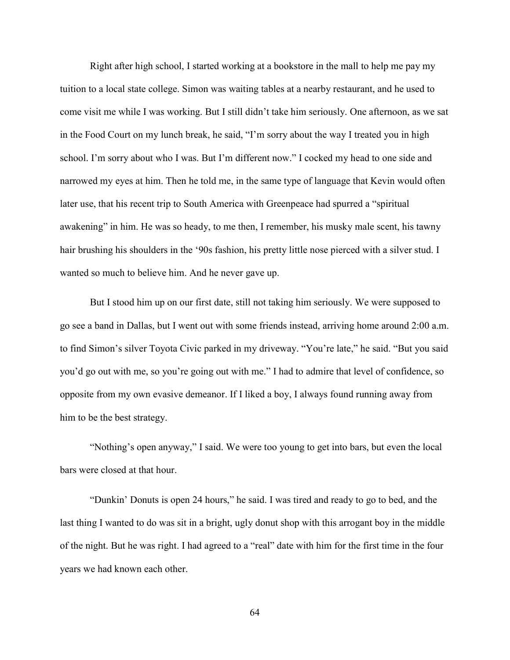Right after high school, I started working at a bookstore in the mall to help me pay my tuition to a local state college. Simon was waiting tables at a nearby restaurant, and he used to come visit me while I was working. But I still didn't take him seriously. One afternoon, as we sat in the Food Court on my lunch break, he said, "I'm sorry about the way I treated you in high school. I'm sorry about who I was. But I'm different now." I cocked my head to one side and narrowed my eyes at him. Then he told me, in the same type of language that Kevin would often later use, that his recent trip to South America with Greenpeace had spurred a "spiritual awakening" in him. He was so heady, to me then, I remember, his musky male scent, his tawny hair brushing his shoulders in the '90s fashion, his pretty little nose pierced with a silver stud. I wanted so much to believe him. And he never gave up.

But I stood him up on our first date, still not taking him seriously. We were supposed to go see a band in Dallas, but I went out with some friends instead, arriving home around 2:00 a.m. to find Simon's silver Toyota Civic parked in my driveway. "You're late," he said. "But you said you'd go out with me, so you're going out with me." I had to admire that level of confidence, so opposite from my own evasive demeanor. If I liked a boy, I always found running away from him to be the best strategy.

"Nothing's open anyway," I said. We were too young to get into bars, but even the local bars were closed at that hour.

"Dunkin' Donuts is open 24 hours," he said. I was tired and ready to go to bed, and the last thing I wanted to do was sit in a bright, ugly donut shop with this arrogant boy in the middle of the night. But he was right. I had agreed to a "real" date with him for the first time in the four years we had known each other.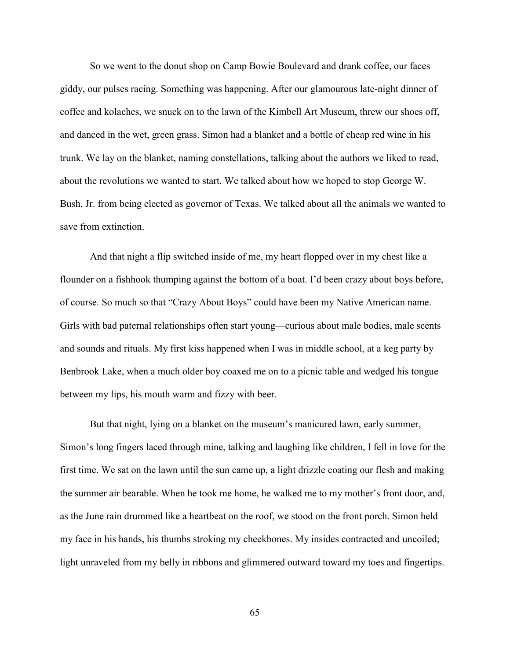So we went to the donut shop on Camp Bowie Boulevard and drank coffee, our faces giddy, our pulses racing. Something was happening. After our glamourous late-night dinner of coffee and kolaches, we snuck on to the lawn of the Kimbell Art Museum, threw our shoes off, and danced in the wet, green grass. Simon had a blanket and a bottle of cheap red wine in his trunk. We lay on the blanket, naming constellations, talking about the authors we liked to read, about the revolutions we wanted to start. We talked about how we hoped to stop George W. Bush, Jr. from being elected as governor of Texas. We talked about all the animals we wanted to save from extinction.

And that night a flip switched inside of me, my heart flopped over in my chest like a flounder on a fishhook thumping against the bottom of a boat. I'd been crazy about boys before, of course. So much so that "Crazy About Boys" could have been my Native American name. Girls with bad paternal relationships often start young—curious about male bodies, male scents and sounds and rituals. My first kiss happened when I was in middle school, at a keg party by Benbrook Lake, when a much older boy coaxed me on to a picnic table and wedged his tongue between my lips, his mouth warm and fizzy with beer.

But that night, lying on a blanket on the museum's manicured lawn, early summer, Simon's long fingers laced through mine, talking and laughing like children, I fell in love for the first time. We sat on the lawn until the sun came up, a light drizzle coating our flesh and making the summer air bearable. When he took me home, he walked me to my mother's front door, and, as the June rain drummed like a heartbeat on the roof, we stood on the front porch. Simon held my face in his hands, his thumbs stroking my cheekbones. My insides contracted and uncoiled; light unraveled from my belly in ribbons and glimmered outward toward my toes and fingertips.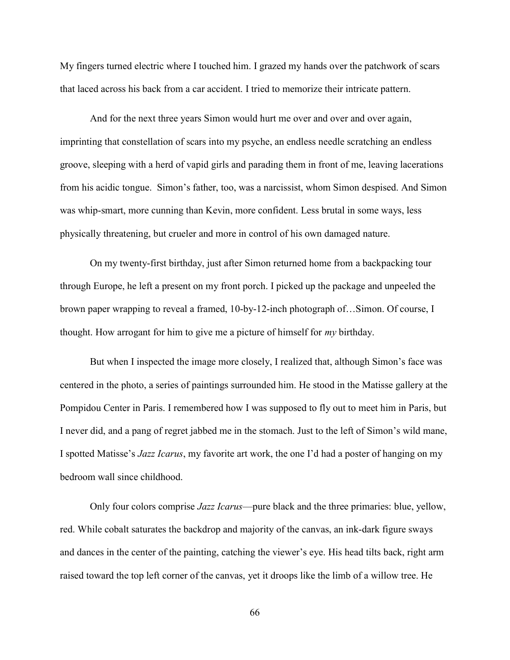My fingers turned electric where I touched him. I grazed my hands over the patchwork of scars that laced across his back from a car accident. I tried to memorize their intricate pattern.

And for the next three years Simon would hurt me over and over and over again, imprinting that constellation of scars into my psyche, an endless needle scratching an endless groove, sleeping with a herd of vapid girls and parading them in front of me, leaving lacerations from his acidic tongue. Simon's father, too, was a narcissist, whom Simon despised. And Simon was whip-smart, more cunning than Kevin, more confident. Less brutal in some ways, less physically threatening, but crueler and more in control of his own damaged nature.

On my twenty-first birthday, just after Simon returned home from a backpacking tour through Europe, he left a present on my front porch. I picked up the package and unpeeled the brown paper wrapping to reveal a framed, 10-by-12-inch photograph of…Simon. Of course, I thought. How arrogant for him to give me a picture of himself for my birthday.

But when I inspected the image more closely, I realized that, although Simon's face was centered in the photo, a series of paintings surrounded him. He stood in the Matisse gallery at the Pompidou Center in Paris. I remembered how I was supposed to fly out to meet him in Paris, but I never did, and a pang of regret jabbed me in the stomach. Just to the left of Simon's wild mane, I spotted Matisse's Jazz Icarus, my favorite art work, the one I'd had a poster of hanging on my bedroom wall since childhood.

Only four colors comprise Jazz Icarus—pure black and the three primaries: blue, yellow, red. While cobalt saturates the backdrop and majority of the canvas, an ink-dark figure sways and dances in the center of the painting, catching the viewer's eye. His head tilts back, right arm raised toward the top left corner of the canvas, yet it droops like the limb of a willow tree. He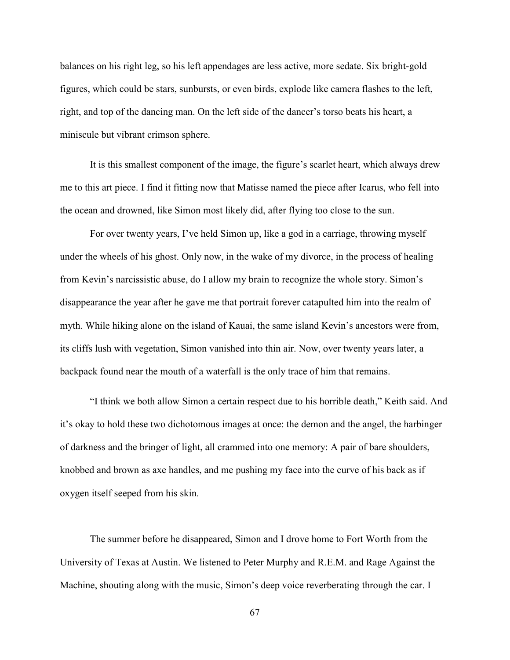balances on his right leg, so his left appendages are less active, more sedate. Six bright-gold figures, which could be stars, sunbursts, or even birds, explode like camera flashes to the left, right, and top of the dancing man. On the left side of the dancer's torso beats his heart, a miniscule but vibrant crimson sphere.

It is this smallest component of the image, the figure's scarlet heart, which always drew me to this art piece. I find it fitting now that Matisse named the piece after Icarus, who fell into the ocean and drowned, like Simon most likely did, after flying too close to the sun.

For over twenty years, I've held Simon up, like a god in a carriage, throwing myself under the wheels of his ghost. Only now, in the wake of my divorce, in the process of healing from Kevin's narcissistic abuse, do I allow my brain to recognize the whole story. Simon's disappearance the year after he gave me that portrait forever catapulted him into the realm of myth. While hiking alone on the island of Kauai, the same island Kevin's ancestors were from, its cliffs lush with vegetation, Simon vanished into thin air. Now, over twenty years later, a backpack found near the mouth of a waterfall is the only trace of him that remains.

"I think we both allow Simon a certain respect due to his horrible death," Keith said. And it's okay to hold these two dichotomous images at once: the demon and the angel, the harbinger of darkness and the bringer of light, all crammed into one memory: A pair of bare shoulders, knobbed and brown as axe handles, and me pushing my face into the curve of his back as if oxygen itself seeped from his skin.

The summer before he disappeared, Simon and I drove home to Fort Worth from the University of Texas at Austin. We listened to Peter Murphy and R.E.M. and Rage Against the Machine, shouting along with the music, Simon's deep voice reverberating through the car. I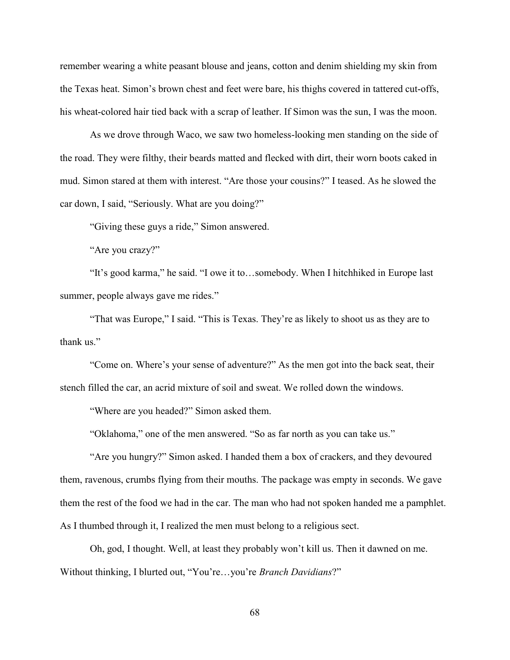remember wearing a white peasant blouse and jeans, cotton and denim shielding my skin from the Texas heat. Simon's brown chest and feet were bare, his thighs covered in tattered cut-offs, his wheat-colored hair tied back with a scrap of leather. If Simon was the sun, I was the moon.

As we drove through Waco, we saw two homeless-looking men standing on the side of the road. They were filthy, their beards matted and flecked with dirt, their worn boots caked in mud. Simon stared at them with interest. "Are those your cousins?" I teased. As he slowed the car down, I said, "Seriously. What are you doing?"

"Giving these guys a ride," Simon answered.

"Are you crazy?"

 "It's good karma," he said. "I owe it to…somebody. When I hitchhiked in Europe last summer, people always gave me rides."

"That was Europe," I said. "This is Texas. They're as likely to shoot us as they are to thank us."

 "Come on. Where's your sense of adventure?" As the men got into the back seat, their stench filled the car, an acrid mixture of soil and sweat. We rolled down the windows.

"Where are you headed?" Simon asked them.

"Oklahoma," one of the men answered. "So as far north as you can take us."

"Are you hungry?" Simon asked. I handed them a box of crackers, and they devoured them, ravenous, crumbs flying from their mouths. The package was empty in seconds. We gave them the rest of the food we had in the car. The man who had not spoken handed me a pamphlet. As I thumbed through it, I realized the men must belong to a religious sect.

Oh, god, I thought. Well, at least they probably won't kill us. Then it dawned on me. Without thinking, I blurted out, "You're...you're Branch Davidians?"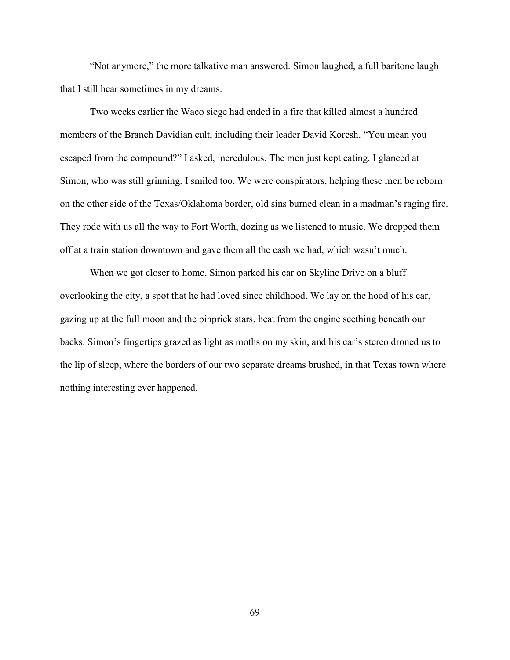"Not anymore," the more talkative man answered. Simon laughed, a full baritone laugh that I still hear sometimes in my dreams.

Two weeks earlier the Waco siege had ended in a fire that killed almost a hundred members of the Branch Davidian cult, including their leader David Koresh. "You mean you escaped from the compound?" I asked, incredulous. The men just kept eating. I glanced at Simon, who was still grinning. I smiled too. We were conspirators, helping these men be reborn on the other side of the Texas/Oklahoma border, old sins burned clean in a madman's raging fire. They rode with us all the way to Fort Worth, dozing as we listened to music. We dropped them off at a train station downtown and gave them all the cash we had, which wasn't much.

When we got closer to home, Simon parked his car on Skyline Drive on a bluff overlooking the city, a spot that he had loved since childhood. We lay on the hood of his car, gazing up at the full moon and the pinprick stars, heat from the engine seething beneath our backs. Simon's fingertips grazed as light as moths on my skin, and his car's stereo droned us to the lip of sleep, where the borders of our two separate dreams brushed, in that Texas town where nothing interesting ever happened.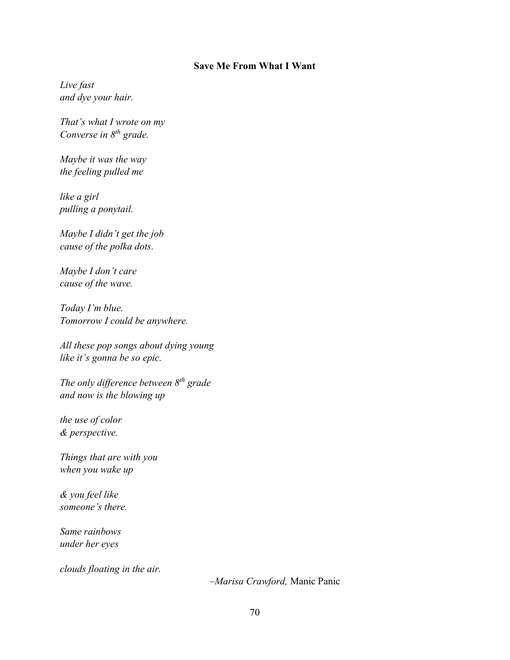# Save Me From What I Want

Live fast and dye your hair.

That's what I wrote on my Converse in  $8<sup>th</sup>$  grade.

Maybe it was the way the feeling pulled me

like a girl pulling a ponytail.

Maybe I didn't get the job cause of the polka dots.

Maybe I don't care cause of the wave.

Today I'm blue. Tomorrow I could be anywhere.

All these pop songs about dying young like it's gonna be so epic.

The only difference between  $8<sup>th</sup>$  grade and now is the blowing up

the use of color & perspective.

Things that are with you when you wake up

& you feel like someone's there.

Same rainbows under her eyes

clouds floating in the air.

–Marisa Crawford, Manic Panic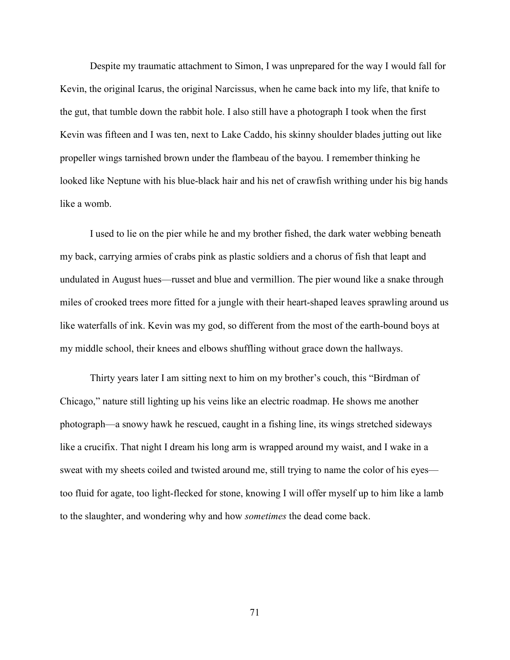Despite my traumatic attachment to Simon, I was unprepared for the way I would fall for Kevin, the original Icarus, the original Narcissus, when he came back into my life, that knife to the gut, that tumble down the rabbit hole. I also still have a photograph I took when the first Kevin was fifteen and I was ten, next to Lake Caddo, his skinny shoulder blades jutting out like propeller wings tarnished brown under the flambeau of the bayou. I remember thinking he looked like Neptune with his blue-black hair and his net of crawfish writhing under his big hands like a womb.

I used to lie on the pier while he and my brother fished, the dark water webbing beneath my back, carrying armies of crabs pink as plastic soldiers and a chorus of fish that leapt and undulated in August hues—russet and blue and vermillion. The pier wound like a snake through miles of crooked trees more fitted for a jungle with their heart-shaped leaves sprawling around us like waterfalls of ink. Kevin was my god, so different from the most of the earth-bound boys at my middle school, their knees and elbows shuffling without grace down the hallways.

Thirty years later I am sitting next to him on my brother's couch, this "Birdman of Chicago," nature still lighting up his veins like an electric roadmap. He shows me another photograph—a snowy hawk he rescued, caught in a fishing line, its wings stretched sideways like a crucifix. That night I dream his long arm is wrapped around my waist, and I wake in a sweat with my sheets coiled and twisted around me, still trying to name the color of his eyes too fluid for agate, too light-flecked for stone, knowing I will offer myself up to him like a lamb to the slaughter, and wondering why and how sometimes the dead come back.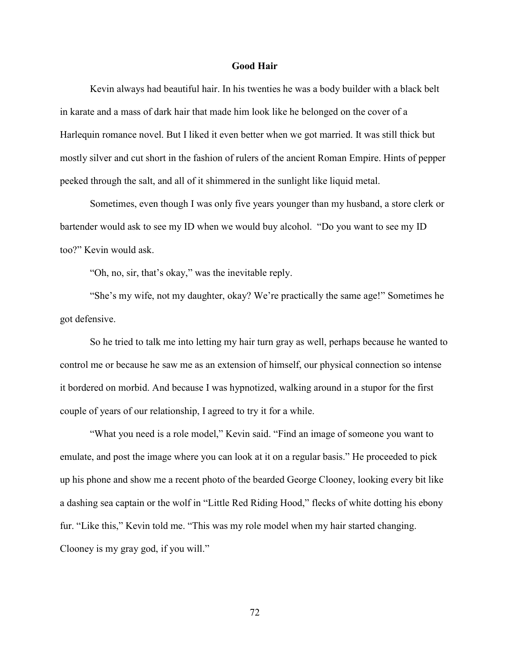#### Good Hair

Kevin always had beautiful hair. In his twenties he was a body builder with a black belt in karate and a mass of dark hair that made him look like he belonged on the cover of a Harlequin romance novel. But I liked it even better when we got married. It was still thick but mostly silver and cut short in the fashion of rulers of the ancient Roman Empire. Hints of pepper peeked through the salt, and all of it shimmered in the sunlight like liquid metal.

Sometimes, even though I was only five years younger than my husband, a store clerk or bartender would ask to see my ID when we would buy alcohol. "Do you want to see my ID too?" Kevin would ask.

"Oh, no, sir, that's okay," was the inevitable reply.

"She's my wife, not my daughter, okay? We're practically the same age!" Sometimes he got defensive.

So he tried to talk me into letting my hair turn gray as well, perhaps because he wanted to control me or because he saw me as an extension of himself, our physical connection so intense it bordered on morbid. And because I was hypnotized, walking around in a stupor for the first couple of years of our relationship, I agreed to try it for a while.

"What you need is a role model," Kevin said. "Find an image of someone you want to emulate, and post the image where you can look at it on a regular basis." He proceeded to pick up his phone and show me a recent photo of the bearded George Clooney, looking every bit like a dashing sea captain or the wolf in "Little Red Riding Hood," flecks of white dotting his ebony fur. "Like this," Kevin told me. "This was my role model when my hair started changing. Clooney is my gray god, if you will."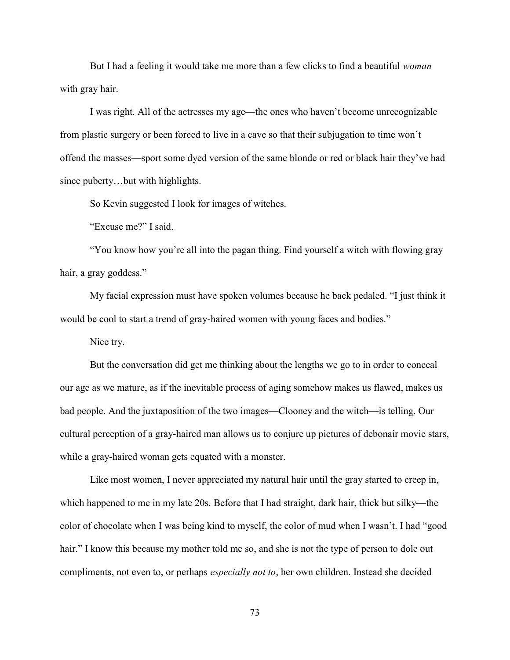But I had a feeling it would take me more than a few clicks to find a beautiful *woman* with gray hair.

I was right. All of the actresses my age—the ones who haven't become unrecognizable from plastic surgery or been forced to live in a cave so that their subjugation to time won't offend the masses—sport some dyed version of the same blonde or red or black hair they've had since puberty…but with highlights.

So Kevin suggested I look for images of witches.

"Excuse me?" I said.

"You know how you're all into the pagan thing. Find yourself a witch with flowing gray hair, a gray goddess."

My facial expression must have spoken volumes because he back pedaled. "I just think it would be cool to start a trend of gray-haired women with young faces and bodies."

Nice try.

But the conversation did get me thinking about the lengths we go to in order to conceal our age as we mature, as if the inevitable process of aging somehow makes us flawed, makes us bad people. And the juxtaposition of the two images—Clooney and the witch—is telling. Our cultural perception of a gray-haired man allows us to conjure up pictures of debonair movie stars, while a gray-haired woman gets equated with a monster.

Like most women, I never appreciated my natural hair until the gray started to creep in, which happened to me in my late 20s. Before that I had straight, dark hair, thick but silky—the color of chocolate when I was being kind to myself, the color of mud when I wasn't. I had "good hair." I know this because my mother told me so, and she is not the type of person to dole out compliments, not even to, or perhaps *especially not to*, her own children. Instead she decided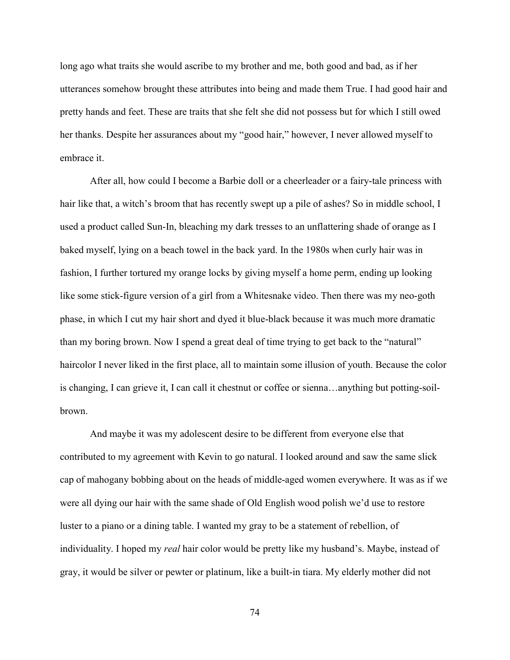long ago what traits she would ascribe to my brother and me, both good and bad, as if her utterances somehow brought these attributes into being and made them True. I had good hair and pretty hands and feet. These are traits that she felt she did not possess but for which I still owed her thanks. Despite her assurances about my "good hair," however, I never allowed myself to embrace it.

After all, how could I become a Barbie doll or a cheerleader or a fairy-tale princess with hair like that, a witch's broom that has recently swept up a pile of ashes? So in middle school, I used a product called Sun-In, bleaching my dark tresses to an unflattering shade of orange as I baked myself, lying on a beach towel in the back yard. In the 1980s when curly hair was in fashion, I further tortured my orange locks by giving myself a home perm, ending up looking like some stick-figure version of a girl from a Whitesnake video. Then there was my neo-goth phase, in which I cut my hair short and dyed it blue-black because it was much more dramatic than my boring brown. Now I spend a great deal of time trying to get back to the "natural" haircolor I never liked in the first place, all to maintain some illusion of youth. Because the color is changing, I can grieve it, I can call it chestnut or coffee or sienna…anything but potting-soilbrown.

And maybe it was my adolescent desire to be different from everyone else that contributed to my agreement with Kevin to go natural. I looked around and saw the same slick cap of mahogany bobbing about on the heads of middle-aged women everywhere. It was as if we were all dying our hair with the same shade of Old English wood polish we'd use to restore luster to a piano or a dining table. I wanted my gray to be a statement of rebellion, of individuality. I hoped my *real* hair color would be pretty like my husband's. Maybe, instead of gray, it would be silver or pewter or platinum, like a built-in tiara. My elderly mother did not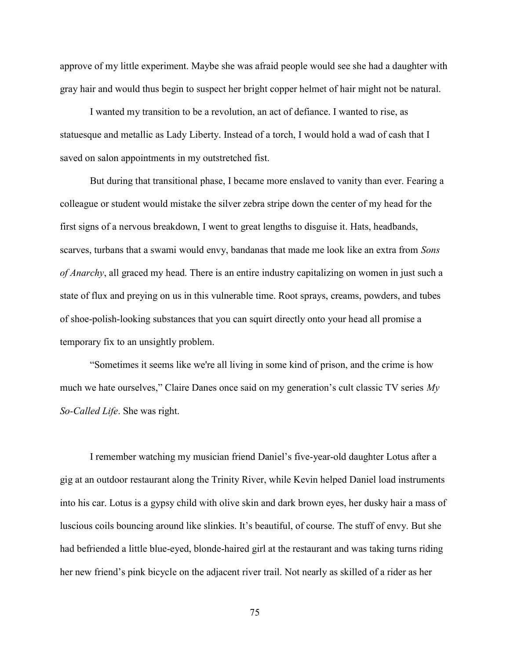approve of my little experiment. Maybe she was afraid people would see she had a daughter with gray hair and would thus begin to suspect her bright copper helmet of hair might not be natural.

I wanted my transition to be a revolution, an act of defiance. I wanted to rise, as statuesque and metallic as Lady Liberty. Instead of a torch, I would hold a wad of cash that I saved on salon appointments in my outstretched fist.

But during that transitional phase, I became more enslaved to vanity than ever. Fearing a colleague or student would mistake the silver zebra stripe down the center of my head for the first signs of a nervous breakdown, I went to great lengths to disguise it. Hats, headbands, scarves, turbans that a swami would envy, bandanas that made me look like an extra from Sons of Anarchy, all graced my head. There is an entire industry capitalizing on women in just such a state of flux and preying on us in this vulnerable time. Root sprays, creams, powders, and tubes of shoe-polish-looking substances that you can squirt directly onto your head all promise a temporary fix to an unsightly problem.

"Sometimes it seems like we're all living in some kind of prison, and the crime is how much we hate ourselves," Claire Danes once said on my generation's cult classic TV series My So-Called Life. She was right.

I remember watching my musician friend Daniel's five-year-old daughter Lotus after a gig at an outdoor restaurant along the Trinity River, while Kevin helped Daniel load instruments into his car. Lotus is a gypsy child with olive skin and dark brown eyes, her dusky hair a mass of luscious coils bouncing around like slinkies. It's beautiful, of course. The stuff of envy. But she had befriended a little blue-eyed, blonde-haired girl at the restaurant and was taking turns riding her new friend's pink bicycle on the adjacent river trail. Not nearly as skilled of a rider as her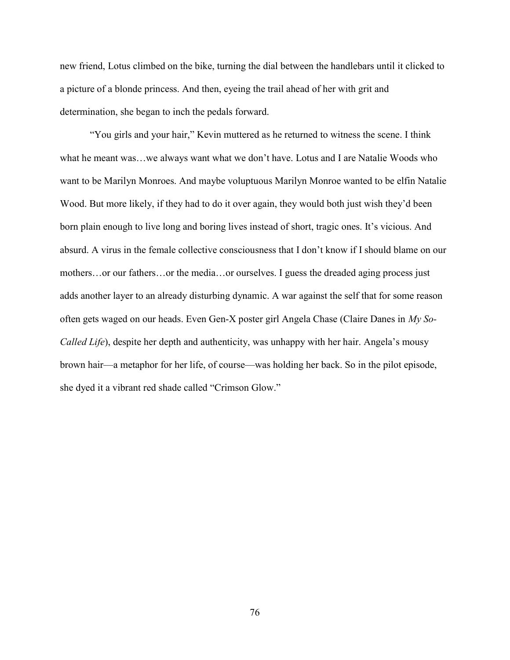new friend, Lotus climbed on the bike, turning the dial between the handlebars until it clicked to a picture of a blonde princess. And then, eyeing the trail ahead of her with grit and determination, she began to inch the pedals forward.

"You girls and your hair," Kevin muttered as he returned to witness the scene. I think what he meant was…we always want what we don't have. Lotus and I are Natalie Woods who want to be Marilyn Monroes. And maybe voluptuous Marilyn Monroe wanted to be elfin Natalie Wood. But more likely, if they had to do it over again, they would both just wish they'd been born plain enough to live long and boring lives instead of short, tragic ones. It's vicious. And absurd. A virus in the female collective consciousness that I don't know if I should blame on our mothers…or our fathers…or the media…or ourselves. I guess the dreaded aging process just adds another layer to an already disturbing dynamic. A war against the self that for some reason often gets waged on our heads. Even Gen-X poster girl Angela Chase (Claire Danes in My So-Called Life), despite her depth and authenticity, was unhappy with her hair. Angela's mousy brown hair—a metaphor for her life, of course—was holding her back. So in the pilot episode, she dyed it a vibrant red shade called "Crimson Glow."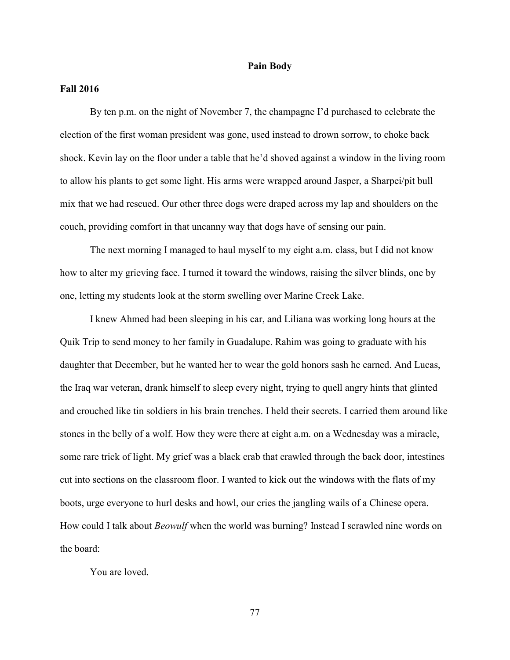## Pain Body

# Fall 2016

By ten p.m. on the night of November 7, the champagne I'd purchased to celebrate the election of the first woman president was gone, used instead to drown sorrow, to choke back shock. Kevin lay on the floor under a table that he'd shoved against a window in the living room to allow his plants to get some light. His arms were wrapped around Jasper, a Sharpei/pit bull mix that we had rescued. Our other three dogs were draped across my lap and shoulders on the couch, providing comfort in that uncanny way that dogs have of sensing our pain.

The next morning I managed to haul myself to my eight a.m. class, but I did not know how to alter my grieving face. I turned it toward the windows, raising the silver blinds, one by one, letting my students look at the storm swelling over Marine Creek Lake.

I knew Ahmed had been sleeping in his car, and Liliana was working long hours at the Quik Trip to send money to her family in Guadalupe. Rahim was going to graduate with his daughter that December, but he wanted her to wear the gold honors sash he earned. And Lucas, the Iraq war veteran, drank himself to sleep every night, trying to quell angry hints that glinted and crouched like tin soldiers in his brain trenches. I held their secrets. I carried them around like stones in the belly of a wolf. How they were there at eight a.m. on a Wednesday was a miracle, some rare trick of light. My grief was a black crab that crawled through the back door, intestines cut into sections on the classroom floor. I wanted to kick out the windows with the flats of my boots, urge everyone to hurl desks and howl, our cries the jangling wails of a Chinese opera. How could I talk about Beowulf when the world was burning? Instead I scrawled nine words on the board:

You are loved.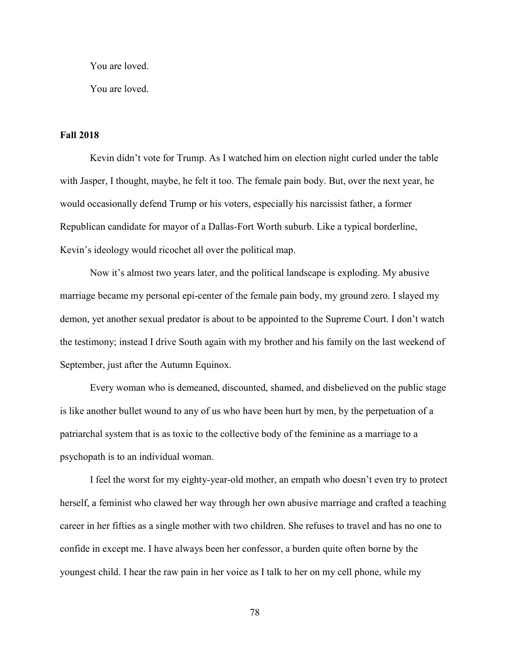You are loved.

You are loved.

# Fall 2018

Kevin didn't vote for Trump. As I watched him on election night curled under the table with Jasper, I thought, maybe, he felt it too. The female pain body. But, over the next year, he would occasionally defend Trump or his voters, especially his narcissist father, a former Republican candidate for mayor of a Dallas-Fort Worth suburb. Like a typical borderline, Kevin's ideology would ricochet all over the political map.

Now it's almost two years later, and the political landscape is exploding. My abusive marriage became my personal epi-center of the female pain body, my ground zero. I slayed my demon, yet another sexual predator is about to be appointed to the Supreme Court. I don't watch the testimony; instead I drive South again with my brother and his family on the last weekend of September, just after the Autumn Equinox.

Every woman who is demeaned, discounted, shamed, and disbelieved on the public stage is like another bullet wound to any of us who have been hurt by men, by the perpetuation of a patriarchal system that is as toxic to the collective body of the feminine as a marriage to a psychopath is to an individual woman.

I feel the worst for my eighty-year-old mother, an empath who doesn't even try to protect herself, a feminist who clawed her way through her own abusive marriage and crafted a teaching career in her fifties as a single mother with two children. She refuses to travel and has no one to confide in except me. I have always been her confessor, a burden quite often borne by the youngest child. I hear the raw pain in her voice as I talk to her on my cell phone, while my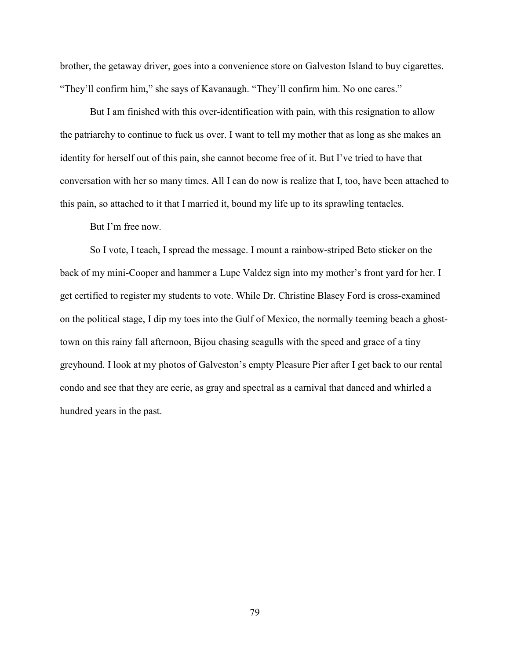brother, the getaway driver, goes into a convenience store on Galveston Island to buy cigarettes. "They'll confirm him," she says of Kavanaugh. "They'll confirm him. No one cares."

But I am finished with this over-identification with pain, with this resignation to allow the patriarchy to continue to fuck us over. I want to tell my mother that as long as she makes an identity for herself out of this pain, she cannot become free of it. But I've tried to have that conversation with her so many times. All I can do now is realize that I, too, have been attached to this pain, so attached to it that I married it, bound my life up to its sprawling tentacles.

But I'm free now.

So I vote, I teach, I spread the message. I mount a rainbow-striped Beto sticker on the back of my mini-Cooper and hammer a Lupe Valdez sign into my mother's front yard for her. I get certified to register my students to vote. While Dr. Christine Blasey Ford is cross-examined on the political stage, I dip my toes into the Gulf of Mexico, the normally teeming beach a ghosttown on this rainy fall afternoon, Bijou chasing seagulls with the speed and grace of a tiny greyhound. I look at my photos of Galveston's empty Pleasure Pier after I get back to our rental condo and see that they are eerie, as gray and spectral as a carnival that danced and whirled a hundred years in the past.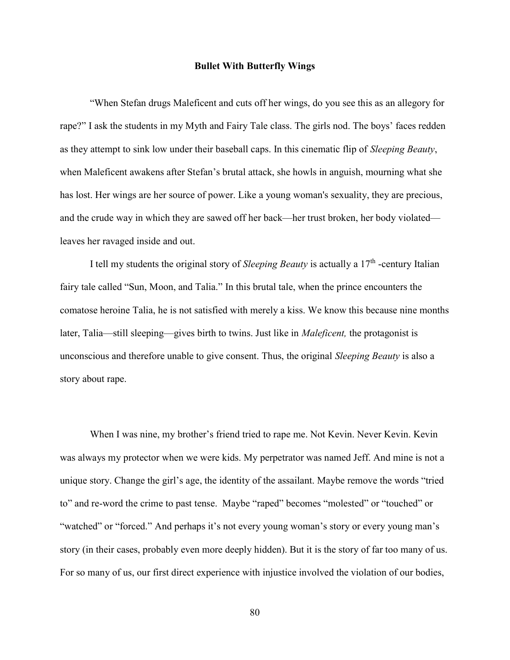#### Bullet With Butterfly Wings

"When Stefan drugs Maleficent and cuts off her wings, do you see this as an allegory for rape?" I ask the students in my Myth and Fairy Tale class. The girls nod. The boys' faces redden as they attempt to sink low under their baseball caps. In this cinematic flip of Sleeping Beauty, when Maleficent awakens after Stefan's brutal attack, she howls in anguish, mourning what she has lost. Her wings are her source of power. Like a young woman's sexuality, they are precious, and the crude way in which they are sawed off her back—her trust broken, her body violated leaves her ravaged inside and out.

I tell my students the original story of *Sleeping Beauty* is actually a  $17<sup>th</sup>$ -century Italian fairy tale called "Sun, Moon, and Talia." In this brutal tale, when the prince encounters the comatose heroine Talia, he is not satisfied with merely a kiss. We know this because nine months later, Talia—still sleeping—gives birth to twins. Just like in *Maleficent*, the protagonist is unconscious and therefore unable to give consent. Thus, the original *Sleeping Beauty* is also a story about rape.

When I was nine, my brother's friend tried to rape me. Not Kevin. Never Kevin. Kevin was always my protector when we were kids. My perpetrator was named Jeff. And mine is not a unique story. Change the girl's age, the identity of the assailant. Maybe remove the words "tried to" and re-word the crime to past tense. Maybe "raped" becomes "molested" or "touched" or "watched" or "forced." And perhaps it's not every young woman's story or every young man's story (in their cases, probably even more deeply hidden). But it is the story of far too many of us. For so many of us, our first direct experience with injustice involved the violation of our bodies,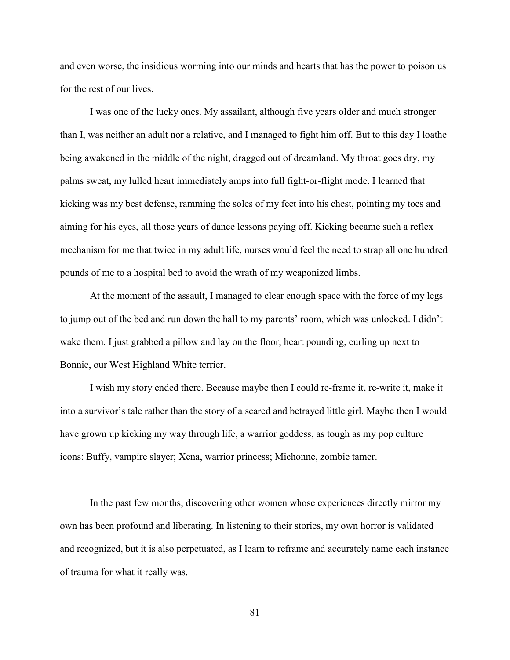and even worse, the insidious worming into our minds and hearts that has the power to poison us for the rest of our lives.

I was one of the lucky ones. My assailant, although five years older and much stronger than I, was neither an adult nor a relative, and I managed to fight him off. But to this day I loathe being awakened in the middle of the night, dragged out of dreamland. My throat goes dry, my palms sweat, my lulled heart immediately amps into full fight-or-flight mode. I learned that kicking was my best defense, ramming the soles of my feet into his chest, pointing my toes and aiming for his eyes, all those years of dance lessons paying off. Kicking became such a reflex mechanism for me that twice in my adult life, nurses would feel the need to strap all one hundred pounds of me to a hospital bed to avoid the wrath of my weaponized limbs.

At the moment of the assault, I managed to clear enough space with the force of my legs to jump out of the bed and run down the hall to my parents' room, which was unlocked. I didn't wake them. I just grabbed a pillow and lay on the floor, heart pounding, curling up next to Bonnie, our West Highland White terrier.

I wish my story ended there. Because maybe then I could re-frame it, re-write it, make it into a survivor's tale rather than the story of a scared and betrayed little girl. Maybe then I would have grown up kicking my way through life, a warrior goddess, as tough as my pop culture icons: Buffy, vampire slayer; Xena, warrior princess; Michonne, zombie tamer.

In the past few months, discovering other women whose experiences directly mirror my own has been profound and liberating. In listening to their stories, my own horror is validated and recognized, but it is also perpetuated, as I learn to reframe and accurately name each instance of trauma for what it really was.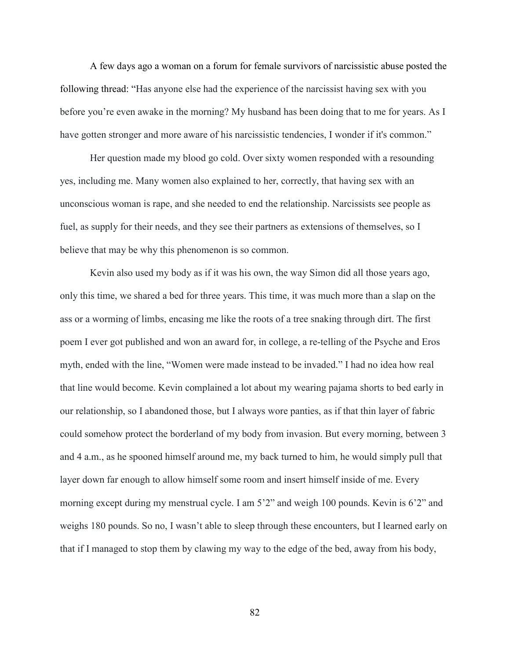A few days ago a woman on a forum for female survivors of narcissistic abuse posted the following thread: "Has anyone else had the experience of the narcissist having sex with you before you're even awake in the morning? My husband has been doing that to me for years. As I have gotten stronger and more aware of his narcissistic tendencies, I wonder if it's common."

Her question made my blood go cold. Over sixty women responded with a resounding yes, including me. Many women also explained to her, correctly, that having sex with an unconscious woman is rape, and she needed to end the relationship. Narcissists see people as fuel, as supply for their needs, and they see their partners as extensions of themselves, so I believe that may be why this phenomenon is so common.

Kevin also used my body as if it was his own, the way Simon did all those years ago, only this time, we shared a bed for three years. This time, it was much more than a slap on the ass or a worming of limbs, encasing me like the roots of a tree snaking through dirt. The first poem I ever got published and won an award for, in college, a re-telling of the Psyche and Eros myth, ended with the line, "Women were made instead to be invaded." I had no idea how real that line would become. Kevin complained a lot about my wearing pajama shorts to bed early in our relationship, so I abandoned those, but I always wore panties, as if that thin layer of fabric could somehow protect the borderland of my body from invasion. But every morning, between 3 and 4 a.m., as he spooned himself around me, my back turned to him, he would simply pull that layer down far enough to allow himself some room and insert himself inside of me. Every morning except during my menstrual cycle. I am 5'2" and weigh 100 pounds. Kevin is 6'2" and weighs 180 pounds. So no, I wasn't able to sleep through these encounters, but I learned early on that if I managed to stop them by clawing my way to the edge of the bed, away from his body,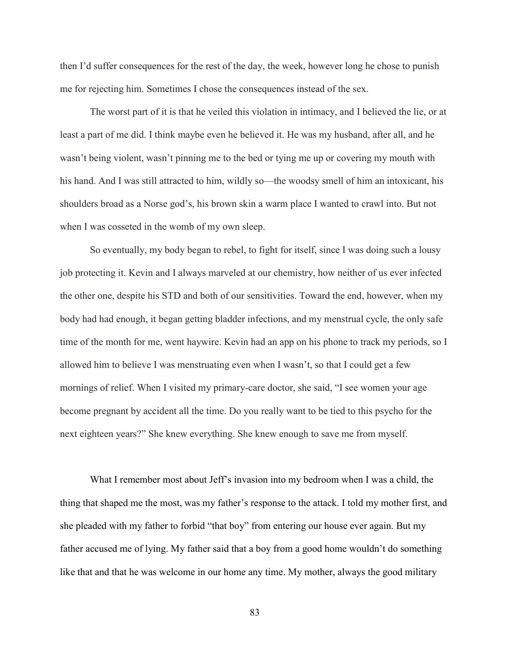then I'd suffer consequences for the rest of the day, the week, however long he chose to punish me for rejecting him. Sometimes I chose the consequences instead of the sex.

The worst part of it is that he veiled this violation in intimacy, and I believed the lie, or at least a part of me did. I think maybe even he believed it. He was my husband, after all, and he wasn't being violent, wasn't pinning me to the bed or tying me up or covering my mouth with his hand. And I was still attracted to him, wildly so—the woodsy smell of him an intoxicant, his shoulders broad as a Norse god's, his brown skin a warm place I wanted to crawl into. But not when I was cosseted in the womb of my own sleep.

So eventually, my body began to rebel, to fight for itself, since I was doing such a lousy job protecting it. Kevin and I always marveled at our chemistry, how neither of us ever infected the other one, despite his STD and both of our sensitivities. Toward the end, however, when my body had had enough, it began getting bladder infections, and my menstrual cycle, the only safe time of the month for me, went haywire. Kevin had an app on his phone to track my periods, so I allowed him to believe I was menstruating even when I wasn't, so that I could get a few mornings of relief. When I visited my primary-care doctor, she said, "I see women your age become pregnant by accident all the time. Do you really want to be tied to this psycho for the next eighteen years?" She knew everything. She knew enough to save me from myself.

What I remember most about Jeff's invasion into my bedroom when I was a child, the thing that shaped me the most, was my father's response to the attack. I told my mother first, and she pleaded with my father to forbid "that boy" from entering our house ever again. But my father accused me of lying. My father said that a boy from a good home wouldn't do something like that and that he was welcome in our home any time. My mother, always the good military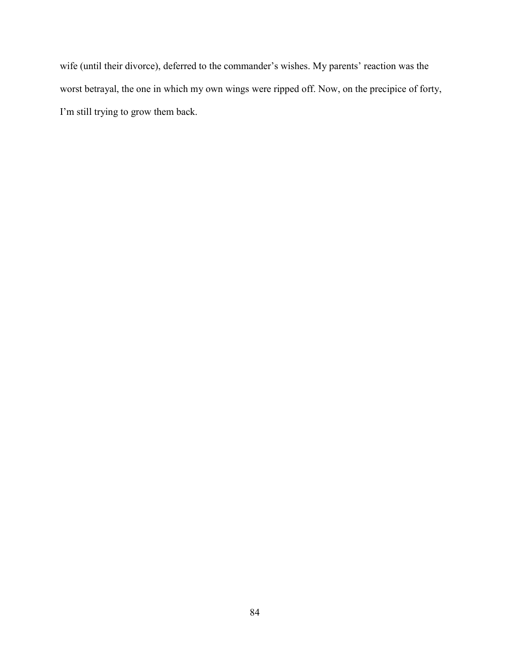wife (until their divorce), deferred to the commander's wishes. My parents' reaction was the worst betrayal, the one in which my own wings were ripped off. Now, on the precipice of forty, I'm still trying to grow them back.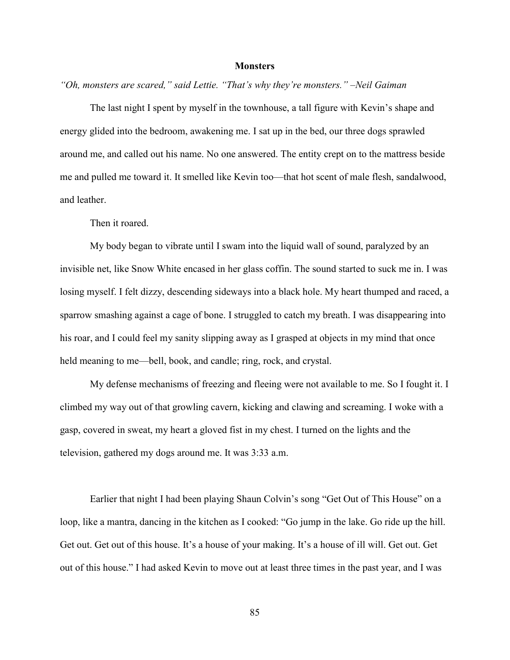## **Monsters**

"Oh, monsters are scared," said Lettie. "That's why they're monsters." –Neil Gaiman

The last night I spent by myself in the townhouse, a tall figure with Kevin's shape and energy glided into the bedroom, awakening me. I sat up in the bed, our three dogs sprawled around me, and called out his name. No one answered. The entity crept on to the mattress beside me and pulled me toward it. It smelled like Kevin too—that hot scent of male flesh, sandalwood, and leather.

Then it roared.

My body began to vibrate until I swam into the liquid wall of sound, paralyzed by an invisible net, like Snow White encased in her glass coffin. The sound started to suck me in. I was losing myself. I felt dizzy, descending sideways into a black hole. My heart thumped and raced, a sparrow smashing against a cage of bone. I struggled to catch my breath. I was disappearing into his roar, and I could feel my sanity slipping away as I grasped at objects in my mind that once held meaning to me—bell, book, and candle; ring, rock, and crystal.

My defense mechanisms of freezing and fleeing were not available to me. So I fought it. I climbed my way out of that growling cavern, kicking and clawing and screaming. I woke with a gasp, covered in sweat, my heart a gloved fist in my chest. I turned on the lights and the television, gathered my dogs around me. It was 3:33 a.m.

Earlier that night I had been playing Shaun Colvin's song "Get Out of This House" on a loop, like a mantra, dancing in the kitchen as I cooked: "Go jump in the lake. Go ride up the hill. Get out. Get out of this house. It's a house of your making. It's a house of ill will. Get out. Get out of this house." I had asked Kevin to move out at least three times in the past year, and I was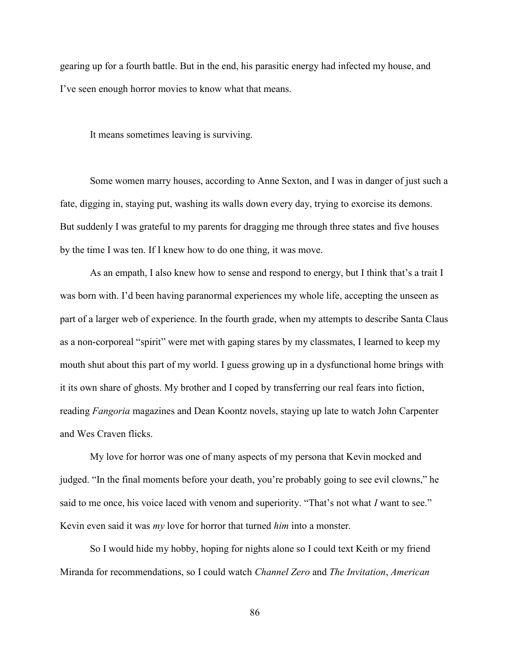gearing up for a fourth battle. But in the end, his parasitic energy had infected my house, and I've seen enough horror movies to know what that means.

It means sometimes leaving is surviving.

Some women marry houses, according to Anne Sexton, and I was in danger of just such a fate, digging in, staying put, washing its walls down every day, trying to exorcise its demons. But suddenly I was grateful to my parents for dragging me through three states and five houses by the time I was ten. If I knew how to do one thing, it was move.

As an empath, I also knew how to sense and respond to energy, but I think that's a trait I was born with. I'd been having paranormal experiences my whole life, accepting the unseen as part of a larger web of experience. In the fourth grade, when my attempts to describe Santa Claus as a non-corporeal "spirit" were met with gaping stares by my classmates, I learned to keep my mouth shut about this part of my world. I guess growing up in a dysfunctional home brings with it its own share of ghosts. My brother and I coped by transferring our real fears into fiction, reading Fangoria magazines and Dean Koontz novels, staying up late to watch John Carpenter and Wes Craven flicks.

My love for horror was one of many aspects of my persona that Kevin mocked and judged. "In the final moments before your death, you're probably going to see evil clowns," he said to me once, his voice laced with venom and superiority. "That's not what I want to see." Kevin even said it was *my* love for horror that turned *him* into a monster.

So I would hide my hobby, hoping for nights alone so I could text Keith or my friend Miranda for recommendations, so I could watch Channel Zero and The Invitation, American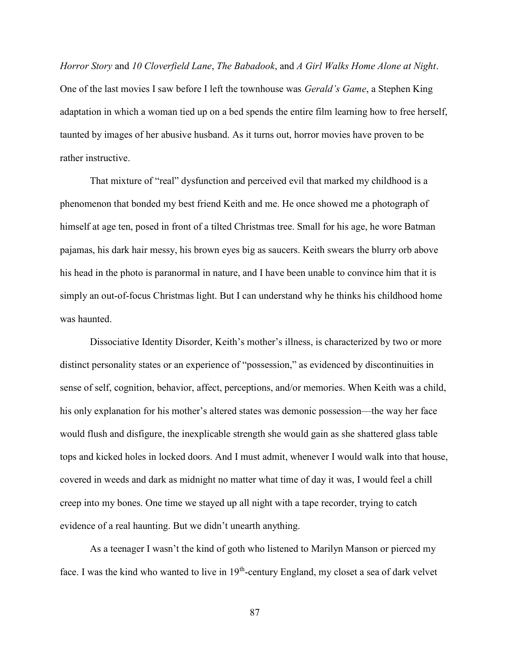Horror Story and 10 Cloverfield Lane, The Babadook, and A Girl Walks Home Alone at Night. One of the last movies I saw before I left the townhouse was Gerald's Game, a Stephen King adaptation in which a woman tied up on a bed spends the entire film learning how to free herself, taunted by images of her abusive husband. As it turns out, horror movies have proven to be rather instructive.

That mixture of "real" dysfunction and perceived evil that marked my childhood is a phenomenon that bonded my best friend Keith and me. He once showed me a photograph of himself at age ten, posed in front of a tilted Christmas tree. Small for his age, he wore Batman pajamas, his dark hair messy, his brown eyes big as saucers. Keith swears the blurry orb above his head in the photo is paranormal in nature, and I have been unable to convince him that it is simply an out-of-focus Christmas light. But I can understand why he thinks his childhood home was haunted.

Dissociative Identity Disorder, Keith's mother's illness, is characterized by two or more distinct personality states or an experience of "possession," as evidenced by discontinuities in sense of self, cognition, behavior, affect, perceptions, and/or memories. When Keith was a child, his only explanation for his mother's altered states was demonic possession—the way her face would flush and disfigure, the inexplicable strength she would gain as she shattered glass table tops and kicked holes in locked doors. And I must admit, whenever I would walk into that house, covered in weeds and dark as midnight no matter what time of day it was, I would feel a chill creep into my bones. One time we stayed up all night with a tape recorder, trying to catch evidence of a real haunting. But we didn't unearth anything.

As a teenager I wasn't the kind of goth who listened to Marilyn Manson or pierced my face. I was the kind who wanted to live in 19<sup>th</sup>-century England, my closet a sea of dark velvet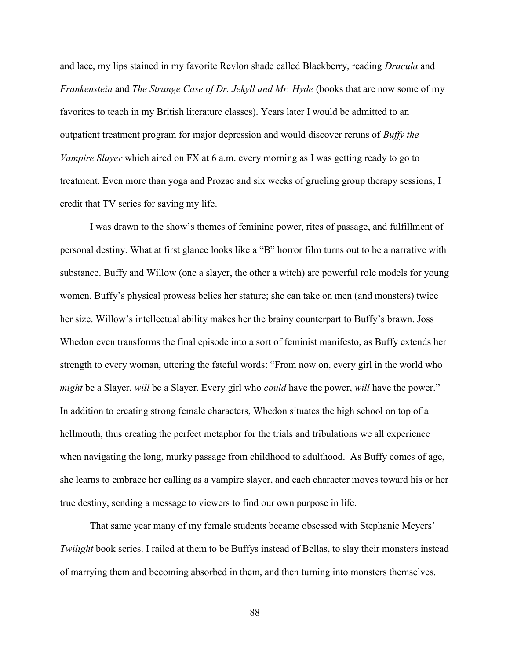and lace, my lips stained in my favorite Revlon shade called Blackberry, reading *Dracula* and Frankenstein and The Strange Case of Dr. Jekyll and Mr. Hyde (books that are now some of my favorites to teach in my British literature classes). Years later I would be admitted to an outpatient treatment program for major depression and would discover reruns of *Buffy the* Vampire Slayer which aired on FX at 6 a.m. every morning as I was getting ready to go to treatment. Even more than yoga and Prozac and six weeks of grueling group therapy sessions, I credit that TV series for saving my life.

I was drawn to the show's themes of feminine power, rites of passage, and fulfillment of personal destiny. What at first glance looks like a "B" horror film turns out to be a narrative with substance. Buffy and Willow (one a slayer, the other a witch) are powerful role models for young women. Buffy's physical prowess belies her stature; she can take on men (and monsters) twice her size. Willow's intellectual ability makes her the brainy counterpart to Buffy's brawn. Joss Whedon even transforms the final episode into a sort of feminist manifesto, as Buffy extends her strength to every woman, uttering the fateful words: "From now on, every girl in the world who might be a Slayer, will be a Slayer. Every girl who *could* have the power, will have the power." In addition to creating strong female characters, Whedon situates the high school on top of a hellmouth, thus creating the perfect metaphor for the trials and tribulations we all experience when navigating the long, murky passage from childhood to adulthood. As Buffy comes of age, she learns to embrace her calling as a vampire slayer, and each character moves toward his or her true destiny, sending a message to viewers to find our own purpose in life.

That same year many of my female students became obsessed with Stephanie Meyers' Twilight book series. I railed at them to be Buffys instead of Bellas, to slay their monsters instead of marrying them and becoming absorbed in them, and then turning into monsters themselves.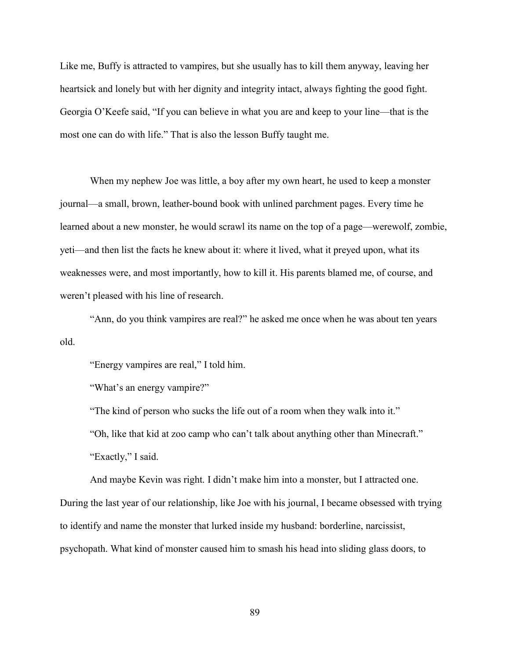Like me, Buffy is attracted to vampires, but she usually has to kill them anyway, leaving her heartsick and lonely but with her dignity and integrity intact, always fighting the good fight. Georgia O'Keefe said, "If you can believe in what you are and keep to your line—that is the most one can do with life." That is also the lesson Buffy taught me.

When my nephew Joe was little, a boy after my own heart, he used to keep a monster journal—a small, brown, leather-bound book with unlined parchment pages. Every time he learned about a new monster, he would scrawl its name on the top of a page—werewolf, zombie, yeti—and then list the facts he knew about it: where it lived, what it preyed upon, what its weaknesses were, and most importantly, how to kill it. His parents blamed me, of course, and weren't pleased with his line of research.

"Ann, do you think vampires are real?" he asked me once when he was about ten years old.

"Energy vampires are real," I told him.

"What's an energy vampire?"

"The kind of person who sucks the life out of a room when they walk into it." "Oh, like that kid at zoo camp who can't talk about anything other than Minecraft." "Exactly," I said.

And maybe Kevin was right. I didn't make him into a monster, but I attracted one. During the last year of our relationship, like Joe with his journal, I became obsessed with trying to identify and name the monster that lurked inside my husband: borderline, narcissist, psychopath. What kind of monster caused him to smash his head into sliding glass doors, to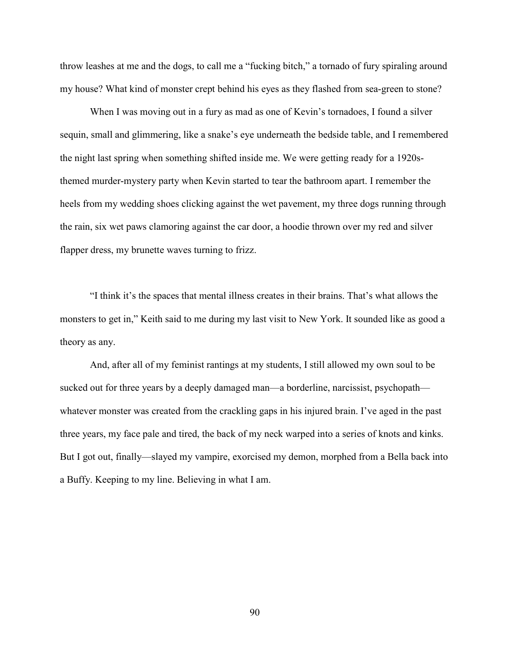throw leashes at me and the dogs, to call me a "fucking bitch," a tornado of fury spiraling around my house? What kind of monster crept behind his eyes as they flashed from sea-green to stone?

When I was moving out in a fury as mad as one of Kevin's tornadoes, I found a silver sequin, small and glimmering, like a snake's eye underneath the bedside table, and I remembered the night last spring when something shifted inside me. We were getting ready for a 1920sthemed murder-mystery party when Kevin started to tear the bathroom apart. I remember the heels from my wedding shoes clicking against the wet pavement, my three dogs running through the rain, six wet paws clamoring against the car door, a hoodie thrown over my red and silver flapper dress, my brunette waves turning to frizz.

"I think it's the spaces that mental illness creates in their brains. That's what allows the monsters to get in," Keith said to me during my last visit to New York. It sounded like as good a theory as any.

And, after all of my feminist rantings at my students, I still allowed my own soul to be sucked out for three years by a deeply damaged man—a borderline, narcissist, psychopath whatever monster was created from the crackling gaps in his injured brain. I've aged in the past three years, my face pale and tired, the back of my neck warped into a series of knots and kinks. But I got out, finally—slayed my vampire, exorcised my demon, morphed from a Bella back into a Buffy. Keeping to my line. Believing in what I am.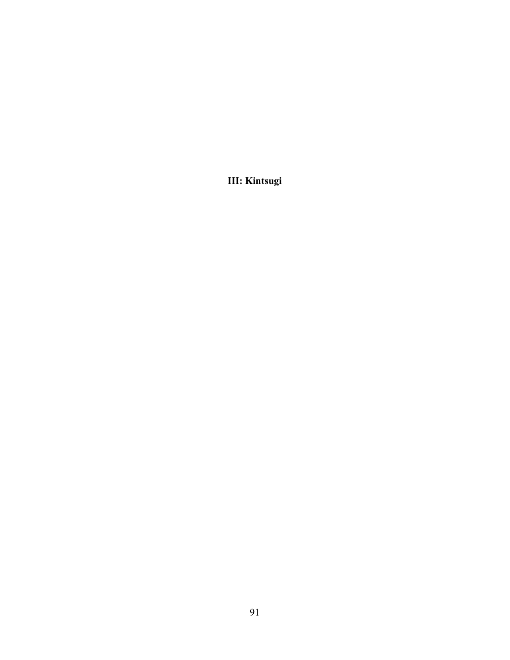III: Kintsugi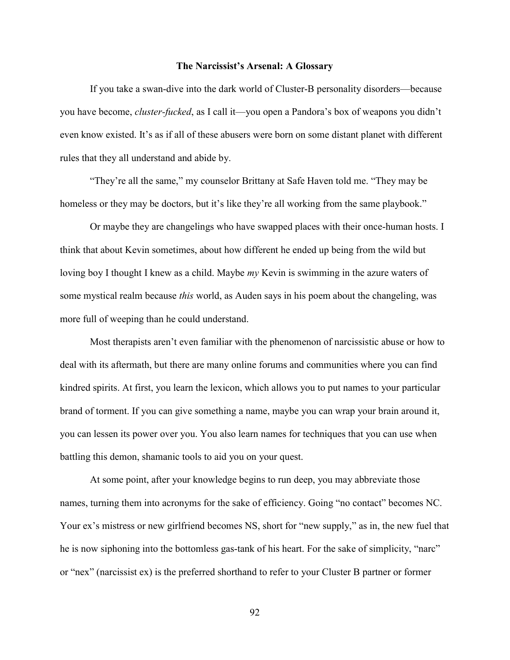## The Narcissist's Arsenal: A Glossary

If you take a swan-dive into the dark world of Cluster-B personality disorders—because you have become, cluster-fucked, as I call it—you open a Pandora's box of weapons you didn't even know existed. It's as if all of these abusers were born on some distant planet with different rules that they all understand and abide by.

"They're all the same," my counselor Brittany at Safe Haven told me. "They may be homeless or they may be doctors, but it's like they're all working from the same playbook."

Or maybe they are changelings who have swapped places with their once-human hosts. I think that about Kevin sometimes, about how different he ended up being from the wild but loving boy I thought I knew as a child. Maybe my Kevin is swimming in the azure waters of some mystical realm because this world, as Auden says in his poem about the changeling, was more full of weeping than he could understand.

Most therapists aren't even familiar with the phenomenon of narcissistic abuse or how to deal with its aftermath, but there are many online forums and communities where you can find kindred spirits. At first, you learn the lexicon, which allows you to put names to your particular brand of torment. If you can give something a name, maybe you can wrap your brain around it, you can lessen its power over you. You also learn names for techniques that you can use when battling this demon, shamanic tools to aid you on your quest.

At some point, after your knowledge begins to run deep, you may abbreviate those names, turning them into acronyms for the sake of efficiency. Going "no contact" becomes NC. Your ex's mistress or new girlfriend becomes NS, short for "new supply," as in, the new fuel that he is now siphoning into the bottomless gas-tank of his heart. For the sake of simplicity, "narc" or "nex" (narcissist ex) is the preferred shorthand to refer to your Cluster B partner or former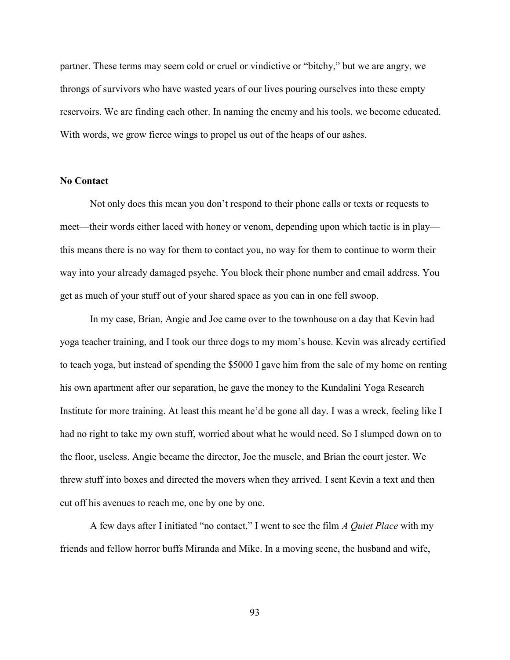partner. These terms may seem cold or cruel or vindictive or "bitchy," but we are angry, we throngs of survivors who have wasted years of our lives pouring ourselves into these empty reservoirs. We are finding each other. In naming the enemy and his tools, we become educated. With words, we grow fierce wings to propel us out of the heaps of our ashes.

# No Contact

Not only does this mean you don't respond to their phone calls or texts or requests to meet—their words either laced with honey or venom, depending upon which tactic is in play this means there is no way for them to contact you, no way for them to continue to worm their way into your already damaged psyche. You block their phone number and email address. You get as much of your stuff out of your shared space as you can in one fell swoop.

In my case, Brian, Angie and Joe came over to the townhouse on a day that Kevin had yoga teacher training, and I took our three dogs to my mom's house. Kevin was already certified to teach yoga, but instead of spending the \$5000 I gave him from the sale of my home on renting his own apartment after our separation, he gave the money to the Kundalini Yoga Research Institute for more training. At least this meant he'd be gone all day. I was a wreck, feeling like I had no right to take my own stuff, worried about what he would need. So I slumped down on to the floor, useless. Angie became the director, Joe the muscle, and Brian the court jester. We threw stuff into boxes and directed the movers when they arrived. I sent Kevin a text and then cut off his avenues to reach me, one by one by one.

A few days after I initiated "no contact," I went to see the film A Quiet Place with my friends and fellow horror buffs Miranda and Mike. In a moving scene, the husband and wife,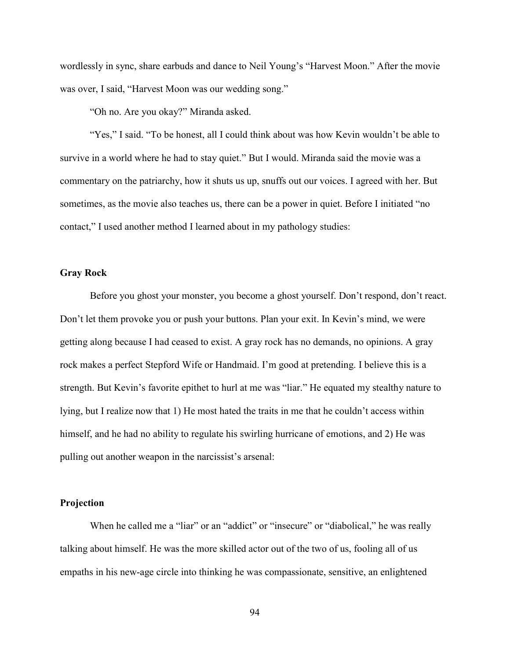wordlessly in sync, share earbuds and dance to Neil Young's "Harvest Moon." After the movie was over, I said, "Harvest Moon was our wedding song."

"Oh no. Are you okay?" Miranda asked.

"Yes," I said. "To be honest, all I could think about was how Kevin wouldn't be able to survive in a world where he had to stay quiet." But I would. Miranda said the movie was a commentary on the patriarchy, how it shuts us up, snuffs out our voices. I agreed with her. But sometimes, as the movie also teaches us, there can be a power in quiet. Before I initiated "no contact," I used another method I learned about in my pathology studies:

# Gray Rock

Before you ghost your monster, you become a ghost yourself. Don't respond, don't react. Don't let them provoke you or push your buttons. Plan your exit. In Kevin's mind, we were getting along because I had ceased to exist. A gray rock has no demands, no opinions. A gray rock makes a perfect Stepford Wife or Handmaid. I'm good at pretending. I believe this is a strength. But Kevin's favorite epithet to hurl at me was "liar." He equated my stealthy nature to lying, but I realize now that 1) He most hated the traits in me that he couldn't access within himself, and he had no ability to regulate his swirling hurricane of emotions, and 2) He was pulling out another weapon in the narcissist's arsenal:

#### Projection

When he called me a "liar" or an "addict" or "insecure" or "diabolical," he was really talking about himself. He was the more skilled actor out of the two of us, fooling all of us empaths in his new-age circle into thinking he was compassionate, sensitive, an enlightened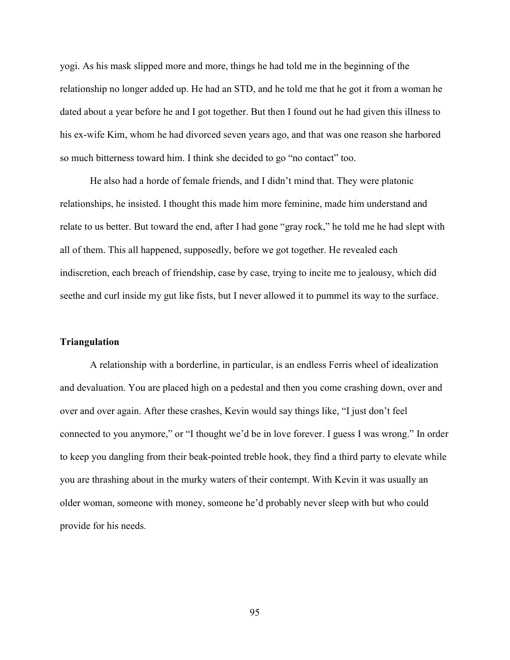yogi. As his mask slipped more and more, things he had told me in the beginning of the relationship no longer added up. He had an STD, and he told me that he got it from a woman he dated about a year before he and I got together. But then I found out he had given this illness to his ex-wife Kim, whom he had divorced seven years ago, and that was one reason she harbored so much bitterness toward him. I think she decided to go "no contact" too.

He also had a horde of female friends, and I didn't mind that. They were platonic relationships, he insisted. I thought this made him more feminine, made him understand and relate to us better. But toward the end, after I had gone "gray rock," he told me he had slept with all of them. This all happened, supposedly, before we got together. He revealed each indiscretion, each breach of friendship, case by case, trying to incite me to jealousy, which did seethe and curl inside my gut like fists, but I never allowed it to pummel its way to the surface.

# **Triangulation**

A relationship with a borderline, in particular, is an endless Ferris wheel of idealization and devaluation. You are placed high on a pedestal and then you come crashing down, over and over and over again. After these crashes, Kevin would say things like, "I just don't feel connected to you anymore," or "I thought we'd be in love forever. I guess I was wrong." In order to keep you dangling from their beak-pointed treble hook, they find a third party to elevate while you are thrashing about in the murky waters of their contempt. With Kevin it was usually an older woman, someone with money, someone he'd probably never sleep with but who could provide for his needs.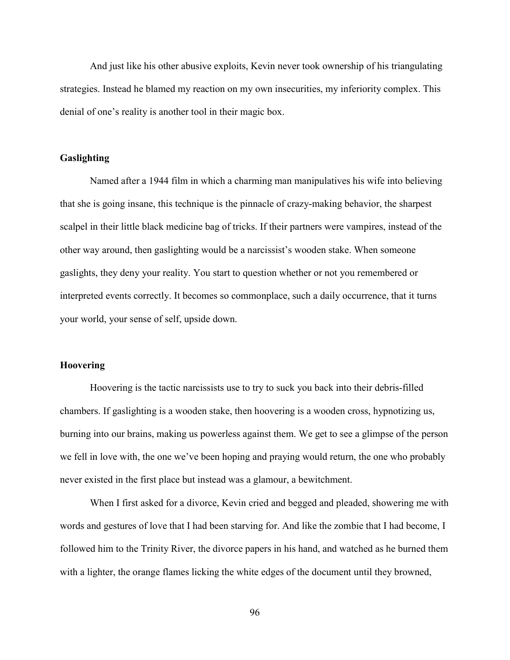And just like his other abusive exploits, Kevin never took ownership of his triangulating strategies. Instead he blamed my reaction on my own insecurities, my inferiority complex. This denial of one's reality is another tool in their magic box.

# Gaslighting

Named after a 1944 film in which a charming man manipulatives his wife into believing that she is going insane, this technique is the pinnacle of crazy-making behavior, the sharpest scalpel in their little black medicine bag of tricks. If their partners were vampires, instead of the other way around, then gaslighting would be a narcissist's wooden stake. When someone gaslights, they deny your reality. You start to question whether or not you remembered or interpreted events correctly. It becomes so commonplace, such a daily occurrence, that it turns your world, your sense of self, upside down.

## Hoovering

Hoovering is the tactic narcissists use to try to suck you back into their debris-filled chambers. If gaslighting is a wooden stake, then hoovering is a wooden cross, hypnotizing us, burning into our brains, making us powerless against them. We get to see a glimpse of the person we fell in love with, the one we've been hoping and praying would return, the one who probably never existed in the first place but instead was a glamour, a bewitchment.

When I first asked for a divorce, Kevin cried and begged and pleaded, showering me with words and gestures of love that I had been starving for. And like the zombie that I had become, I followed him to the Trinity River, the divorce papers in his hand, and watched as he burned them with a lighter, the orange flames licking the white edges of the document until they browned,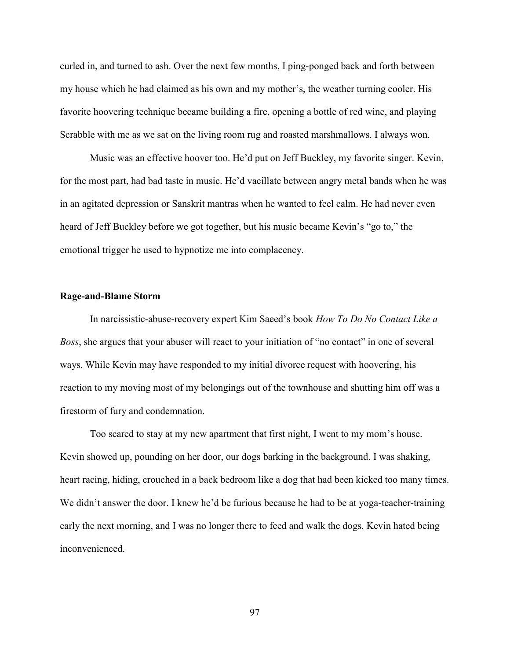curled in, and turned to ash. Over the next few months, I ping-ponged back and forth between my house which he had claimed as his own and my mother's, the weather turning cooler. His favorite hoovering technique became building a fire, opening a bottle of red wine, and playing Scrabble with me as we sat on the living room rug and roasted marshmallows. I always won.

Music was an effective hoover too. He'd put on Jeff Buckley, my favorite singer. Kevin, for the most part, had bad taste in music. He'd vacillate between angry metal bands when he was in an agitated depression or Sanskrit mantras when he wanted to feel calm. He had never even heard of Jeff Buckley before we got together, but his music became Kevin's "go to," the emotional trigger he used to hypnotize me into complacency.

# Rage-and-Blame Storm

In narcissistic-abuse-recovery expert Kim Saeed's book How To Do No Contact Like a Boss, she argues that your abuser will react to your initiation of "no contact" in one of several ways. While Kevin may have responded to my initial divorce request with hoovering, his reaction to my moving most of my belongings out of the townhouse and shutting him off was a firestorm of fury and condemnation.

Too scared to stay at my new apartment that first night, I went to my mom's house. Kevin showed up, pounding on her door, our dogs barking in the background. I was shaking, heart racing, hiding, crouched in a back bedroom like a dog that had been kicked too many times. We didn't answer the door. I knew he'd be furious because he had to be at yoga-teacher-training early the next morning, and I was no longer there to feed and walk the dogs. Kevin hated being inconvenienced.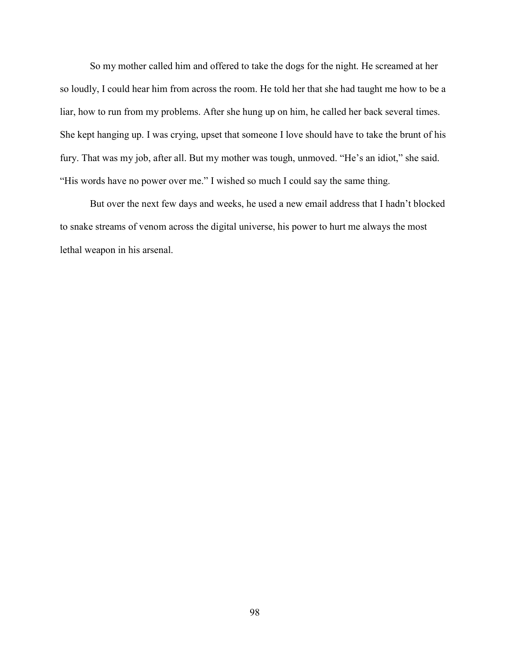So my mother called him and offered to take the dogs for the night. He screamed at her so loudly, I could hear him from across the room. He told her that she had taught me how to be a liar, how to run from my problems. After she hung up on him, he called her back several times. She kept hanging up. I was crying, upset that someone I love should have to take the brunt of his fury. That was my job, after all. But my mother was tough, unmoved. "He's an idiot," she said. "His words have no power over me." I wished so much I could say the same thing.

But over the next few days and weeks, he used a new email address that I hadn't blocked to snake streams of venom across the digital universe, his power to hurt me always the most lethal weapon in his arsenal.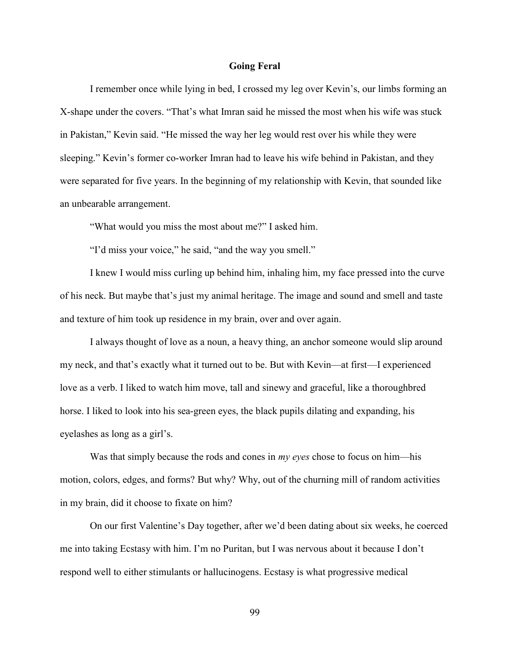# Going Feral

I remember once while lying in bed, I crossed my leg over Kevin's, our limbs forming an X-shape under the covers. "That's what Imran said he missed the most when his wife was stuck in Pakistan," Kevin said. "He missed the way her leg would rest over his while they were sleeping." Kevin's former co-worker Imran had to leave his wife behind in Pakistan, and they were separated for five years. In the beginning of my relationship with Kevin, that sounded like an unbearable arrangement.

"What would you miss the most about me?" I asked him.

"I'd miss your voice," he said, "and the way you smell."

I knew I would miss curling up behind him, inhaling him, my face pressed into the curve of his neck. But maybe that's just my animal heritage. The image and sound and smell and taste and texture of him took up residence in my brain, over and over again.

I always thought of love as a noun, a heavy thing, an anchor someone would slip around my neck, and that's exactly what it turned out to be. But with Kevin—at first—I experienced love as a verb. I liked to watch him move, tall and sinewy and graceful, like a thoroughbred horse. I liked to look into his sea-green eyes, the black pupils dilating and expanding, his eyelashes as long as a girl's.

Was that simply because the rods and cones in  $my$  eyes chose to focus on him—his motion, colors, edges, and forms? But why? Why, out of the churning mill of random activities in my brain, did it choose to fixate on him?

On our first Valentine's Day together, after we'd been dating about six weeks, he coerced me into taking Ecstasy with him. I'm no Puritan, but I was nervous about it because I don't respond well to either stimulants or hallucinogens. Ecstasy is what progressive medical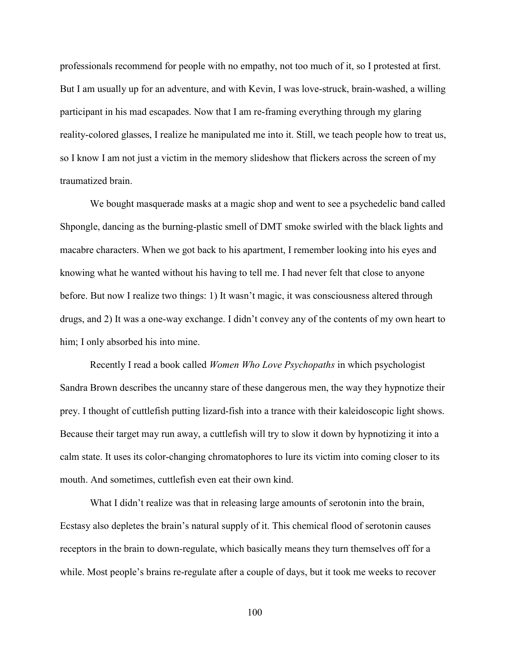professionals recommend for people with no empathy, not too much of it, so I protested at first. But I am usually up for an adventure, and with Kevin, I was love-struck, brain-washed, a willing participant in his mad escapades. Now that I am re-framing everything through my glaring reality-colored glasses, I realize he manipulated me into it. Still, we teach people how to treat us, so I know I am not just a victim in the memory slideshow that flickers across the screen of my traumatized brain.

We bought masquerade masks at a magic shop and went to see a psychedelic band called Shpongle, dancing as the burning-plastic smell of DMT smoke swirled with the black lights and macabre characters. When we got back to his apartment, I remember looking into his eyes and knowing what he wanted without his having to tell me. I had never felt that close to anyone before. But now I realize two things: 1) It wasn't magic, it was consciousness altered through drugs, and 2) It was a one-way exchange. I didn't convey any of the contents of my own heart to him; I only absorbed his into mine.

Recently I read a book called Women Who Love Psychopaths in which psychologist Sandra Brown describes the uncanny stare of these dangerous men, the way they hypnotize their prey. I thought of cuttlefish putting lizard-fish into a trance with their kaleidoscopic light shows. Because their target may run away, a cuttlefish will try to slow it down by hypnotizing it into a calm state. It uses its color-changing chromatophores to lure its victim into coming closer to its mouth. And sometimes, cuttlefish even eat their own kind.

What I didn't realize was that in releasing large amounts of serotonin into the brain, Ecstasy also depletes the brain's natural supply of it. This chemical flood of serotonin causes receptors in the brain to down-regulate, which basically means they turn themselves off for a while. Most people's brains re-regulate after a couple of days, but it took me weeks to recover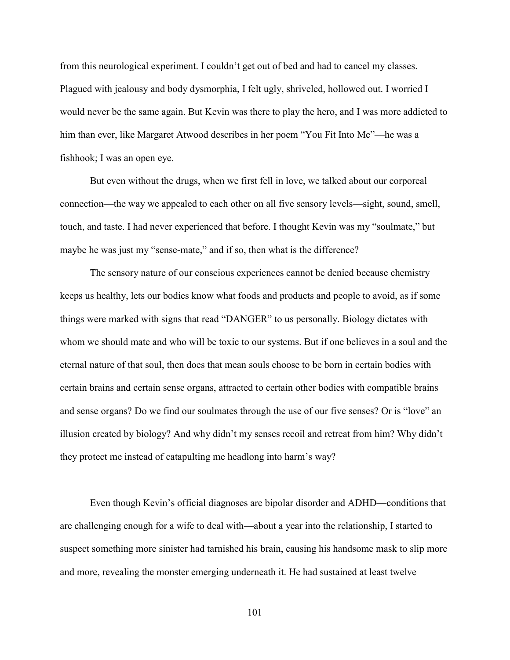from this neurological experiment. I couldn't get out of bed and had to cancel my classes. Plagued with jealousy and body dysmorphia, I felt ugly, shriveled, hollowed out. I worried I would never be the same again. But Kevin was there to play the hero, and I was more addicted to him than ever, like Margaret Atwood describes in her poem "You Fit Into Me"—he was a fishhook; I was an open eye.

But even without the drugs, when we first fell in love, we talked about our corporeal connection—the way we appealed to each other on all five sensory levels—sight, sound, smell, touch, and taste. I had never experienced that before. I thought Kevin was my "soulmate," but maybe he was just my "sense-mate," and if so, then what is the difference?

The sensory nature of our conscious experiences cannot be denied because chemistry keeps us healthy, lets our bodies know what foods and products and people to avoid, as if some things were marked with signs that read "DANGER" to us personally. Biology dictates with whom we should mate and who will be toxic to our systems. But if one believes in a soul and the eternal nature of that soul, then does that mean souls choose to be born in certain bodies with certain brains and certain sense organs, attracted to certain other bodies with compatible brains and sense organs? Do we find our soulmates through the use of our five senses? Or is "love" an illusion created by biology? And why didn't my senses recoil and retreat from him? Why didn't they protect me instead of catapulting me headlong into harm's way?

Even though Kevin's official diagnoses are bipolar disorder and ADHD—conditions that are challenging enough for a wife to deal with—about a year into the relationship, I started to suspect something more sinister had tarnished his brain, causing his handsome mask to slip more and more, revealing the monster emerging underneath it. He had sustained at least twelve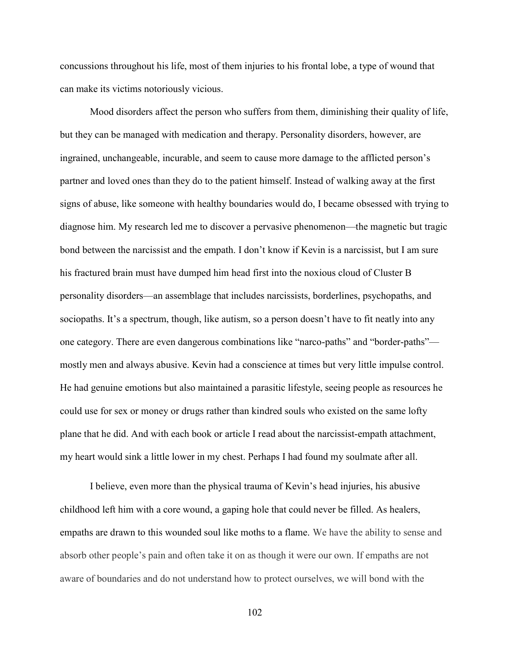concussions throughout his life, most of them injuries to his frontal lobe, a type of wound that can make its victims notoriously vicious.

Mood disorders affect the person who suffers from them, diminishing their quality of life, but they can be managed with medication and therapy. Personality disorders, however, are ingrained, unchangeable, incurable, and seem to cause more damage to the afflicted person's partner and loved ones than they do to the patient himself. Instead of walking away at the first signs of abuse, like someone with healthy boundaries would do, I became obsessed with trying to diagnose him. My research led me to discover a pervasive phenomenon—the magnetic but tragic bond between the narcissist and the empath. I don't know if Kevin is a narcissist, but I am sure his fractured brain must have dumped him head first into the noxious cloud of Cluster B personality disorders—an assemblage that includes narcissists, borderlines, psychopaths, and sociopaths. It's a spectrum, though, like autism, so a person doesn't have to fit neatly into any one category. There are even dangerous combinations like "narco-paths" and "border-paths" mostly men and always abusive. Kevin had a conscience at times but very little impulse control. He had genuine emotions but also maintained a parasitic lifestyle, seeing people as resources he could use for sex or money or drugs rather than kindred souls who existed on the same lofty plane that he did. And with each book or article I read about the narcissist-empath attachment, my heart would sink a little lower in my chest. Perhaps I had found my soulmate after all.

I believe, even more than the physical trauma of Kevin's head injuries, his abusive childhood left him with a core wound, a gaping hole that could never be filled. As healers, empaths are drawn to this wounded soul like moths to a flame. We have the ability to sense and absorb other people's pain and often take it on as though it were our own. If empaths are not aware of boundaries and do not understand how to protect ourselves, we will bond with the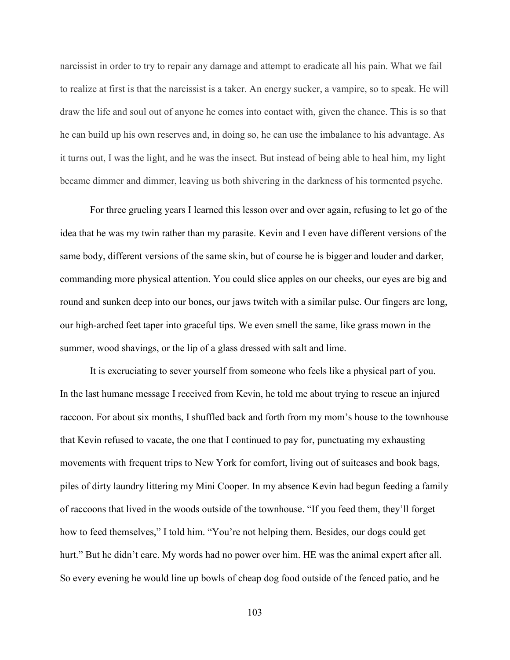narcissist in order to try to repair any damage and attempt to eradicate all his pain. What we fail to realize at first is that the narcissist is a taker. An energy sucker, a vampire, so to speak. He will draw the life and soul out of anyone he comes into contact with, given the chance. This is so that he can build up his own reserves and, in doing so, he can use the imbalance to his advantage. As it turns out, I was the light, and he was the insect. But instead of being able to heal him, my light became dimmer and dimmer, leaving us both shivering in the darkness of his tormented psyche.

For three grueling years I learned this lesson over and over again, refusing to let go of the idea that he was my twin rather than my parasite. Kevin and I even have different versions of the same body, different versions of the same skin, but of course he is bigger and louder and darker, commanding more physical attention. You could slice apples on our cheeks, our eyes are big and round and sunken deep into our bones, our jaws twitch with a similar pulse. Our fingers are long, our high-arched feet taper into graceful tips. We even smell the same, like grass mown in the summer, wood shavings, or the lip of a glass dressed with salt and lime.

It is excruciating to sever yourself from someone who feels like a physical part of you. In the last humane message I received from Kevin, he told me about trying to rescue an injured raccoon. For about six months, I shuffled back and forth from my mom's house to the townhouse that Kevin refused to vacate, the one that I continued to pay for, punctuating my exhausting movements with frequent trips to New York for comfort, living out of suitcases and book bags, piles of dirty laundry littering my Mini Cooper. In my absence Kevin had begun feeding a family of raccoons that lived in the woods outside of the townhouse. "If you feed them, they'll forget how to feed themselves," I told him. "You're not helping them. Besides, our dogs could get hurt." But he didn't care. My words had no power over him. HE was the animal expert after all. So every evening he would line up bowls of cheap dog food outside of the fenced patio, and he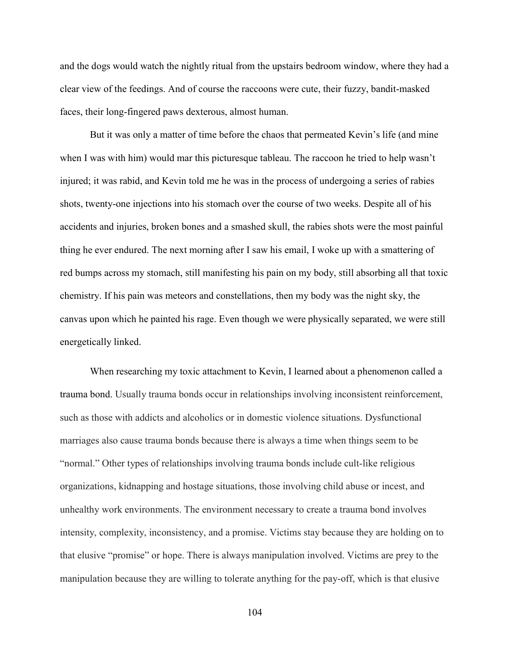and the dogs would watch the nightly ritual from the upstairs bedroom window, where they had a clear view of the feedings. And of course the raccoons were cute, their fuzzy, bandit-masked faces, their long-fingered paws dexterous, almost human.

But it was only a matter of time before the chaos that permeated Kevin's life (and mine when I was with him) would mar this picturesque tableau. The raccoon he tried to help wasn't injured; it was rabid, and Kevin told me he was in the process of undergoing a series of rabies shots, twenty-one injections into his stomach over the course of two weeks. Despite all of his accidents and injuries, broken bones and a smashed skull, the rabies shots were the most painful thing he ever endured. The next morning after I saw his email, I woke up with a smattering of red bumps across my stomach, still manifesting his pain on my body, still absorbing all that toxic chemistry. If his pain was meteors and constellations, then my body was the night sky, the canvas upon which he painted his rage. Even though we were physically separated, we were still energetically linked.

When researching my toxic attachment to Kevin, I learned about a phenomenon called a trauma bond. Usually trauma bonds occur in relationships involving inconsistent reinforcement, such as those with addicts and alcoholics or in domestic violence situations. Dysfunctional marriages also cause trauma bonds because there is always a time when things seem to be "normal." Other types of relationships involving trauma bonds include cult-like religious organizations, kidnapping and hostage situations, those involving child abuse or incest, and unhealthy work environments. The environment necessary to create a trauma bond involves intensity, complexity, inconsistency, and a promise. Victims stay because they are holding on to that elusive "promise" or hope. There is always manipulation involved. Victims are prey to the manipulation because they are willing to tolerate anything for the pay-off, which is that elusive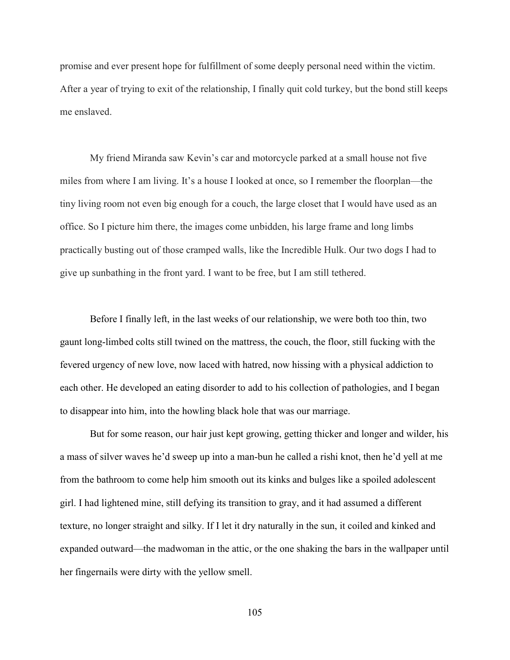promise and ever present hope for fulfillment of some deeply personal need within the victim. After a year of trying to exit of the relationship, I finally quit cold turkey, but the bond still keeps me enslaved.

My friend Miranda saw Kevin's car and motorcycle parked at a small house not five miles from where I am living. It's a house I looked at once, so I remember the floorplan—the tiny living room not even big enough for a couch, the large closet that I would have used as an office. So I picture him there, the images come unbidden, his large frame and long limbs practically busting out of those cramped walls, like the Incredible Hulk. Our two dogs I had to give up sunbathing in the front yard. I want to be free, but I am still tethered.

Before I finally left, in the last weeks of our relationship, we were both too thin, two gaunt long-limbed colts still twined on the mattress, the couch, the floor, still fucking with the fevered urgency of new love, now laced with hatred, now hissing with a physical addiction to each other. He developed an eating disorder to add to his collection of pathologies, and I began to disappear into him, into the howling black hole that was our marriage.

But for some reason, our hair just kept growing, getting thicker and longer and wilder, his a mass of silver waves he'd sweep up into a man-bun he called a rishi knot, then he'd yell at me from the bathroom to come help him smooth out its kinks and bulges like a spoiled adolescent girl. I had lightened mine, still defying its transition to gray, and it had assumed a different texture, no longer straight and silky. If I let it dry naturally in the sun, it coiled and kinked and expanded outward—the madwoman in the attic, or the one shaking the bars in the wallpaper until her fingernails were dirty with the yellow smell.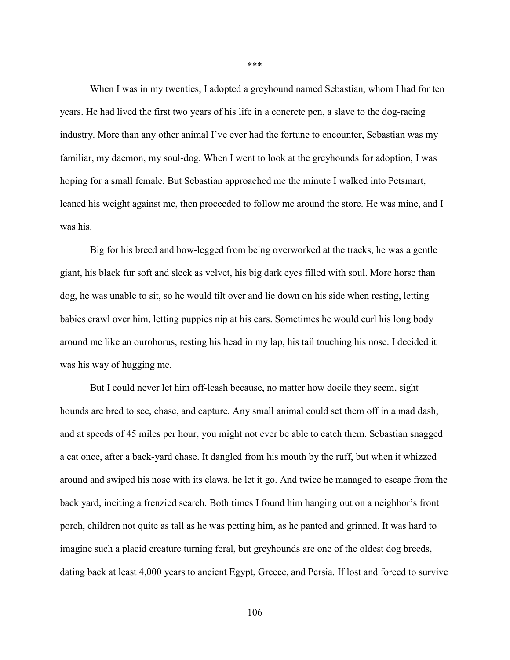When I was in my twenties, I adopted a greyhound named Sebastian, whom I had for ten years. He had lived the first two years of his life in a concrete pen, a slave to the dog-racing industry. More than any other animal I've ever had the fortune to encounter, Sebastian was my familiar, my daemon, my soul-dog. When I went to look at the greyhounds for adoption, I was hoping for a small female. But Sebastian approached me the minute I walked into Petsmart, leaned his weight against me, then proceeded to follow me around the store. He was mine, and I was his.

Big for his breed and bow-legged from being overworked at the tracks, he was a gentle giant, his black fur soft and sleek as velvet, his big dark eyes filled with soul. More horse than dog, he was unable to sit, so he would tilt over and lie down on his side when resting, letting babies crawl over him, letting puppies nip at his ears. Sometimes he would curl his long body around me like an ouroborus, resting his head in my lap, his tail touching his nose. I decided it was his way of hugging me.

But I could never let him off-leash because, no matter how docile they seem, sight hounds are bred to see, chase, and capture. Any small animal could set them off in a mad dash, and at speeds of 45 miles per hour, you might not ever be able to catch them. Sebastian snagged a cat once, after a back-yard chase. It dangled from his mouth by the ruff, but when it whizzed around and swiped his nose with its claws, he let it go. And twice he managed to escape from the back yard, inciting a frenzied search. Both times I found him hanging out on a neighbor's front porch, children not quite as tall as he was petting him, as he panted and grinned. It was hard to imagine such a placid creature turning feral, but greyhounds are one of the oldest dog breeds, dating back at least 4,000 years to ancient Egypt, Greece, and Persia. If lost and forced to survive

\*\*\*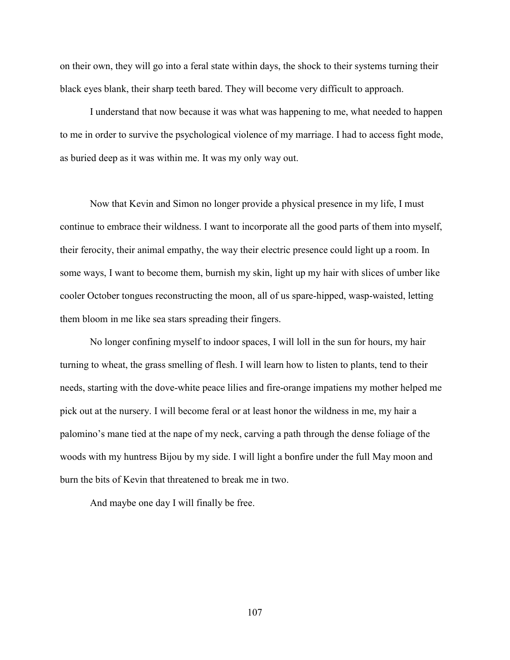on their own, they will go into a feral state within days, the shock to their systems turning their black eyes blank, their sharp teeth bared. They will become very difficult to approach.

I understand that now because it was what was happening to me, what needed to happen to me in order to survive the psychological violence of my marriage. I had to access fight mode, as buried deep as it was within me. It was my only way out.

Now that Kevin and Simon no longer provide a physical presence in my life, I must continue to embrace their wildness. I want to incorporate all the good parts of them into myself, their ferocity, their animal empathy, the way their electric presence could light up a room. In some ways, I want to become them, burnish my skin, light up my hair with slices of umber like cooler October tongues reconstructing the moon, all of us spare-hipped, wasp-waisted, letting them bloom in me like sea stars spreading their fingers.

No longer confining myself to indoor spaces, I will loll in the sun for hours, my hair turning to wheat, the grass smelling of flesh. I will learn how to listen to plants, tend to their needs, starting with the dove-white peace lilies and fire-orange impatiens my mother helped me pick out at the nursery. I will become feral or at least honor the wildness in me, my hair a palomino's mane tied at the nape of my neck, carving a path through the dense foliage of the woods with my huntress Bijou by my side. I will light a bonfire under the full May moon and burn the bits of Kevin that threatened to break me in two.

And maybe one day I will finally be free.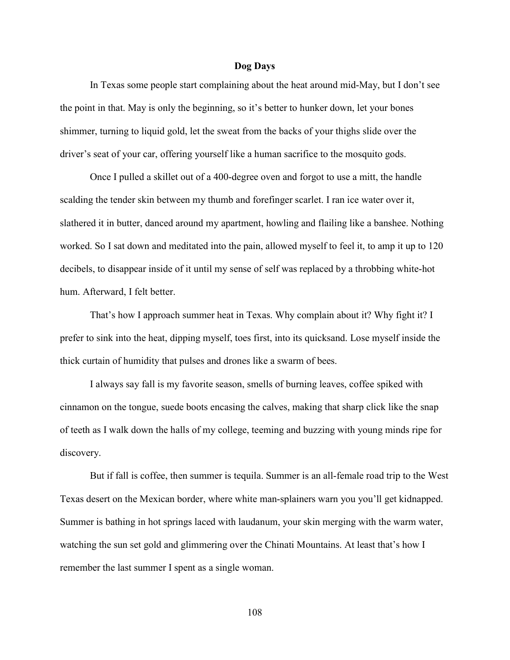## Dog Days

In Texas some people start complaining about the heat around mid-May, but I don't see the point in that. May is only the beginning, so it's better to hunker down, let your bones shimmer, turning to liquid gold, let the sweat from the backs of your thighs slide over the driver's seat of your car, offering yourself like a human sacrifice to the mosquito gods.

Once I pulled a skillet out of a 400-degree oven and forgot to use a mitt, the handle scalding the tender skin between my thumb and forefinger scarlet. I ran ice water over it, slathered it in butter, danced around my apartment, howling and flailing like a banshee. Nothing worked. So I sat down and meditated into the pain, allowed myself to feel it, to amp it up to 120 decibels, to disappear inside of it until my sense of self was replaced by a throbbing white-hot hum. Afterward, I felt better.

That's how I approach summer heat in Texas. Why complain about it? Why fight it? I prefer to sink into the heat, dipping myself, toes first, into its quicksand. Lose myself inside the thick curtain of humidity that pulses and drones like a swarm of bees.

I always say fall is my favorite season, smells of burning leaves, coffee spiked with cinnamon on the tongue, suede boots encasing the calves, making that sharp click like the snap of teeth as I walk down the halls of my college, teeming and buzzing with young minds ripe for discovery.

But if fall is coffee, then summer is tequila. Summer is an all-female road trip to the West Texas desert on the Mexican border, where white man-splainers warn you you'll get kidnapped. Summer is bathing in hot springs laced with laudanum, your skin merging with the warm water, watching the sun set gold and glimmering over the Chinati Mountains. At least that's how I remember the last summer I spent as a single woman.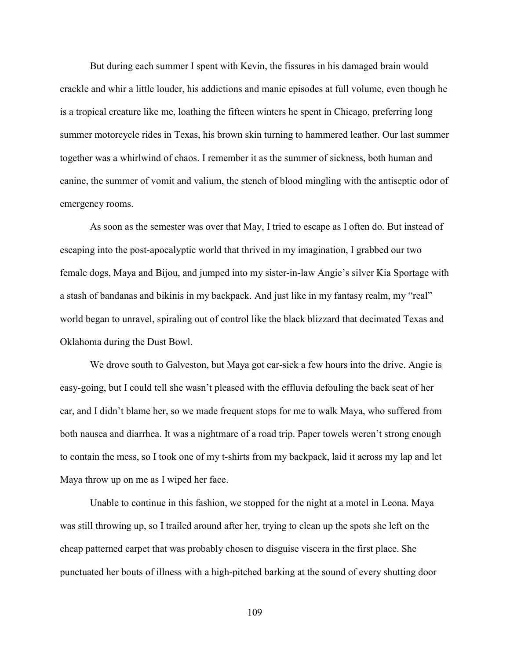But during each summer I spent with Kevin, the fissures in his damaged brain would crackle and whir a little louder, his addictions and manic episodes at full volume, even though he is a tropical creature like me, loathing the fifteen winters he spent in Chicago, preferring long summer motorcycle rides in Texas, his brown skin turning to hammered leather. Our last summer together was a whirlwind of chaos. I remember it as the summer of sickness, both human and canine, the summer of vomit and valium, the stench of blood mingling with the antiseptic odor of emergency rooms.

As soon as the semester was over that May, I tried to escape as I often do. But instead of escaping into the post-apocalyptic world that thrived in my imagination, I grabbed our two female dogs, Maya and Bijou, and jumped into my sister-in-law Angie's silver Kia Sportage with a stash of bandanas and bikinis in my backpack. And just like in my fantasy realm, my "real" world began to unravel, spiraling out of control like the black blizzard that decimated Texas and Oklahoma during the Dust Bowl.

We drove south to Galveston, but Maya got car-sick a few hours into the drive. Angie is easy-going, but I could tell she wasn't pleased with the effluvia defouling the back seat of her car, and I didn't blame her, so we made frequent stops for me to walk Maya, who suffered from both nausea and diarrhea. It was a nightmare of a road trip. Paper towels weren't strong enough to contain the mess, so I took one of my t-shirts from my backpack, laid it across my lap and let Maya throw up on me as I wiped her face.

Unable to continue in this fashion, we stopped for the night at a motel in Leona. Maya was still throwing up, so I trailed around after her, trying to clean up the spots she left on the cheap patterned carpet that was probably chosen to disguise viscera in the first place. She punctuated her bouts of illness with a high-pitched barking at the sound of every shutting door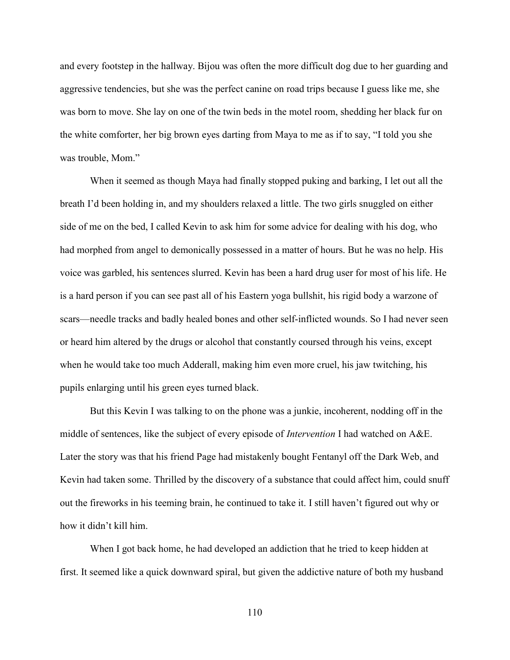and every footstep in the hallway. Bijou was often the more difficult dog due to her guarding and aggressive tendencies, but she was the perfect canine on road trips because I guess like me, she was born to move. She lay on one of the twin beds in the motel room, shedding her black fur on the white comforter, her big brown eyes darting from Maya to me as if to say, "I told you she was trouble, Mom."

When it seemed as though Maya had finally stopped puking and barking, I let out all the breath I'd been holding in, and my shoulders relaxed a little. The two girls snuggled on either side of me on the bed, I called Kevin to ask him for some advice for dealing with his dog, who had morphed from angel to demonically possessed in a matter of hours. But he was no help. His voice was garbled, his sentences slurred. Kevin has been a hard drug user for most of his life. He is a hard person if you can see past all of his Eastern yoga bullshit, his rigid body a warzone of scars—needle tracks and badly healed bones and other self-inflicted wounds. So I had never seen or heard him altered by the drugs or alcohol that constantly coursed through his veins, except when he would take too much Adderall, making him even more cruel, his jaw twitching, his pupils enlarging until his green eyes turned black.

But this Kevin I was talking to on the phone was a junkie, incoherent, nodding off in the middle of sentences, like the subject of every episode of Intervention I had watched on A&E. Later the story was that his friend Page had mistakenly bought Fentanyl off the Dark Web, and Kevin had taken some. Thrilled by the discovery of a substance that could affect him, could snuff out the fireworks in his teeming brain, he continued to take it. I still haven't figured out why or how it didn't kill him.

 When I got back home, he had developed an addiction that he tried to keep hidden at first. It seemed like a quick downward spiral, but given the addictive nature of both my husband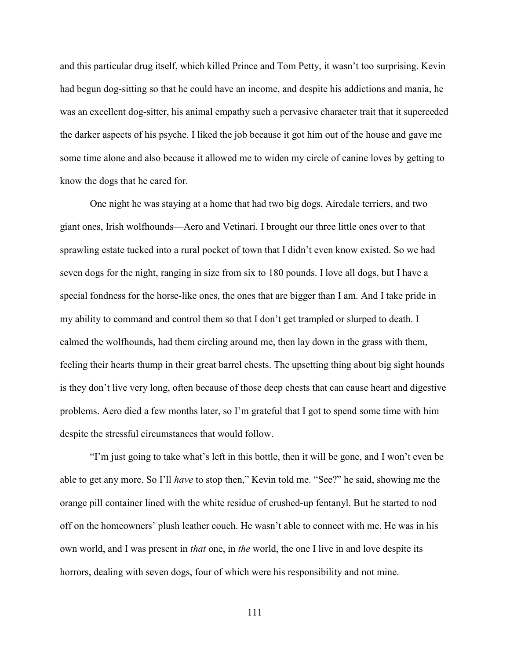and this particular drug itself, which killed Prince and Tom Petty, it wasn't too surprising. Kevin had begun dog-sitting so that he could have an income, and despite his addictions and mania, he was an excellent dog-sitter, his animal empathy such a pervasive character trait that it superceded the darker aspects of his psyche. I liked the job because it got him out of the house and gave me some time alone and also because it allowed me to widen my circle of canine loves by getting to know the dogs that he cared for.

 One night he was staying at a home that had two big dogs, Airedale terriers, and two giant ones, Irish wolfhounds—Aero and Vetinari. I brought our three little ones over to that sprawling estate tucked into a rural pocket of town that I didn't even know existed. So we had seven dogs for the night, ranging in size from six to 180 pounds. I love all dogs, but I have a special fondness for the horse-like ones, the ones that are bigger than I am. And I take pride in my ability to command and control them so that I don't get trampled or slurped to death. I calmed the wolfhounds, had them circling around me, then lay down in the grass with them, feeling their hearts thump in their great barrel chests. The upsetting thing about big sight hounds is they don't live very long, often because of those deep chests that can cause heart and digestive problems. Aero died a few months later, so I'm grateful that I got to spend some time with him despite the stressful circumstances that would follow.

 "I'm just going to take what's left in this bottle, then it will be gone, and I won't even be able to get any more. So I'll have to stop then," Kevin told me. "See?" he said, showing me the orange pill container lined with the white residue of crushed-up fentanyl. But he started to nod off on the homeowners' plush leather couch. He wasn't able to connect with me. He was in his own world, and I was present in *that* one, in *the* world, the one I live in and love despite its horrors, dealing with seven dogs, four of which were his responsibility and not mine.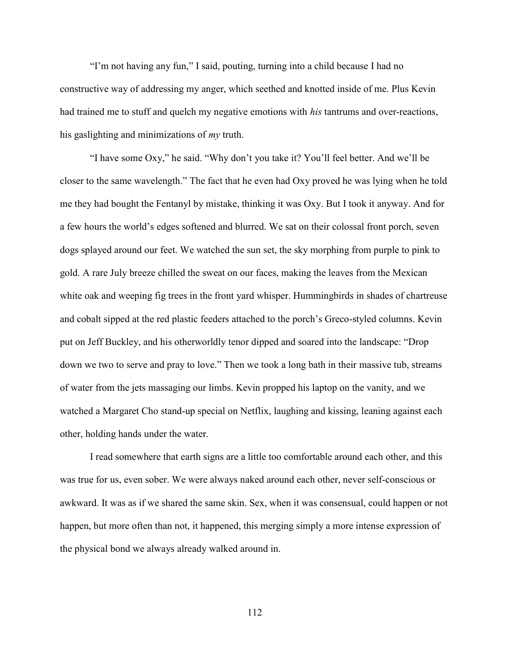"I'm not having any fun," I said, pouting, turning into a child because I had no constructive way of addressing my anger, which seethed and knotted inside of me. Plus Kevin had trained me to stuff and quelch my negative emotions with *his* tantrums and over-reactions, his gaslighting and minimizations of my truth.

"I have some Oxy," he said. "Why don't you take it? You'll feel better. And we'll be closer to the same wavelength." The fact that he even had Oxy proved he was lying when he told me they had bought the Fentanyl by mistake, thinking it was Oxy. But I took it anyway. And for a few hours the world's edges softened and blurred. We sat on their colossal front porch, seven dogs splayed around our feet. We watched the sun set, the sky morphing from purple to pink to gold. A rare July breeze chilled the sweat on our faces, making the leaves from the Mexican white oak and weeping fig trees in the front yard whisper. Hummingbirds in shades of chartreuse and cobalt sipped at the red plastic feeders attached to the porch's Greco-styled columns. Kevin put on Jeff Buckley, and his otherworldly tenor dipped and soared into the landscape: "Drop down we two to serve and pray to love." Then we took a long bath in their massive tub, streams of water from the jets massaging our limbs. Kevin propped his laptop on the vanity, and we watched a Margaret Cho stand-up special on Netflix, laughing and kissing, leaning against each other, holding hands under the water.

I read somewhere that earth signs are a little too comfortable around each other, and this was true for us, even sober. We were always naked around each other, never self-conscious or awkward. It was as if we shared the same skin. Sex, when it was consensual, could happen or not happen, but more often than not, it happened, this merging simply a more intense expression of the physical bond we always already walked around in.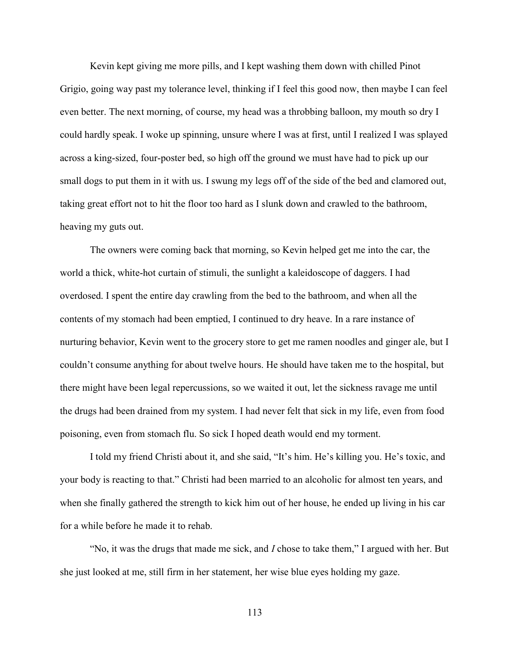Kevin kept giving me more pills, and I kept washing them down with chilled Pinot Grigio, going way past my tolerance level, thinking if I feel this good now, then maybe I can feel even better. The next morning, of course, my head was a throbbing balloon, my mouth so dry I could hardly speak. I woke up spinning, unsure where I was at first, until I realized I was splayed across a king-sized, four-poster bed, so high off the ground we must have had to pick up our small dogs to put them in it with us. I swung my legs off of the side of the bed and clamored out, taking great effort not to hit the floor too hard as I slunk down and crawled to the bathroom, heaving my guts out.

The owners were coming back that morning, so Kevin helped get me into the car, the world a thick, white-hot curtain of stimuli, the sunlight a kaleidoscope of daggers. I had overdosed. I spent the entire day crawling from the bed to the bathroom, and when all the contents of my stomach had been emptied, I continued to dry heave. In a rare instance of nurturing behavior, Kevin went to the grocery store to get me ramen noodles and ginger ale, but I couldn't consume anything for about twelve hours. He should have taken me to the hospital, but there might have been legal repercussions, so we waited it out, let the sickness ravage me until the drugs had been drained from my system. I had never felt that sick in my life, even from food poisoning, even from stomach flu. So sick I hoped death would end my torment.

I told my friend Christi about it, and she said, "It's him. He's killing you. He's toxic, and your body is reacting to that." Christi had been married to an alcoholic for almost ten years, and when she finally gathered the strength to kick him out of her house, he ended up living in his car for a while before he made it to rehab.

"No, it was the drugs that made me sick, and I chose to take them," I argued with her. But she just looked at me, still firm in her statement, her wise blue eyes holding my gaze.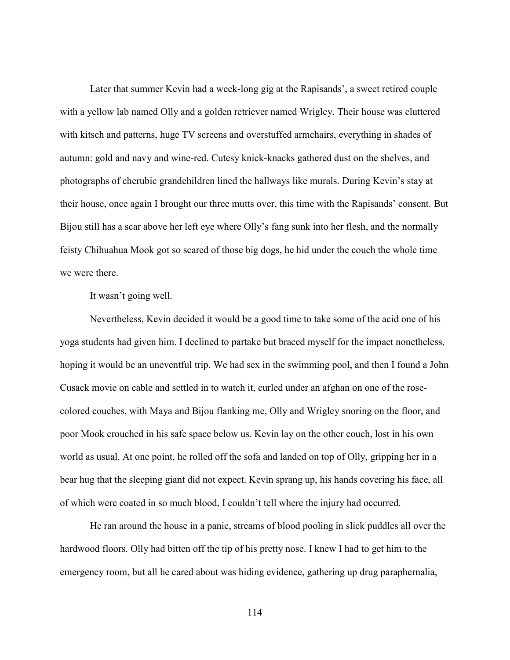Later that summer Kevin had a week-long gig at the Rapisands', a sweet retired couple with a yellow lab named Olly and a golden retriever named Wrigley. Their house was cluttered with kitsch and patterns, huge TV screens and overstuffed armchairs, everything in shades of autumn: gold and navy and wine-red. Cutesy knick-knacks gathered dust on the shelves, and photographs of cherubic grandchildren lined the hallways like murals. During Kevin's stay at their house, once again I brought our three mutts over, this time with the Rapisands' consent. But Bijou still has a scar above her left eye where Olly's fang sunk into her flesh, and the normally feisty Chihuahua Mook got so scared of those big dogs, he hid under the couch the whole time we were there.

It wasn't going well.

Nevertheless, Kevin decided it would be a good time to take some of the acid one of his yoga students had given him. I declined to partake but braced myself for the impact nonetheless, hoping it would be an uneventful trip. We had sex in the swimming pool, and then I found a John Cusack movie on cable and settled in to watch it, curled under an afghan on one of the rosecolored couches, with Maya and Bijou flanking me, Olly and Wrigley snoring on the floor, and poor Mook crouched in his safe space below us. Kevin lay on the other couch, lost in his own world as usual. At one point, he rolled off the sofa and landed on top of Olly, gripping her in a bear hug that the sleeping giant did not expect. Kevin sprang up, his hands covering his face, all of which were coated in so much blood, I couldn't tell where the injury had occurred.

He ran around the house in a panic, streams of blood pooling in slick puddles all over the hardwood floors. Olly had bitten off the tip of his pretty nose. I knew I had to get him to the emergency room, but all he cared about was hiding evidence, gathering up drug paraphernalia,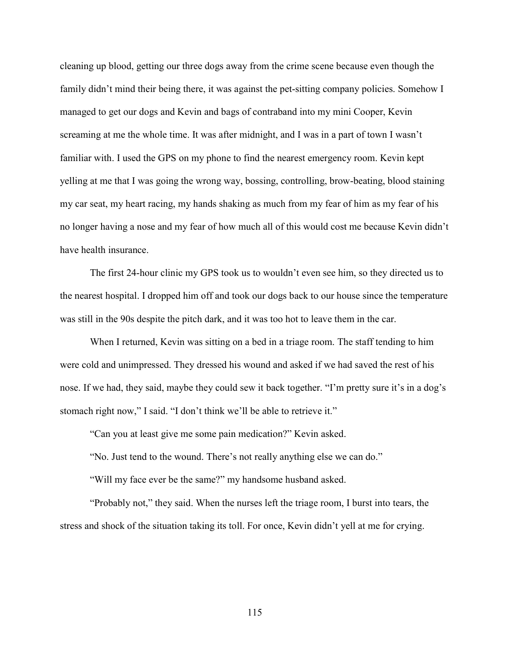cleaning up blood, getting our three dogs away from the crime scene because even though the family didn't mind their being there, it was against the pet-sitting company policies. Somehow I managed to get our dogs and Kevin and bags of contraband into my mini Cooper, Kevin screaming at me the whole time. It was after midnight, and I was in a part of town I wasn't familiar with. I used the GPS on my phone to find the nearest emergency room. Kevin kept yelling at me that I was going the wrong way, bossing, controlling, brow-beating, blood staining my car seat, my heart racing, my hands shaking as much from my fear of him as my fear of his no longer having a nose and my fear of how much all of this would cost me because Kevin didn't have health insurance.

The first 24-hour clinic my GPS took us to wouldn't even see him, so they directed us to the nearest hospital. I dropped him off and took our dogs back to our house since the temperature was still in the 90s despite the pitch dark, and it was too hot to leave them in the car.

When I returned, Kevin was sitting on a bed in a triage room. The staff tending to him were cold and unimpressed. They dressed his wound and asked if we had saved the rest of his nose. If we had, they said, maybe they could sew it back together. "I'm pretty sure it's in a dog's stomach right now," I said. "I don't think we'll be able to retrieve it."

"Can you at least give me some pain medication?" Kevin asked.

"No. Just tend to the wound. There's not really anything else we can do."

"Will my face ever be the same?" my handsome husband asked.

"Probably not," they said. When the nurses left the triage room, I burst into tears, the stress and shock of the situation taking its toll. For once, Kevin didn't yell at me for crying.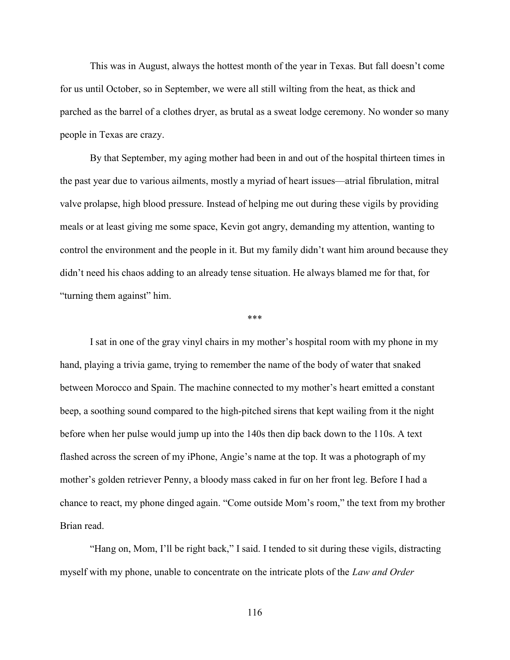This was in August, always the hottest month of the year in Texas. But fall doesn't come for us until October, so in September, we were all still wilting from the heat, as thick and parched as the barrel of a clothes dryer, as brutal as a sweat lodge ceremony. No wonder so many people in Texas are crazy.

By that September, my aging mother had been in and out of the hospital thirteen times in the past year due to various ailments, mostly a myriad of heart issues—atrial fibrulation, mitral valve prolapse, high blood pressure. Instead of helping me out during these vigils by providing meals or at least giving me some space, Kevin got angry, demanding my attention, wanting to control the environment and the people in it. But my family didn't want him around because they didn't need his chaos adding to an already tense situation. He always blamed me for that, for "turning them against" him.

\*\*\*

I sat in one of the gray vinyl chairs in my mother's hospital room with my phone in my hand, playing a trivia game, trying to remember the name of the body of water that snaked between Morocco and Spain. The machine connected to my mother's heart emitted a constant beep, a soothing sound compared to the high-pitched sirens that kept wailing from it the night before when her pulse would jump up into the 140s then dip back down to the 110s. A text flashed across the screen of my iPhone, Angie's name at the top. It was a photograph of my mother's golden retriever Penny, a bloody mass caked in fur on her front leg. Before I had a chance to react, my phone dinged again. "Come outside Mom's room," the text from my brother Brian read.

"Hang on, Mom, I'll be right back," I said. I tended to sit during these vigils, distracting myself with my phone, unable to concentrate on the intricate plots of the Law and Order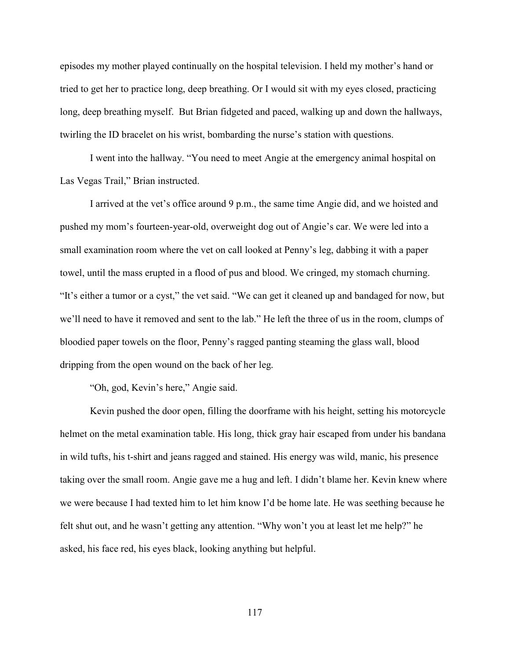episodes my mother played continually on the hospital television. I held my mother's hand or tried to get her to practice long, deep breathing. Or I would sit with my eyes closed, practicing long, deep breathing myself. But Brian fidgeted and paced, walking up and down the hallways, twirling the ID bracelet on his wrist, bombarding the nurse's station with questions.

I went into the hallway. "You need to meet Angie at the emergency animal hospital on Las Vegas Trail," Brian instructed.

I arrived at the vet's office around 9 p.m., the same time Angie did, and we hoisted and pushed my mom's fourteen-year-old, overweight dog out of Angie's car. We were led into a small examination room where the vet on call looked at Penny's leg, dabbing it with a paper towel, until the mass erupted in a flood of pus and blood. We cringed, my stomach churning. "It's either a tumor or a cyst," the vet said. "We can get it cleaned up and bandaged for now, but we'll need to have it removed and sent to the lab." He left the three of us in the room, clumps of bloodied paper towels on the floor, Penny's ragged panting steaming the glass wall, blood dripping from the open wound on the back of her leg.

"Oh, god, Kevin's here," Angie said.

Kevin pushed the door open, filling the doorframe with his height, setting his motorcycle helmet on the metal examination table. His long, thick gray hair escaped from under his bandana in wild tufts, his t-shirt and jeans ragged and stained. His energy was wild, manic, his presence taking over the small room. Angie gave me a hug and left. I didn't blame her. Kevin knew where we were because I had texted him to let him know I'd be home late. He was seething because he felt shut out, and he wasn't getting any attention. "Why won't you at least let me help?" he asked, his face red, his eyes black, looking anything but helpful.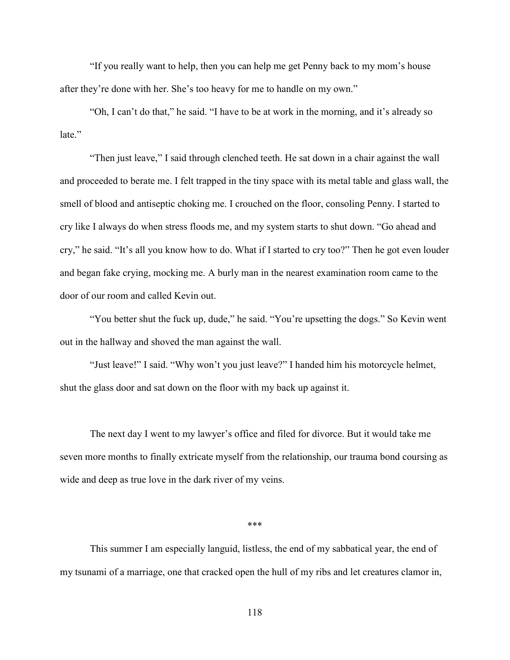"If you really want to help, then you can help me get Penny back to my mom's house after they're done with her. She's too heavy for me to handle on my own."

"Oh, I can't do that," he said. "I have to be at work in the morning, and it's already so late."

"Then just leave," I said through clenched teeth. He sat down in a chair against the wall and proceeded to berate me. I felt trapped in the tiny space with its metal table and glass wall, the smell of blood and antiseptic choking me. I crouched on the floor, consoling Penny. I started to cry like I always do when stress floods me, and my system starts to shut down. "Go ahead and cry," he said. "It's all you know how to do. What if I started to cry too?" Then he got even louder and began fake crying, mocking me. A burly man in the nearest examination room came to the door of our room and called Kevin out.

"You better shut the fuck up, dude," he said. "You're upsetting the dogs." So Kevin went out in the hallway and shoved the man against the wall.

"Just leave!" I said. "Why won't you just leave?" I handed him his motorcycle helmet, shut the glass door and sat down on the floor with my back up against it.

The next day I went to my lawyer's office and filed for divorce. But it would take me seven more months to finally extricate myself from the relationship, our trauma bond coursing as wide and deep as true love in the dark river of my veins.

## \*\*\*

This summer I am especially languid, listless, the end of my sabbatical year, the end of my tsunami of a marriage, one that cracked open the hull of my ribs and let creatures clamor in,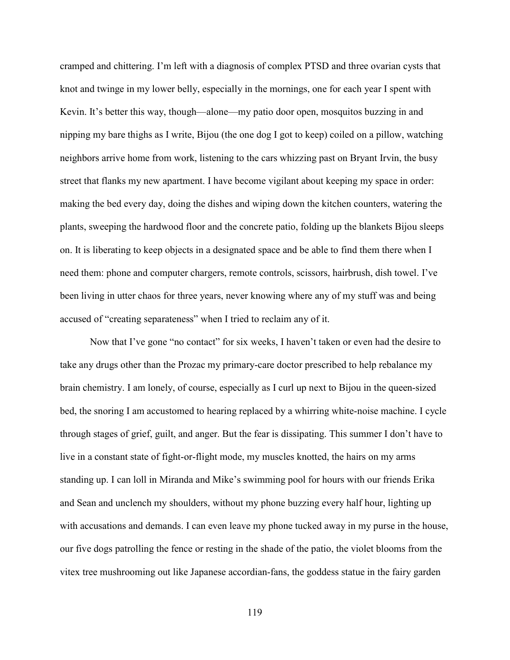cramped and chittering. I'm left with a diagnosis of complex PTSD and three ovarian cysts that knot and twinge in my lower belly, especially in the mornings, one for each year I spent with Kevin. It's better this way, though—alone—my patio door open, mosquitos buzzing in and nipping my bare thighs as I write, Bijou (the one dog I got to keep) coiled on a pillow, watching neighbors arrive home from work, listening to the cars whizzing past on Bryant Irvin, the busy street that flanks my new apartment. I have become vigilant about keeping my space in order: making the bed every day, doing the dishes and wiping down the kitchen counters, watering the plants, sweeping the hardwood floor and the concrete patio, folding up the blankets Bijou sleeps on. It is liberating to keep objects in a designated space and be able to find them there when I need them: phone and computer chargers, remote controls, scissors, hairbrush, dish towel. I've been living in utter chaos for three years, never knowing where any of my stuff was and being accused of "creating separateness" when I tried to reclaim any of it.

Now that I've gone "no contact" for six weeks, I haven't taken or even had the desire to take any drugs other than the Prozac my primary-care doctor prescribed to help rebalance my brain chemistry. I am lonely, of course, especially as I curl up next to Bijou in the queen-sized bed, the snoring I am accustomed to hearing replaced by a whirring white-noise machine. I cycle through stages of grief, guilt, and anger. But the fear is dissipating. This summer I don't have to live in a constant state of fight-or-flight mode, my muscles knotted, the hairs on my arms standing up. I can loll in Miranda and Mike's swimming pool for hours with our friends Erika and Sean and unclench my shoulders, without my phone buzzing every half hour, lighting up with accusations and demands. I can even leave my phone tucked away in my purse in the house, our five dogs patrolling the fence or resting in the shade of the patio, the violet blooms from the vitex tree mushrooming out like Japanese accordian-fans, the goddess statue in the fairy garden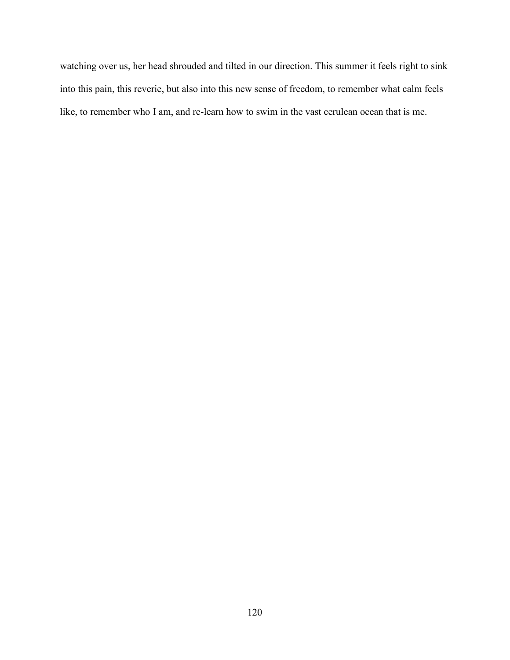watching over us, her head shrouded and tilted in our direction. This summer it feels right to sink into this pain, this reverie, but also into this new sense of freedom, to remember what calm feels like, to remember who I am, and re-learn how to swim in the vast cerulean ocean that is me.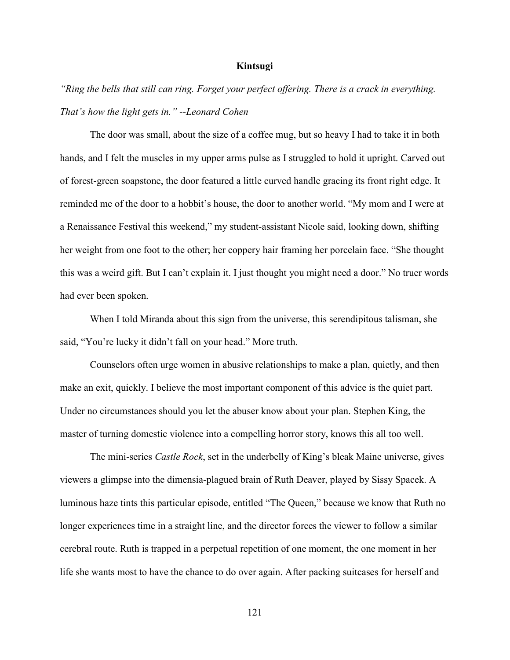## Kintsugi

"Ring the bells that still can ring. Forget your perfect offering. There is a crack in everything. That's how the light gets in." --Leonard Cohen

The door was small, about the size of a coffee mug, but so heavy I had to take it in both hands, and I felt the muscles in my upper arms pulse as I struggled to hold it upright. Carved out of forest-green soapstone, the door featured a little curved handle gracing its front right edge. It reminded me of the door to a hobbit's house, the door to another world. "My mom and I were at a Renaissance Festival this weekend," my student-assistant Nicole said, looking down, shifting her weight from one foot to the other; her coppery hair framing her porcelain face. "She thought this was a weird gift. But I can't explain it. I just thought you might need a door." No truer words had ever been spoken.

When I told Miranda about this sign from the universe, this serendipitous talisman, she said, "You're lucky it didn't fall on your head." More truth.

Counselors often urge women in abusive relationships to make a plan, quietly, and then make an exit, quickly. I believe the most important component of this advice is the quiet part. Under no circumstances should you let the abuser know about your plan. Stephen King, the master of turning domestic violence into a compelling horror story, knows this all too well.

The mini-series *Castle Rock*, set in the underbelly of King's bleak Maine universe, gives viewers a glimpse into the dimensia-plagued brain of Ruth Deaver, played by Sissy Spacek. A luminous haze tints this particular episode, entitled "The Queen," because we know that Ruth no longer experiences time in a straight line, and the director forces the viewer to follow a similar cerebral route. Ruth is trapped in a perpetual repetition of one moment, the one moment in her life she wants most to have the chance to do over again. After packing suitcases for herself and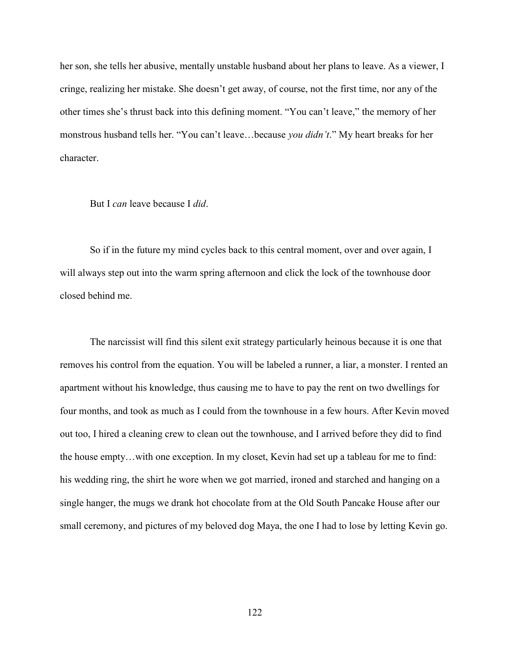her son, she tells her abusive, mentally unstable husband about her plans to leave. As a viewer, I cringe, realizing her mistake. She doesn't get away, of course, not the first time, nor any of the other times she's thrust back into this defining moment. "You can't leave," the memory of her monstrous husband tells her. "You can't leave…because you didn't." My heart breaks for her character.

But I *can* leave because I *did*.

So if in the future my mind cycles back to this central moment, over and over again, I will always step out into the warm spring afternoon and click the lock of the townhouse door closed behind me.

The narcissist will find this silent exit strategy particularly heinous because it is one that removes his control from the equation. You will be labeled a runner, a liar, a monster. I rented an apartment without his knowledge, thus causing me to have to pay the rent on two dwellings for four months, and took as much as I could from the townhouse in a few hours. After Kevin moved out too, I hired a cleaning crew to clean out the townhouse, and I arrived before they did to find the house empty…with one exception. In my closet, Kevin had set up a tableau for me to find: his wedding ring, the shirt he wore when we got married, ironed and starched and hanging on a single hanger, the mugs we drank hot chocolate from at the Old South Pancake House after our small ceremony, and pictures of my beloved dog Maya, the one I had to lose by letting Kevin go.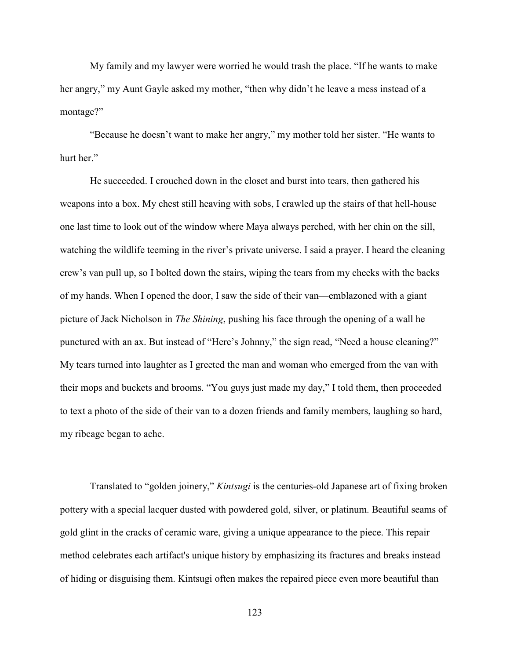My family and my lawyer were worried he would trash the place. "If he wants to make her angry," my Aunt Gayle asked my mother, "then why didn't he leave a mess instead of a montage?"

 "Because he doesn't want to make her angry," my mother told her sister. "He wants to hurt her."

He succeeded. I crouched down in the closet and burst into tears, then gathered his weapons into a box. My chest still heaving with sobs, I crawled up the stairs of that hell-house one last time to look out of the window where Maya always perched, with her chin on the sill, watching the wildlife teeming in the river's private universe. I said a prayer. I heard the cleaning crew's van pull up, so I bolted down the stairs, wiping the tears from my cheeks with the backs of my hands. When I opened the door, I saw the side of their van—emblazoned with a giant picture of Jack Nicholson in The Shining, pushing his face through the opening of a wall he punctured with an ax. But instead of "Here's Johnny," the sign read, "Need a house cleaning?" My tears turned into laughter as I greeted the man and woman who emerged from the van with their mops and buckets and brooms. "You guys just made my day," I told them, then proceeded to text a photo of the side of their van to a dozen friends and family members, laughing so hard, my ribcage began to ache.

Translated to "golden joinery," *Kintsugi* is the centuries-old Japanese art of fixing broken pottery with a special lacquer dusted with powdered gold, silver, or platinum. Beautiful seams of gold glint in the cracks of ceramic ware, giving a unique appearance to the piece. This repair method celebrates each artifact's unique history by emphasizing its fractures and breaks instead of hiding or disguising them. Kintsugi often makes the repaired piece even more beautiful than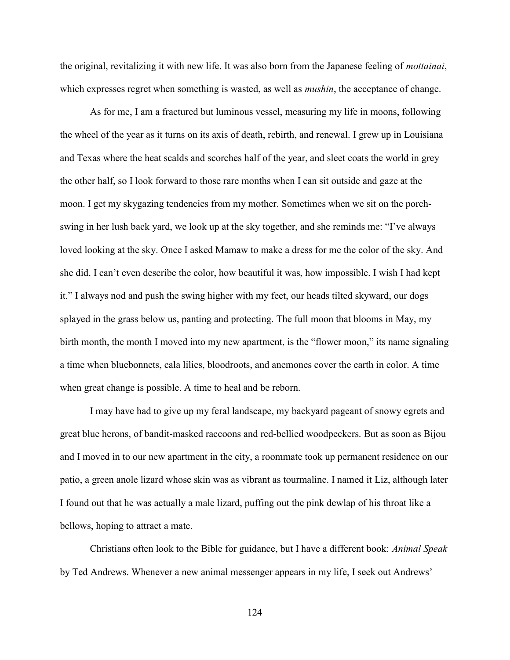the original, revitalizing it with new life. It was also born from the Japanese feeling of mottainai, which expresses regret when something is wasted, as well as *mushin*, the acceptance of change.

As for me, I am a fractured but luminous vessel, measuring my life in moons, following the wheel of the year as it turns on its axis of death, rebirth, and renewal. I grew up in Louisiana and Texas where the heat scalds and scorches half of the year, and sleet coats the world in grey the other half, so I look forward to those rare months when I can sit outside and gaze at the moon. I get my skygazing tendencies from my mother. Sometimes when we sit on the porchswing in her lush back yard, we look up at the sky together, and she reminds me: "I've always loved looking at the sky. Once I asked Mamaw to make a dress for me the color of the sky. And she did. I can't even describe the color, how beautiful it was, how impossible. I wish I had kept it." I always nod and push the swing higher with my feet, our heads tilted skyward, our dogs splayed in the grass below us, panting and protecting. The full moon that blooms in May, my birth month, the month I moved into my new apartment, is the "flower moon," its name signaling a time when bluebonnets, cala lilies, bloodroots, and anemones cover the earth in color. A time when great change is possible. A time to heal and be reborn.

I may have had to give up my feral landscape, my backyard pageant of snowy egrets and great blue herons, of bandit-masked raccoons and red-bellied woodpeckers. But as soon as Bijou and I moved in to our new apartment in the city, a roommate took up permanent residence on our patio, a green anole lizard whose skin was as vibrant as tourmaline. I named it Liz, although later I found out that he was actually a male lizard, puffing out the pink dewlap of his throat like a bellows, hoping to attract a mate.

Christians often look to the Bible for guidance, but I have a different book: Animal Speak by Ted Andrews. Whenever a new animal messenger appears in my life, I seek out Andrews'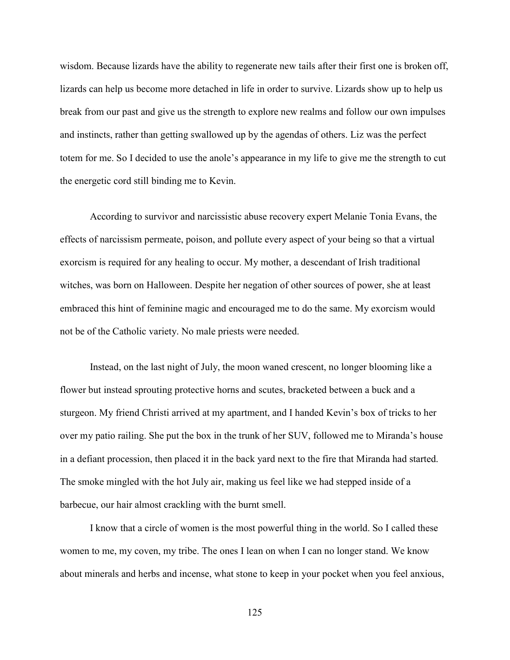wisdom. Because lizards have the ability to regenerate new tails after their first one is broken off, lizards can help us become more detached in life in order to survive. Lizards show up to help us break from our past and give us the strength to explore new realms and follow our own impulses and instincts, rather than getting swallowed up by the agendas of others. Liz was the perfect totem for me. So I decided to use the anole's appearance in my life to give me the strength to cut the energetic cord still binding me to Kevin.

According to survivor and narcissistic abuse recovery expert Melanie Tonia Evans, the effects of narcissism permeate, poison, and pollute every aspect of your being so that a virtual exorcism is required for any healing to occur. My mother, a descendant of Irish traditional witches, was born on Halloween. Despite her negation of other sources of power, she at least embraced this hint of feminine magic and encouraged me to do the same. My exorcism would not be of the Catholic variety. No male priests were needed.

Instead, on the last night of July, the moon waned crescent, no longer blooming like a flower but instead sprouting protective horns and scutes, bracketed between a buck and a sturgeon. My friend Christi arrived at my apartment, and I handed Kevin's box of tricks to her over my patio railing. She put the box in the trunk of her SUV, followed me to Miranda's house in a defiant procession, then placed it in the back yard next to the fire that Miranda had started. The smoke mingled with the hot July air, making us feel like we had stepped inside of a barbecue, our hair almost crackling with the burnt smell.

I know that a circle of women is the most powerful thing in the world. So I called these women to me, my coven, my tribe. The ones I lean on when I can no longer stand. We know about minerals and herbs and incense, what stone to keep in your pocket when you feel anxious,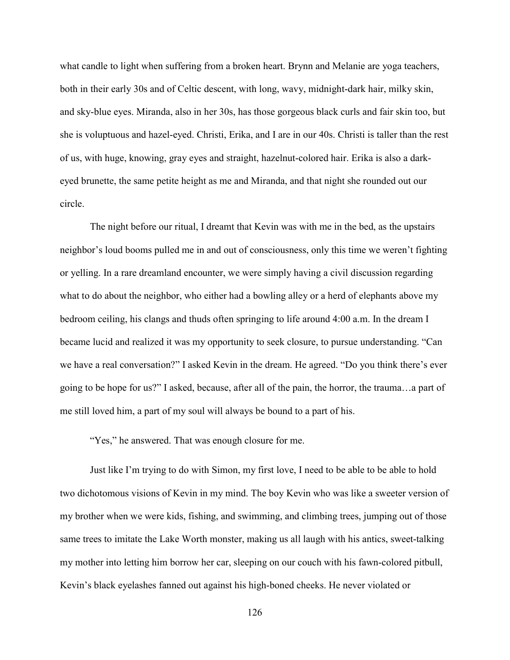what candle to light when suffering from a broken heart. Brynn and Melanie are yoga teachers, both in their early 30s and of Celtic descent, with long, wavy, midnight-dark hair, milky skin, and sky-blue eyes. Miranda, also in her 30s, has those gorgeous black curls and fair skin too, but she is voluptuous and hazel-eyed. Christi, Erika, and I are in our 40s. Christi is taller than the rest of us, with huge, knowing, gray eyes and straight, hazelnut-colored hair. Erika is also a darkeyed brunette, the same petite height as me and Miranda, and that night she rounded out our circle.

The night before our ritual, I dreamt that Kevin was with me in the bed, as the upstairs neighbor's loud booms pulled me in and out of consciousness, only this time we weren't fighting or yelling. In a rare dreamland encounter, we were simply having a civil discussion regarding what to do about the neighbor, who either had a bowling alley or a herd of elephants above my bedroom ceiling, his clangs and thuds often springing to life around 4:00 a.m. In the dream I became lucid and realized it was my opportunity to seek closure, to pursue understanding. "Can we have a real conversation?" I asked Kevin in the dream. He agreed. "Do you think there's ever going to be hope for us?" I asked, because, after all of the pain, the horror, the trauma…a part of me still loved him, a part of my soul will always be bound to a part of his.

"Yes," he answered. That was enough closure for me.

Just like I'm trying to do with Simon, my first love, I need to be able to be able to hold two dichotomous visions of Kevin in my mind. The boy Kevin who was like a sweeter version of my brother when we were kids, fishing, and swimming, and climbing trees, jumping out of those same trees to imitate the Lake Worth monster, making us all laugh with his antics, sweet-talking my mother into letting him borrow her car, sleeping on our couch with his fawn-colored pitbull, Kevin's black eyelashes fanned out against his high-boned cheeks. He never violated or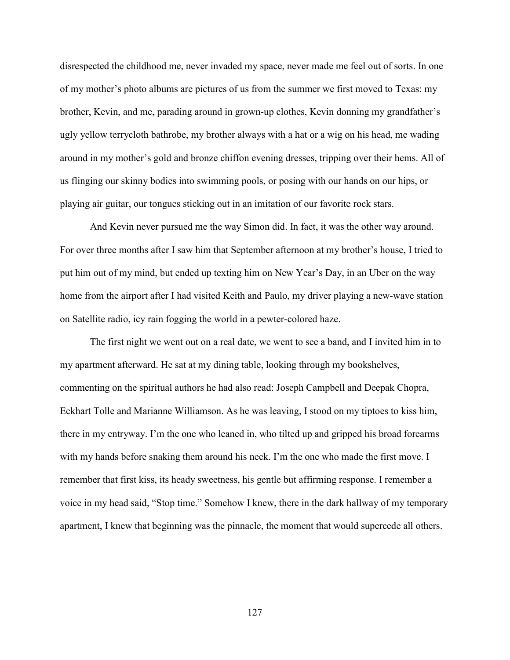disrespected the childhood me, never invaded my space, never made me feel out of sorts. In one of my mother's photo albums are pictures of us from the summer we first moved to Texas: my brother, Kevin, and me, parading around in grown-up clothes, Kevin donning my grandfather's ugly yellow terrycloth bathrobe, my brother always with a hat or a wig on his head, me wading around in my mother's gold and bronze chiffon evening dresses, tripping over their hems. All of us flinging our skinny bodies into swimming pools, or posing with our hands on our hips, or playing air guitar, our tongues sticking out in an imitation of our favorite rock stars.

And Kevin never pursued me the way Simon did. In fact, it was the other way around. For over three months after I saw him that September afternoon at my brother's house, I tried to put him out of my mind, but ended up texting him on New Year's Day, in an Uber on the way home from the airport after I had visited Keith and Paulo, my driver playing a new-wave station on Satellite radio, icy rain fogging the world in a pewter-colored haze.

The first night we went out on a real date, we went to see a band, and I invited him in to my apartment afterward. He sat at my dining table, looking through my bookshelves, commenting on the spiritual authors he had also read: Joseph Campbell and Deepak Chopra, Eckhart Tolle and Marianne Williamson. As he was leaving, I stood on my tiptoes to kiss him, there in my entryway. I'm the one who leaned in, who tilted up and gripped his broad forearms with my hands before snaking them around his neck. I'm the one who made the first move. I remember that first kiss, its heady sweetness, his gentle but affirming response. I remember a voice in my head said, "Stop time." Somehow I knew, there in the dark hallway of my temporary apartment, I knew that beginning was the pinnacle, the moment that would supercede all others.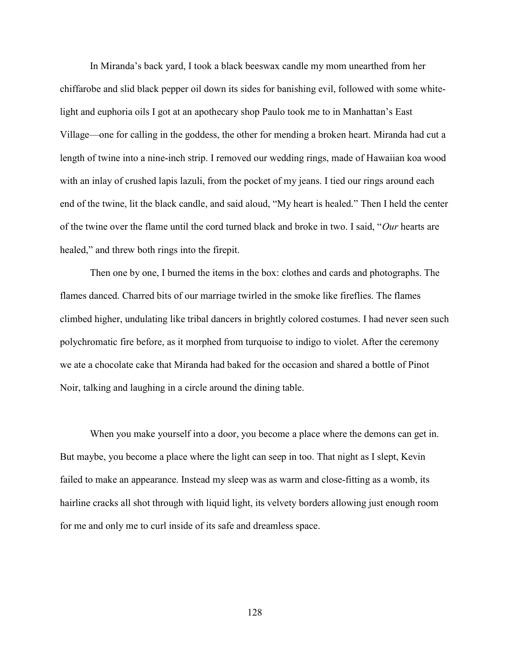In Miranda's back yard, I took a black beeswax candle my mom unearthed from her chiffarobe and slid black pepper oil down its sides for banishing evil, followed with some whitelight and euphoria oils I got at an apothecary shop Paulo took me to in Manhattan's East Village—one for calling in the goddess, the other for mending a broken heart. Miranda had cut a length of twine into a nine-inch strip. I removed our wedding rings, made of Hawaiian koa wood with an inlay of crushed lapis lazuli, from the pocket of my jeans. I tied our rings around each end of the twine, lit the black candle, and said aloud, "My heart is healed." Then I held the center of the twine over the flame until the cord turned black and broke in two. I said, "Our hearts are healed," and threw both rings into the firepit.

Then one by one, I burned the items in the box: clothes and cards and photographs. The flames danced. Charred bits of our marriage twirled in the smoke like fireflies. The flames climbed higher, undulating like tribal dancers in brightly colored costumes. I had never seen such polychromatic fire before, as it morphed from turquoise to indigo to violet. After the ceremony we ate a chocolate cake that Miranda had baked for the occasion and shared a bottle of Pinot Noir, talking and laughing in a circle around the dining table.

When you make yourself into a door, you become a place where the demons can get in. But maybe, you become a place where the light can seep in too. That night as I slept, Kevin failed to make an appearance. Instead my sleep was as warm and close-fitting as a womb, its hairline cracks all shot through with liquid light, its velvety borders allowing just enough room for me and only me to curl inside of its safe and dreamless space.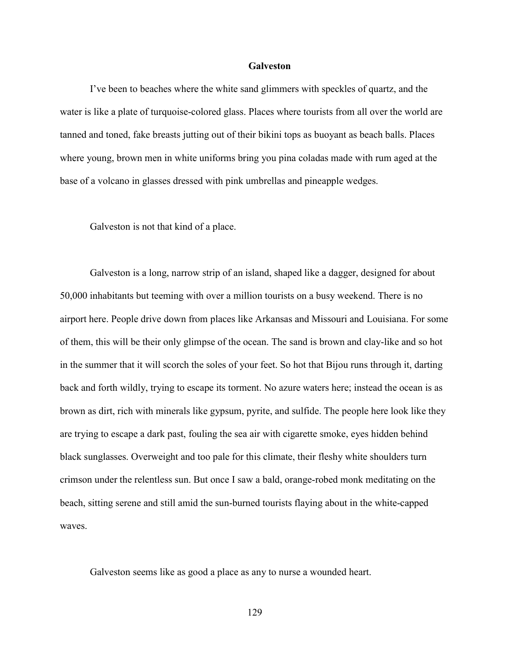## Galveston

I've been to beaches where the white sand glimmers with speckles of quartz, and the water is like a plate of turquoise-colored glass. Places where tourists from all over the world are tanned and toned, fake breasts jutting out of their bikini tops as buoyant as beach balls. Places where young, brown men in white uniforms bring you pina coladas made with rum aged at the base of a volcano in glasses dressed with pink umbrellas and pineapple wedges.

Galveston is not that kind of a place.

Galveston is a long, narrow strip of an island, shaped like a dagger, designed for about 50,000 inhabitants but teeming with over a million tourists on a busy weekend. There is no airport here. People drive down from places like Arkansas and Missouri and Louisiana. For some of them, this will be their only glimpse of the ocean. The sand is brown and clay-like and so hot in the summer that it will scorch the soles of your feet. So hot that Bijou runs through it, darting back and forth wildly, trying to escape its torment. No azure waters here; instead the ocean is as brown as dirt, rich with minerals like gypsum, pyrite, and sulfide. The people here look like they are trying to escape a dark past, fouling the sea air with cigarette smoke, eyes hidden behind black sunglasses. Overweight and too pale for this climate, their fleshy white shoulders turn crimson under the relentless sun. But once I saw a bald, orange-robed monk meditating on the beach, sitting serene and still amid the sun-burned tourists flaying about in the white-capped waves.

Galveston seems like as good a place as any to nurse a wounded heart.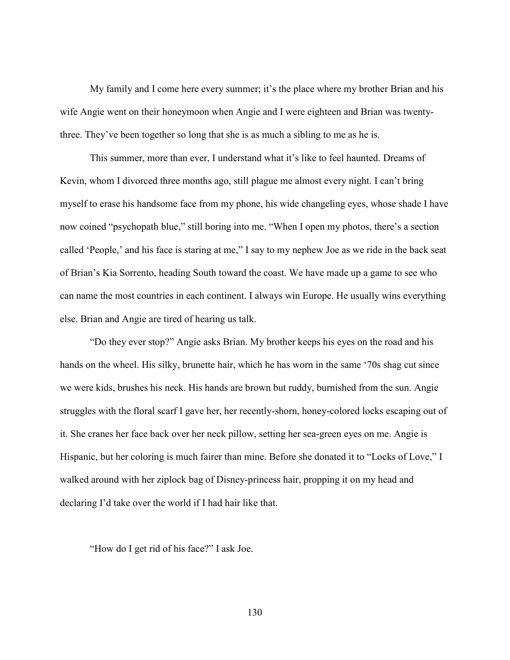My family and I come here every summer; it's the place where my brother Brian and his wife Angie went on their honeymoon when Angie and I were eighteen and Brian was twentythree. They've been together so long that she is as much a sibling to me as he is.

This summer, more than ever, I understand what it's like to feel haunted. Dreams of Kevin, whom I divorced three months ago, still plague me almost every night. I can't bring myself to erase his handsome face from my phone, his wide changeling eyes, whose shade I have now coined "psychopath blue," still boring into me. "When I open my photos, there's a section called 'People,' and his face is staring at me," I say to my nephew Joe as we ride in the back seat of Brian's Kia Sorrento, heading South toward the coast. We have made up a game to see who can name the most countries in each continent. I always win Europe. He usually wins everything else. Brian and Angie are tired of hearing us talk.

"Do they ever stop?" Angie asks Brian. My brother keeps his eyes on the road and his hands on the wheel. His silky, brunette hair, which he has worn in the same '70s shag cut since we were kids, brushes his neck. His hands are brown but ruddy, burnished from the sun. Angie struggles with the floral scarf I gave her, her recently-shorn, honey-colored locks escaping out of it. She cranes her face back over her neck pillow, setting her sea-green eyes on me. Angie is Hispanic, but her coloring is much fairer than mine. Before she donated it to "Locks of Love," I walked around with her ziplock bag of Disney-princess hair, propping it on my head and declaring I'd take over the world if I had hair like that.

"How do I get rid of his face?" I ask Joe.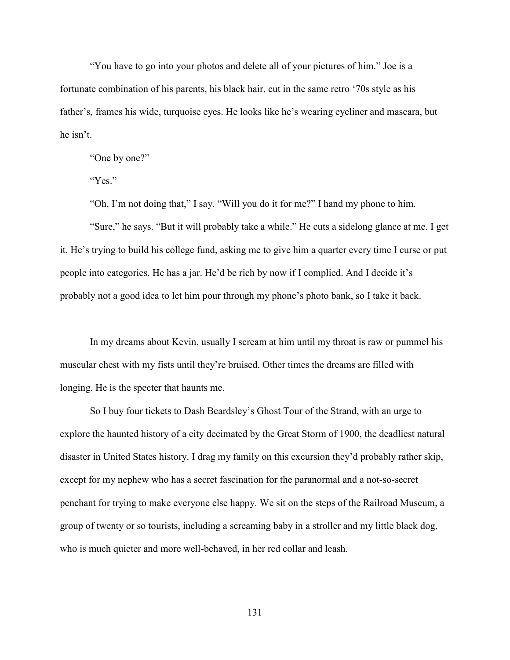"You have to go into your photos and delete all of your pictures of him." Joe is a fortunate combination of his parents, his black hair, cut in the same retro '70s style as his father's, frames his wide, turquoise eyes. He looks like he's wearing eyeliner and mascara, but he isn't.

"One by one?"

"Yes."

"Oh, I'm not doing that," I say. "Will you do it for me?" I hand my phone to him.

"Sure," he says. "But it will probably take a while." He cuts a sidelong glance at me. I get it. He's trying to build his college fund, asking me to give him a quarter every time I curse or put people into categories. He has a jar. He'd be rich by now if I complied. And I decide it's probably not a good idea to let him pour through my phone's photo bank, so I take it back.

In my dreams about Kevin, usually I scream at him until my throat is raw or pummel his muscular chest with my fists until they're bruised. Other times the dreams are filled with longing. He is the specter that haunts me.

So I buy four tickets to Dash Beardsley's Ghost Tour of the Strand, with an urge to explore the haunted history of a city decimated by the Great Storm of 1900, the deadliest natural disaster in United States history. I drag my family on this excursion they'd probably rather skip, except for my nephew who has a secret fascination for the paranormal and a not-so-secret penchant for trying to make everyone else happy. We sit on the steps of the Railroad Museum, a group of twenty or so tourists, including a screaming baby in a stroller and my little black dog, who is much quieter and more well-behaved, in her red collar and leash.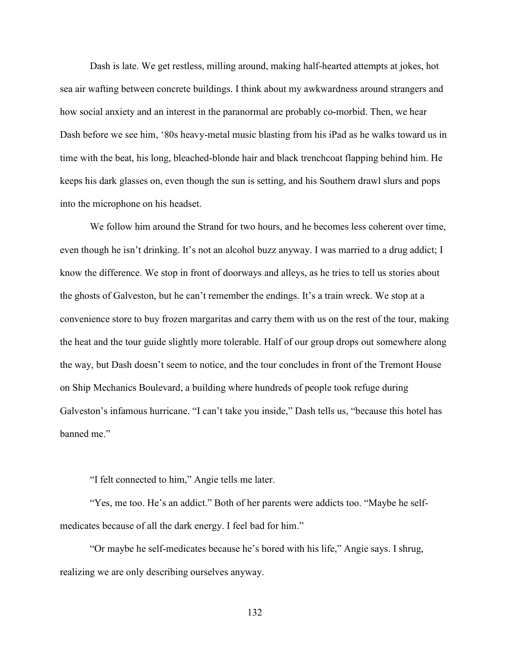Dash is late. We get restless, milling around, making half-hearted attempts at jokes, hot sea air wafting between concrete buildings. I think about my awkwardness around strangers and how social anxiety and an interest in the paranormal are probably co-morbid. Then, we hear Dash before we see him, '80s heavy-metal music blasting from his iPad as he walks toward us in time with the beat, his long, bleached-blonde hair and black trenchcoat flapping behind him. He keeps his dark glasses on, even though the sun is setting, and his Southern drawl slurs and pops into the microphone on his headset.

We follow him around the Strand for two hours, and he becomes less coherent over time, even though he isn't drinking. It's not an alcohol buzz anyway. I was married to a drug addict; I know the difference. We stop in front of doorways and alleys, as he tries to tell us stories about the ghosts of Galveston, but he can't remember the endings. It's a train wreck. We stop at a convenience store to buy frozen margaritas and carry them with us on the rest of the tour, making the heat and the tour guide slightly more tolerable. Half of our group drops out somewhere along the way, but Dash doesn't seem to notice, and the tour concludes in front of the Tremont House on Ship Mechanics Boulevard, a building where hundreds of people took refuge during Galveston's infamous hurricane. "I can't take you inside," Dash tells us, "because this hotel has banned me."

"I felt connected to him," Angie tells me later.

"Yes, me too. He's an addict." Both of her parents were addicts too. "Maybe he selfmedicates because of all the dark energy. I feel bad for him."

"Or maybe he self-medicates because he's bored with his life," Angie says. I shrug, realizing we are only describing ourselves anyway.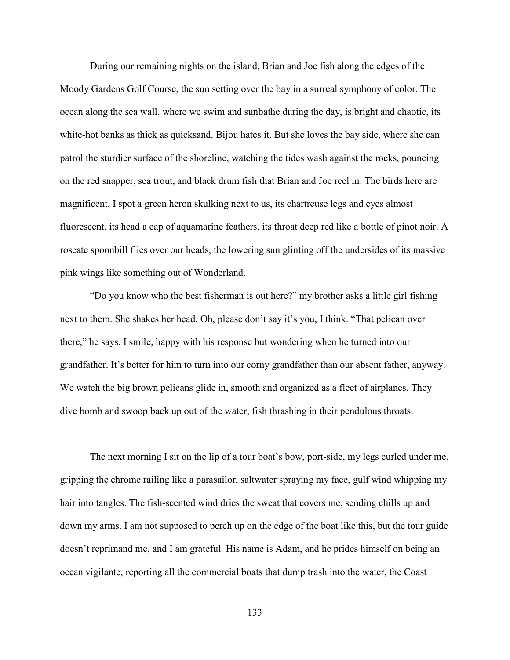During our remaining nights on the island, Brian and Joe fish along the edges of the Moody Gardens Golf Course, the sun setting over the bay in a surreal symphony of color. The ocean along the sea wall, where we swim and sunbathe during the day, is bright and chaotic, its white-hot banks as thick as quicksand. Bijou hates it. But she loves the bay side, where she can patrol the sturdier surface of the shoreline, watching the tides wash against the rocks, pouncing on the red snapper, sea trout, and black drum fish that Brian and Joe reel in. The birds here are magnificent. I spot a green heron skulking next to us, its chartreuse legs and eyes almost fluorescent, its head a cap of aquamarine feathers, its throat deep red like a bottle of pinot noir. A roseate spoonbill flies over our heads, the lowering sun glinting off the undersides of its massive pink wings like something out of Wonderland.

"Do you know who the best fisherman is out here?" my brother asks a little girl fishing next to them. She shakes her head. Oh, please don't say it's you, I think. "That pelican over there," he says. I smile, happy with his response but wondering when he turned into our grandfather. It's better for him to turn into our corny grandfather than our absent father, anyway. We watch the big brown pelicans glide in, smooth and organized as a fleet of airplanes. They dive bomb and swoop back up out of the water, fish thrashing in their pendulous throats.

The next morning I sit on the lip of a tour boat's bow, port-side, my legs curled under me, gripping the chrome railing like a parasailor, saltwater spraying my face, gulf wind whipping my hair into tangles. The fish-scented wind dries the sweat that covers me, sending chills up and down my arms. I am not supposed to perch up on the edge of the boat like this, but the tour guide doesn't reprimand me, and I am grateful. His name is Adam, and he prides himself on being an ocean vigilante, reporting all the commercial boats that dump trash into the water, the Coast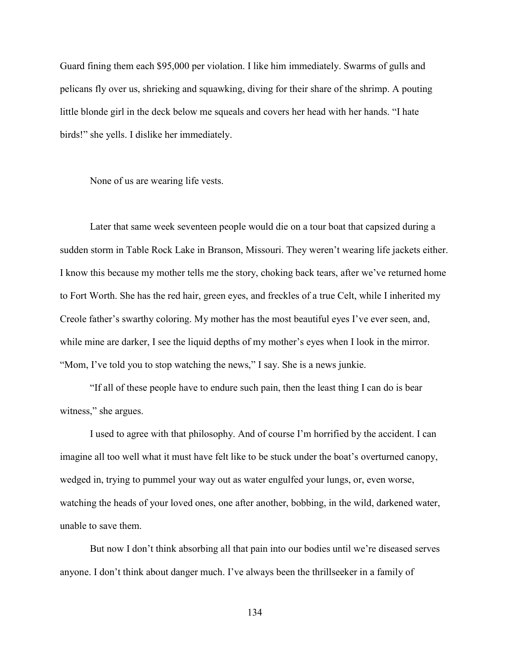Guard fining them each \$95,000 per violation. I like him immediately. Swarms of gulls and pelicans fly over us, shrieking and squawking, diving for their share of the shrimp. A pouting little blonde girl in the deck below me squeals and covers her head with her hands. "I hate birds!" she yells. I dislike her immediately.

None of us are wearing life vests.

Later that same week seventeen people would die on a tour boat that capsized during a sudden storm in Table Rock Lake in Branson, Missouri. They weren't wearing life jackets either. I know this because my mother tells me the story, choking back tears, after we've returned home to Fort Worth. She has the red hair, green eyes, and freckles of a true Celt, while I inherited my Creole father's swarthy coloring. My mother has the most beautiful eyes I've ever seen, and, while mine are darker, I see the liquid depths of my mother's eyes when I look in the mirror. "Mom, I've told you to stop watching the news," I say. She is a news junkie.

"If all of these people have to endure such pain, then the least thing I can do is bear witness," she argues.

I used to agree with that philosophy. And of course I'm horrified by the accident. I can imagine all too well what it must have felt like to be stuck under the boat's overturned canopy, wedged in, trying to pummel your way out as water engulfed your lungs, or, even worse, watching the heads of your loved ones, one after another, bobbing, in the wild, darkened water, unable to save them.

But now I don't think absorbing all that pain into our bodies until we're diseased serves anyone. I don't think about danger much. I've always been the thrillseeker in a family of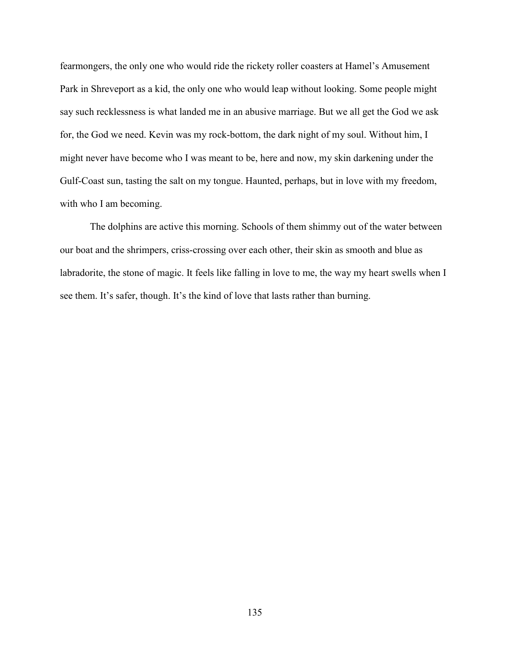fearmongers, the only one who would ride the rickety roller coasters at Hamel's Amusement Park in Shreveport as a kid, the only one who would leap without looking. Some people might say such recklessness is what landed me in an abusive marriage. But we all get the God we ask for, the God we need. Kevin was my rock-bottom, the dark night of my soul. Without him, I might never have become who I was meant to be, here and now, my skin darkening under the Gulf-Coast sun, tasting the salt on my tongue. Haunted, perhaps, but in love with my freedom, with who I am becoming.

The dolphins are active this morning. Schools of them shimmy out of the water between our boat and the shrimpers, criss-crossing over each other, their skin as smooth and blue as labradorite, the stone of magic. It feels like falling in love to me, the way my heart swells when I see them. It's safer, though. It's the kind of love that lasts rather than burning.